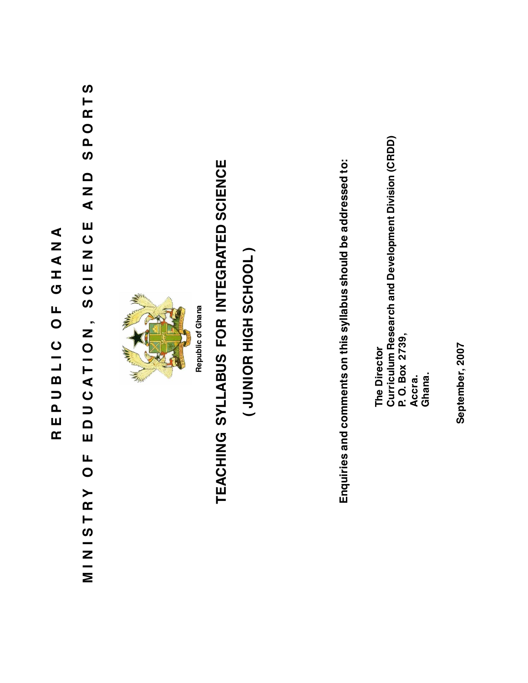## REPUBLIC OF GHANA **REPUBLIC OF GHANA**

## SPORTS **MINISTRY OF EDUCATION, SCIEN CE AND SPORTS** Q<br>N<br>N EDUCION, ZOILADDOM MINISTRY OF



Republic of Ghana **Republic of Ghana**

# TEACHING SYLLABUS FOR INTEGRATED SCIENCE **TEACHING SYLLABUS FOR INTEGRATED SCIENCE**

### (JUNIOR HIGH SCHOOL) **( JUNIOR HIGH SCHOOL )**

Enquiries and comments on this syllabus should be addressed to: **Enquiries and comments on this syllabus should be addressed to:**

The Director<br>Curriculum Research and Development Division (CRDD)<br>P. O. Box 2739, **Curriculum Research and Development Division (CRDD) P. O. Box 2739,** The Director **The Director Accra. Ghana.**

September, 2007 **September, 2007**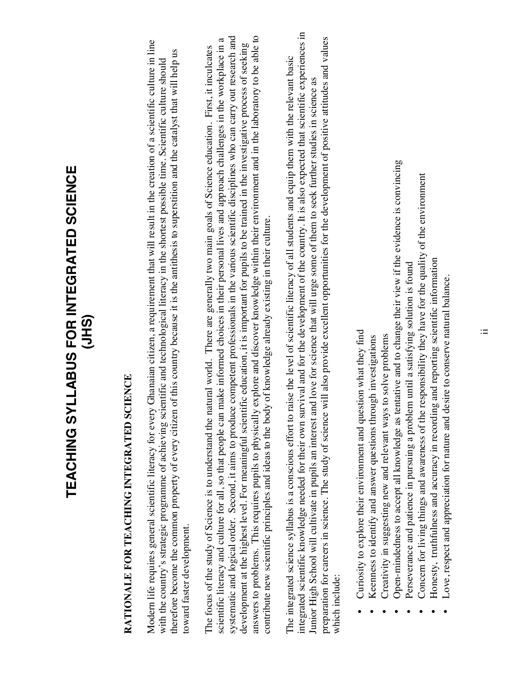## TEACHING SYLLABUS FOR INTEGRATED SCIENCE **TEACHING SYLLABUS FOR INTEGRATED SCIENCE (JHS)**

## RATIONALE FOR TEACHING INTEGRATED SCIENCE **RATIONALE FOR TEACHING INTEGRATED SCIENCE**

Modem life requires general scientific literacy for every Ghanaian citizen, a requirement that will result in the creation of a scientific culture in line Modern life requires general scientific literacy for every Ghanaian citizen, a requirement that will result in the creation of a scientific culture in line therefore become the common property of every citizen of this country because it is the antithesis to superstition and the catalyst that will help us therefore become the common property of every citizen of this country because it is the antithesis to superstition and the catalyst that will help us with the country's strategic programme of achieving scientific and technological literacy in the shortest possible time. Scientific culture should with the country's strategic programme of achieving scientific and technological literacy in the shortest possible time. Scientific culture should oward faster development. toward faster development.

systematic and logical order. Second, it aims to produce competent professionals in the various scientific disciplines who can carry out research and answers to problems. This requires pupils to physically explore and discover knowledge within their environment and in the laboratory to be able to systematic and logical order. Second, it aims to produce competent professionals in the various scientific disciplines who can carry out research and answers to problems. This requires pupils to physically explore and discover knowledge within their environment and in the laboratory to be able to scientific literacy and culture for all, so that people can make informed choices in their personal lives and approach challenges in the workplace in a scientific literacy and culture for all, so that people can make informed choices in their personal lives and approach challenges in the workplace in a development at the highest level. For meaningful scientific education, it is important for pupils to be trained in the investigative process of seeking development at the highest level. For meaningful scientific education, it is important for pupils to be trained in the investigative process of seeking The focus of the study of Science is to understand the natural world. There are generally two main goals of Science education. First, it inculcates The focus of the study of Science is to understand the natural world. There are generally two main goals of Science education. First, it inculcates contribute new scientific principles and ideas to the body of knowledge already existing in their culture. contribute new scientific principles and ideas to the body of knowledge already existing in their culture.

integrated scientific knowledge needed for their own survival and for the development of the country. It is also expected that scientific experiences in integrated scientific knowledge needed for their own survival and for the development of the country. It is also expected that scientific experiences in preparation for careers in science. The study of science will also provide excellent opportunities for the development of positive attitudes and values preparation for careers in science. The study of science will also provide excellent opportunities for the development of positive attitudes and values The integrated science syllabus is a conscious effort to raise the level of scientific literacy of all students and equip them with the relevant basic The integrated science syllabus is a conscious effort to raise the level of scientific literacy of all students and equip them with the relevant basic Junior High School will cultivate in pupils an interest and love for science that will urge some of them to seek further studies in science as Junior High School will cultivate in pupils an interest and love for science that will urge some of them to seek further studies in science as which include: which include:

- Curiosity to explore their environment and question what they find Curiosity to explore their environment and question what they find •
- Keenness to identify and answer questions through investigations Exempt  $\bullet$  Keenness to identify and answer questions through investigations

•

- Creativity in suggesting new and relevant ways to solve problems Creativity in suggesting new and relevant ways to solve problems •
- Open-mindedness to accept all knowledge as tentative and to change their view if the evidence is convincing Open-mindedness to accept all knowledge as tentative and to change their view if the evidence is convincing •
	- Perseverance and patience in pursuing a problem until a satisfying solution is found Perseverance and patience in pursuing a problem until a satisfying solution is found •
- Concern for living things and awareness of the responsibility they have for the quality of the environment Concern for living things and awareness of the responsibility they have for the quality of the environment •
- Honesty, truthfulness and accuracy in recording and reporting scientific information Honesty, truthfulness and accuracy in recording and reporting scientific information •
- Love, respect and appreciation for nature and desire to conserve natural balance.Love, respect and appreciation for nature and desire to conserve natural balance.

•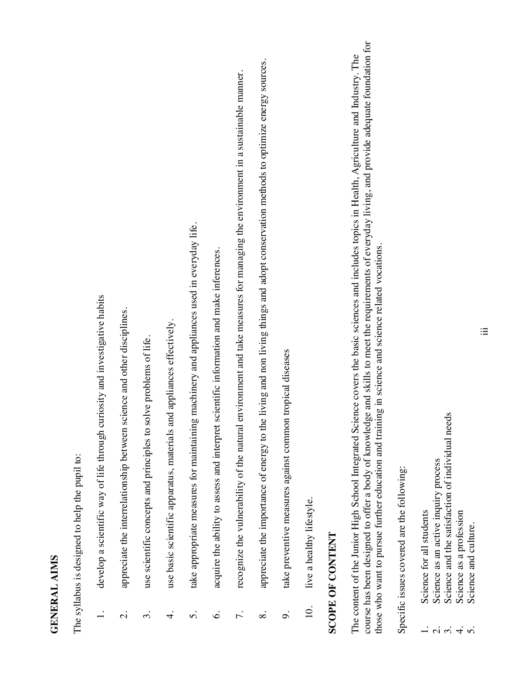#### **GENERAL AIMS GENERAL AIMS**

The syllabus is designed to help the pupil to: The syllabus is designed to help the pupil to:

- develop a scientific way of life through curiosity and investigative habits 1. develop a scientific way of life through curiosity and investigative habits  $\overline{a}$
- 2. appreciate the interrelationship between science and other disciplines. appreciate the interrelationship between science and other disciplines.  $\dot{\Omega}$
- use scientific concepts and principles to solve problems of life. 3. use scientific concepts and principles to solve problems of life.  $\dot{\mathcal{E}}$
- use basic scientific apparatus, materials and appliances effectively. 4. use basic scientific apparatus, materials and appliances effectively.  $\overline{4}$
- take appropriate measures for maintaining machinery and appliances used in everyday life. 5. take appropriate measures for maintaining machinery and appliances used in everyday life. ς.
- acquire the ability to assess and interpret scientific information and make inferences. 6. acquire the ability to assess and interpret scientific information and make inferences.  $\dot{\circ}$
- recognize the vulnerability of the natural environment and take measures for managing the environment in a sustainable manner. 7. recognize the vulnerability of the natural environment and take measures for managing the environment in a sustainable manner.  $\overline{r}$ .
- appreciate the importance of energy to the living and non living things and adopt conservation methods to optimize energy sources. 8. appreciate the importance of energy to the living and non living things and adopt conservation methods to optimize energy sources.  $\infty$
- take preventive measures against common tropical diseases 9. take preventive measures against common tropical diseases o.
- live a healthy lifestyle. 10. live a healthy lifestyle.  $10.$

#### **SCOPE OF CONTENT SCOPE OF CONTENT**

course has been designed to offer a body of knowledge and skills to meet the requirements of everyday living, and provide adequate foundation for course has been designed to offer a body of knowledge and skills to meet the requirements of everyday living, and provide adequate foundation for The content of the Junior High School Integrated Science covers the basic sciences and includes topics in Health, Agriculture and Industry. The The content of the Junior High School Integrated Science covers the basic sciences and includes topics in Health, Agriculture and Industry. The those who want to pursue further education and training in science and science related vocations. those who want to pursue further education and training in science and science related vocations.

Specific issues covered are the following: Specific issues covered are the following:

- Science for all students 1. Science for all students
- Science as an active inquiry process 2. Science as an active inquiry process
- Science and the satisfaction of individual needs 3. Science and the satisfaction of individual needs
- Science as a profession 4. Science as a profession  $\frac{1}{2} \times \frac{1}{2} \times \frac{1}{2} \times \frac{1}{2} \times \frac{1}{2} \times \frac{1}{2} \times \frac{1}{2} \times \frac{1}{2} \times \frac{1}{2} \times \frac{1}{2} \times \frac{1}{2} \times \frac{1}{2} \times \frac{1}{2} \times \frac{1}{2} \times \frac{1}{2} \times \frac{1}{2} \times \frac{1}{2} \times \frac{1}{2} \times \frac{1}{2} \times \frac{1}{2} \times \frac{1}{2} \times \frac{1}{2} \times \frac{1}{2} \times \frac{1}{2} \times \frac{1$ 
	- Science and culture. 5. Science and culture.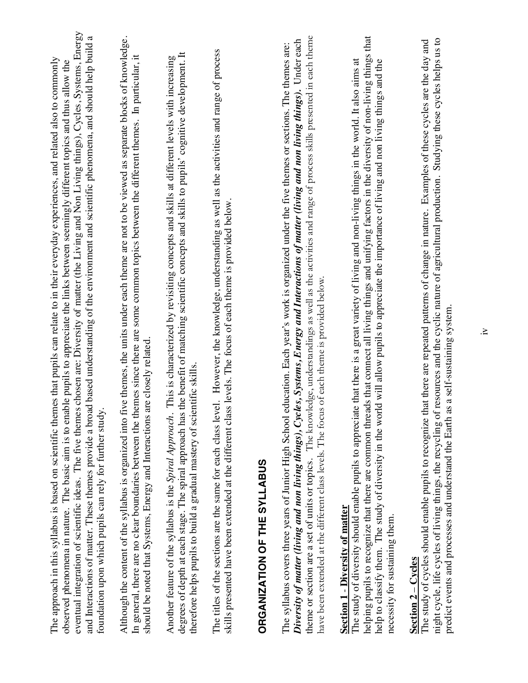| eventual integration of scientific ideas. The five themes chosen are: Diversity of matter (the Living and Non Living things), Cycles, Systems, Energy<br>and Interactions of matter. These themes provide a broad based understanding of the environment and scientific phenomena, and should help build a<br>The approach in this syllabus is based on scientific themes that pupils can relate to in their everyday experiences, and related also to commonly<br>observed phenomena in nature. The basic aim is to enable pupils to appreciate the links between seemingly different topics and thus allow the<br>foundation upon which pupils can rely for further study. |
|------------------------------------------------------------------------------------------------------------------------------------------------------------------------------------------------------------------------------------------------------------------------------------------------------------------------------------------------------------------------------------------------------------------------------------------------------------------------------------------------------------------------------------------------------------------------------------------------------------------------------------------------------------------------------|
| Although the content of the syllabus is organized into five themes, the units under each theme are not to be viewed as separate blocks of knowledge.<br>themes since there are some common topics between the different themes. In particular, it<br>should be noted that Systems, Energy and Interactions are closely related.<br>In general, there are no clear boundaries between the                                                                                                                                                                                                                                                                                     |
| degrees of depth at each stage. The spiral approach has the benefit of matching scientific concepts and skills to pupils' cognitive development. It<br>Another feature of the syllabus is the Spiral Approach. This is characterized by revisiting concepts and skills at different levels with increasing<br>therefore helps pupils to build a gradual mastery of scientific skills.                                                                                                                                                                                                                                                                                        |
| The titles of the sections are the same for each class level. However, the knowledge, understanding as well as the activities and range of process<br>skills presented have been extended at the different class levels. The focus of each theme is provided below.                                                                                                                                                                                                                                                                                                                                                                                                          |
| ORGANIZATION OF THE SYLLABUS                                                                                                                                                                                                                                                                                                                                                                                                                                                                                                                                                                                                                                                 |
| theme or section are a set of units or topics. The knowledge, understandings as well as the activities and range of process skills presented in each theme<br>Diversity of matter (living and non living things), Cycles, Systems, Energy and Interactions of matter (living and non living things). Under each<br>The syllabus covers three years of Junior High School education. Each year's work is organized under the five themes or sections. The themes are:<br>have been extended at the different class levels. The focus of each theme is provided below.                                                                                                         |
| helping pupils to recognize that there are common threads that connect all living things and unifying factors in the diversity of non-living things that<br>ate that there is a great variety of living and non-living things in the world. It also aims at<br>help to classify them. The study of diversity in the world will allow pupils to appreciate the importance of living and non living things and the<br>The study of diversity should enable pupils to appreci<br><b>Section 1 - Diversity of matter</b><br>necessity for sustaining them.                                                                                                                       |
| of resources and the cyclic nature of agricultural production. Studying these cycles helps us to<br>that there are repeated patterns of change in nature. Examples of these cycles are the day and<br>predict events and processes and understand the Earth as a self-sustaining system.<br>The study of cycles should enable pupils to recognize<br>night cycle, life cycles of living things, the recycling<br>$Section 2 - Cycles$                                                                                                                                                                                                                                        |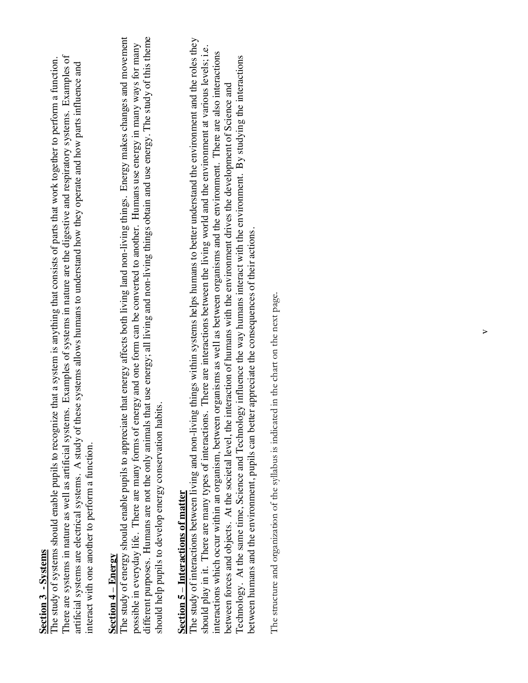#### **Section 3 - Systems Section 3 - Systems**

There are systems in nature as well as artificial systems. Examples of systems in nature are the digestive and respiratory systems. Examples of There are systems in nature as well as artificial systems. Examples of systems in nature are the digestive and respiratory systems. Examples of The study of systems should enable pupils to recognize that a system is anything that consists of parts that work together to perform a function. The study of systems should enable pupils to recognize that a system is anything that consists of parts that work together to perform a function. artificial systems are electrical systems. A study of these systems allows humans to understand how they operate and how parts influence and artificial systems are electrical systems. A study of these systems allows humans to understand how they operate and how parts influence and interact with one another to perform a function. interact with one another to perform a function.

#### $\rm Section~4-Energy$ **Section 4** – **Energy**

different purposes. Humans are not the only animals that use energy; all living and non-living things obtain and use energy. The study of this theme The study of energy should enable pupils to appreciate that energy affects both living land non-living things. Energy makes changes and movement The study of energy should enable pupils to appreciate that energy affects both living land non-living things. Energy makes changes and movement different purposes. Humans are not the only animals that use energy; all living and non-living things obtain and use energy. The study of this theme possible in everyday life. There are many forms of energy and one form can be converted to another. Humans use energy in many ways for many possible in everyday life. There are many forms of energy and one form can be converted to another. Humans use energy in many ways for many should help pupils to develop energy conservation habits. should help pupils to develop energy conservation habits.

### **Section 5 – Interactions of matter Section 5** – **Interactions of matter**

The study of interactions between living and non-living things within systems helps humans to better understand the environment and the roles they The study of interactions between living and non-living things within systems helps humans to better understand the environment and the roles they should play in it. There are many types of interactions. There are interactions between the living world and the environment at various levels; i.e. should play in it. There are many types of interactions. There are interactions between the living world and the environment at various levels; i.e. interactions which occur within an organism, between organisms as well as between organisms and the environment. There are also interactions interactions which occur within an organism, between organisms as well as between organisms and the environment. There are also interactions Technology. At the same time, Science and Technology influence the way humans interact with the environment. By studying the interactions Technology. At the same time, Science and Technology influence the way humans interact with the environment. By studying the interactions between forces and objects. At the societal level, the interaction of humans with the environment drives the development of Science and between forces and objects. At the societal level, the interaction of humans with the environment drives the development of Science and between humans and the environment, pupils can better appreciate the consequences of their actions. between humans and the environment, pupils can better appreciate the consequences of their actions.

The structure and organization of the syllabus is indicated in the chart on the next page. The structure and organization of the syllabus is indicated in the chart on the next page.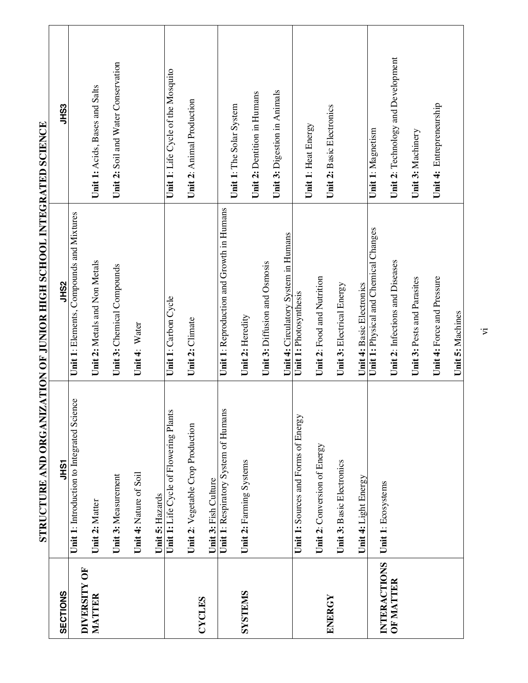| SECTIONS     | <b>JHST</b>                                | <b>SSHS</b>                               | <b>SSHS</b>                         |
|--------------|--------------------------------------------|-------------------------------------------|-------------------------------------|
| DIVERSITY OF | Unit 1: Introduction to Integrated Science | Unit 1: Elements, Compounds and Mixtures  |                                     |
| MATTER       | Unit 2: Matter                             | Unit 2: Metals and Non Metals             | Unit 1: Acids, Bases and Salts      |
|              | Unit 3: Measurement                        | Unit 3: Chemical Compounds                | Unit 2: Soil and Water Conservation |
|              | Unit 4: Nature of Soil                     | Unit 4: Water                             |                                     |
|              | Unit 5: Hazards                            |                                           |                                     |
|              | Unit 1: Life Cycle of Flowering Plants     | Unit 1: Carbon Cycle                      | Unit 1: Life Cycle of the Mosquito  |
|              | Unit 2: Vegetable Crop Production          | Unit 2: Climate                           | Unit 2: Animal Production           |
| CYCLES       | Unit 3: Fish Culture                       |                                           |                                     |
|              | S<br>Unit 1: Respiratory System of Human   | Unit 1: Reproduction and Growth in Humans | Unit 1: The Solar System            |
| SYSTEMS      | Unit 2: Farming Systems                    | Unit 2: Heredity                          |                                     |
|              |                                            |                                           | Unit 2: Dentition in Humans         |
|              |                                            | Unit 3: Diffusion and Osmosis             | Unit 3: Digestion in Animals        |
|              |                                            | Unit 4: Circulatory System in Humans      |                                     |
|              | Unit 1: Sources and Forms of Energy        | Unit 1: Photosynthesis                    | Unit 1: Heat Energy                 |
|              | Unit 2: Conversion of Energy               | Unit 2: Food and Nutrition                |                                     |
| ENERGY       | Unit 3: Basic Electronics                  | Unit 3: Electrical Energy                 | Unit 2: Basic Electronics           |
|              | Unit 4: Light Energy                       | Unit 4: Basic Electronics                 |                                     |
| INTERACTIONS | Unit 1: Ecosystems                         | Unit 1: Physical and Chemical Changes     | Unit 1: Magnetism                   |
| OF MATTER    |                                            | Unit 2: Infections and Diseases           | Unit 2: Technology and Development  |
|              |                                            | Unit 3: Pests and Parasites               | Unit 3: Machinery                   |
|              |                                            | Unit 4: Force and Pressure                | Unit 4: Entrepreneurship            |
|              |                                            | Unit 5: Machines                          |                                     |

STRUCTURE AND ORGANIZATION OF JUNIOR HIGH SCHOOL INTEGRATED SCIENCE **STRUCTURE AND ORGANIZATION OF JUNIOR HIGH SCHOOL INTEGRATED SCIENCE**

 $\cdot$  $\overline{z}$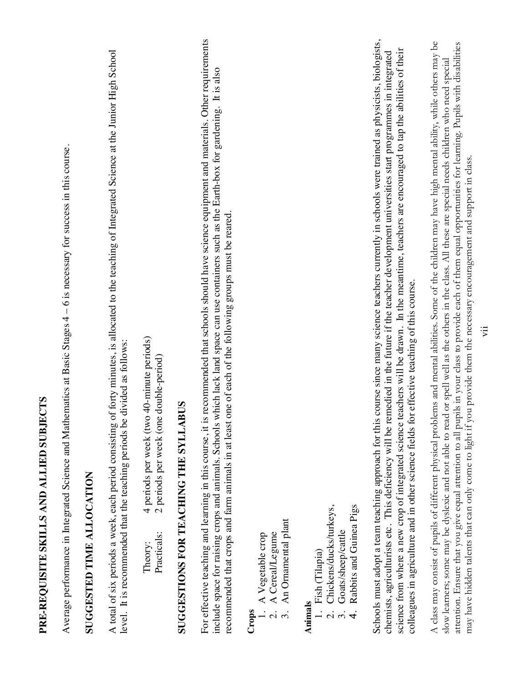## PRE-REQUISITE SKILLS AND ALLIED SUBJECTS **PRE-REQUISITE SKILLS AND ALLIED SUBJECTS**

Average performance in Integrated Science and Mathematics at Basic Stages 4 – 6 is necessary for success in this course. Average performance in Integrated Science and Mathematics at Basic Stages 4 – 6 is necessary for success in this course.

### **SUGGESTED TIME ALLOCATION SUGGESTED TIME ALLOCATION**

A total of six periods a week, each period consisting of forty minutes, is allocated to the teaching of Integrated Science at the Junior High School A total of six periods a week, each period consisting of forty minutes, is allocated to the teaching of Integrated Science at the Junior High School level. It is recommended that the teaching periods be divided as follows: level. It is recommended that the teaching periods be divided as follows:

4 periods per week (two 40-minute periods)<br>2 periods per week (one double-period) Theory: 4 periods per week (two 40-minute periods) Practicals: 2 periods per week (one double-period) Practicals: Theory:

## **SUGGESTIONS FOR TEACHING THE SYLLABUS SUGGESTIONS FOR TEACHING THE SYLLABUS**

For effective teaching and learning in this course, it is recommended that schools should have science equipment and materials. Other requirements For effective teaching and learning in this course, it is recommended that schools should have science equipment and materials. Other requirements include space for raising crops and animals. Schools which lack land space can use containers such as the Earth-box for gardening. It is also include space for raising crops and animals. Schools which lack land space can use containers such as the Earth-box for gardening. It is also ecommended that crops and farm animals in at least one of each of the following groups must be reared. recommended that crops and farm animals in at least one of each of the following groups must be reared.

- 1. A Vegetable crop
- 2. A Cereal/Legume
- An Ornamental plant 3. An Ornamental plant Crops<br>
1. A Vegetable crop<br>
2. A CerealLegune<br>
3. An Ornamental relation

#### **Animals**

- 1. Fish (Tilapia) 1. Fish (Tilapia)
- 2. Chickens/ducks/turkeys, 2. Chickens/ducks/turkeys,
	- 3. Goats/sheep/cattle<br>4. Rabbits and Guinea 3. Goats/sheep/cattle
- Rabbits and Guinea Pigs 4. Rabbits and Guinea Pigs

Schools must adopt a team teaching approach for this course since many science teachers currently in schools were trained as physicists, biologists, Schools must adopt a team teaching approach for this course since many science teachers currently in schools were trained as physicists, biologists, science from where a new crop of integrated science teachers will be drawn. In the meantime, teachers are encouraged to tap the abilities of their chemists, agriculturists etc. This deficiency will be remedied in the future if the teacher development universities start programmes in integrated science from where a new crop of integrated science teachers will be drawn. In the meantime, teachers are encouraged to tap the abilities of their chemists, agriculturists etc. This deficiency will be remedied in the future if the teacher development universities start programmes in integrated colleagues in agriculture and in other science fields for effective teaching of this course. colleagues in agriculture and in other science fields for effective teaching of this course. A class may consist of pupils of different physical problems and mental abilities. Some of the children may have high mental ability, while others may be attention. Ensure that you give equal attention to all pupils in your class to provide each of them equal opportunities for learning. Pupils with disabilities A class may consist of pupils of different physical problems and mental abilities. Some of the children may have high mental ability, while others may be attention. Ensure that you give equal attention to all pupils in your class to provide each of them equal opportunities for learning. Pupils with disabilities slow learners; some may be dyslexic and not able to read or spell well as the others in the class. All these are special needs children who need special slow learners; some may be dyslexic and not able to read or spell well as the others in the class. All these are special needs children who need special may have hidden talents that can only come to light if you provide them the necessary encouragement and support in class. may have hidden talents that can only come to light if you provide them the necessary encouragement and support in class.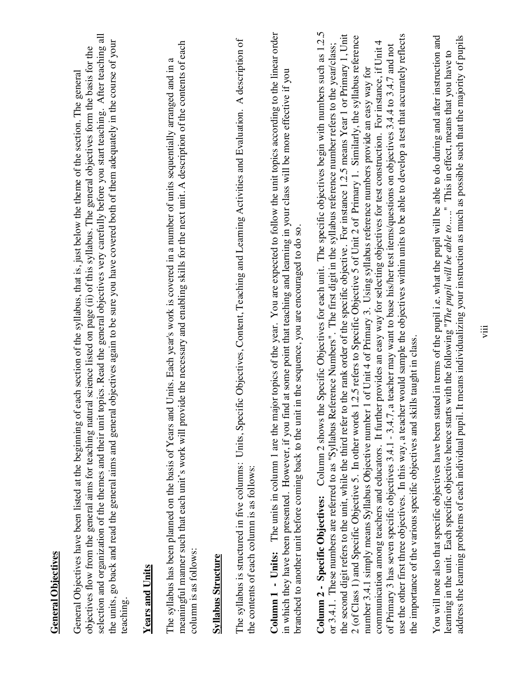| <b>General Objectives</b>                                                                                                                                                                                                                                                                                                                                                                                                                                                                                                                                                                                                                                                                                                                                                                                                                                                                                                                                                                                                                                                                                                                                                                                                                                                                                                                            |
|------------------------------------------------------------------------------------------------------------------------------------------------------------------------------------------------------------------------------------------------------------------------------------------------------------------------------------------------------------------------------------------------------------------------------------------------------------------------------------------------------------------------------------------------------------------------------------------------------------------------------------------------------------------------------------------------------------------------------------------------------------------------------------------------------------------------------------------------------------------------------------------------------------------------------------------------------------------------------------------------------------------------------------------------------------------------------------------------------------------------------------------------------------------------------------------------------------------------------------------------------------------------------------------------------------------------------------------------------|
| selection and organization of the themes and their unit topics. Read the general objectives very carefully before you start teaching. After teaching all<br>the units, go back and read the general aims and general objectives again to be sure you have covered both of them adequately in the course of your<br>science listed on page (ii) of this syllabus. The general objectives form the basis for the<br>General Objectives have been listed at the beginning of each section of the syllabus, that is, just below the theme of the section. The general<br>objectives flow from the general aims for teaching natural<br>teaching                                                                                                                                                                                                                                                                                                                                                                                                                                                                                                                                                                                                                                                                                                          |
| <b>Years and Units</b>                                                                                                                                                                                                                                                                                                                                                                                                                                                                                                                                                                                                                                                                                                                                                                                                                                                                                                                                                                                                                                                                                                                                                                                                                                                                                                                               |
| meaningful manner such that each unit's work will provide the necessary and enabling skills for the next unit. A description of the contents of each<br>The syllabus has been planned on the basis of Years and Units. Each year's work is covered in a number of units sequentially arranged and in a<br>column is as follows:                                                                                                                                                                                                                                                                                                                                                                                                                                                                                                                                                                                                                                                                                                                                                                                                                                                                                                                                                                                                                      |
| <u>Syllabus Structure</u>                                                                                                                                                                                                                                                                                                                                                                                                                                                                                                                                                                                                                                                                                                                                                                                                                                                                                                                                                                                                                                                                                                                                                                                                                                                                                                                            |
| Objectives, Content, Teaching and Learning Activities and Evaluation. A description of<br>The syllabus is structured in five columns: Units, Specific<br>the contents of each column is as follows:                                                                                                                                                                                                                                                                                                                                                                                                                                                                                                                                                                                                                                                                                                                                                                                                                                                                                                                                                                                                                                                                                                                                                  |
| Column 1 - Units: The units in column 1 are the major topics of the year. You are expected to follow the unit topics according to the linear order<br>at some point that teaching and learning in your class will be more effective if you<br>the sequence, you are encouraged to do so.<br>branched to another unit before coming back to the unit in<br>in which they have been presented. However, if you find                                                                                                                                                                                                                                                                                                                                                                                                                                                                                                                                                                                                                                                                                                                                                                                                                                                                                                                                    |
| Column 2 - Specific Objectives: Column 2 shows the Specific Objectives for each unit. The specific objectives begin with numbers such as 1.2.5<br>would sample the objectives within units to be able to develop a test that accurately reflects<br>the second digit refers to the unit, while the third refer to the rank order of the specific objective. For instance 1.2.5 means Year 1 or Primary 1, Unit<br>2 (of Class 1) and Specific Objective 5. In other words 1.2.5 refers to Specific Objective 5 of Unit 2 of Primary 1. Similarly, the syllabus reference<br>provides an easy way for selecting objectives for test construction. For instance, if Unit 4<br>or 3.4.1. These numbers are referred to as "Syllabus Reference Numbers". The first digit in the syllabus reference number refers to the year/class;<br>teacher may want to base his/her test items/questions on objectives 3.4.4 to 3.4.7 and not<br>of Unit 4 of Primary 3. Using syllabus reference numbers provide an easy way for<br>the importance of the various specific objectives and skills taught in class.<br>communication among teachers and educators. It further<br>use the other first three objectives. In this way, a teacher<br>of Primary 3 has seven specific objectives 3.4.1 - 3.4.7, a<br>number 3.4.1 simply means Syllabus Objective number 1 |
| You will note also that specific objectives have been stated in terms of the pupil i.e. what the pupil will be able to do during and after instruction and                                                                                                                                                                                                                                                                                                                                                                                                                                                                                                                                                                                                                                                                                                                                                                                                                                                                                                                                                                                                                                                                                                                                                                                           |

learning in the unit. Each specific objective hence starts with the following "*The pupil will be able to* ....." This in effect, means that you have to address the learning problems of each individual pupil. It means ind address the learning problems of each individual pupil. It means individualizing your instruction as much as possible such that the majority of pupilslearning in the unit. Each specific objective hence starts with the following "*The pupil will be able to* ....." This in effect, means that you have to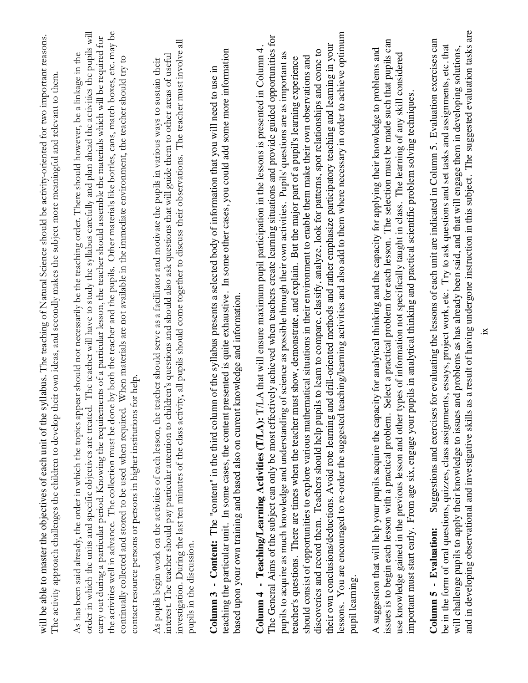| Suggestions and exercises for evaluating the lessons of each unit are indicated in Column 5. Evaluation exercises can<br>be in the form of oral questions, quizzes, class assignments, essays, project work, etc. Try to ask questions and set tasks and assignments, etc. that<br>and problems as has already been said, and that will engage them in developing solutions,<br>pupils in analytical thinking and practical scientific problem solving techniques.<br>will challenge pupils to apply their knowledge to issues<br>important must start early. From age six, engage your j<br>Column 5 - Evaluation: | Select a practical problem for each lesson. The selection must be made such that pupils can<br>icity for analytical thinking and the capacity for applying their knowledge to problems and<br>types of information not specifically taught in class. The learning of any skill considered<br>A suggestion that will help your pupils acquire the capa<br>issues is to begin each lesson with a practical problem.<br>use knowledge gained in the previous lesson and other | teaching/learning activities and also add to them where necessary in order to achieve optimum<br>The General Aims of the subject can only be most effectively achieved when teachers create learning situations and provide guided opportunities for<br>their own conclusions/deductions. Avoid rote learning and drill-oriented methods and rather emphasize participatory teaching and learning in your<br>7. T. A that will ensure maximum pupil participation in the lessons is presented in Column 4.<br>discoveries and record them. Teachers should help pupils to learn to compare, classify, analyze, look for patterns, spot relationships and come to<br>pupils to acquire as much knowledge and understanding of science as possible through their own activities. Pupils' questions are as important as<br>should consist of opportunities to explore various mathematical situations in their environment to enable them make their own observations and<br>teacher's questions. There are times when the teacher must show, demonstrate, and explain. But the major part of a pupil's learning experience<br>Column 4 - Teaching/Learning Activities (T/LA): 1<br>lessons. You are encouraged to re-order the suggested<br>pupil learning | investigation. During the last ten minutes of the class activity, all pupils should come together to discuss their observations. The teacher must involve all<br>interest. The teacher should pay particular attention to children's questions and should also ask questions that will guide them to other areas of useful<br>teacher should serve as a facilitator and motivate the pupils in various ways to sustain their<br>As pupils begin work on the activities of each lesson, the<br>pupils in the discussion. | the activities well in advance. The collection must be done by both the teacher and the pupils. Other materials like bottles, cans, match boxes, etc. may be<br>order in which the units and specific objectives are treated. The teacher will have to study the syllabus carefully and plan ahead the activities the pupils will<br>carry out during a particular period. Knowing the requirements of a particular lesson, the teacher should assemble the materials which will be required for<br>As has been said already, the order in which the topics appear should not necessarily be the teaching order. There should however, be a linkage in the<br>continually collected and stored to be used when required. When materials are not available in the immediate environment, the teacher should try to<br>for help<br>contact resource persons or persons in higher institutions | syllabus. The teaching of Natural Science should be activity-oriented for two important reasons.<br>their own ideas, and secondly makes the subject more meaningful and relevant to them.<br>will be able to master the objectives of each unit of the<br>The activity approach challenges the children to develop |
|---------------------------------------------------------------------------------------------------------------------------------------------------------------------------------------------------------------------------------------------------------------------------------------------------------------------------------------------------------------------------------------------------------------------------------------------------------------------------------------------------------------------------------------------------------------------------------------------------------------------|----------------------------------------------------------------------------------------------------------------------------------------------------------------------------------------------------------------------------------------------------------------------------------------------------------------------------------------------------------------------------------------------------------------------------------------------------------------------------|----------------------------------------------------------------------------------------------------------------------------------------------------------------------------------------------------------------------------------------------------------------------------------------------------------------------------------------------------------------------------------------------------------------------------------------------------------------------------------------------------------------------------------------------------------------------------------------------------------------------------------------------------------------------------------------------------------------------------------------------------------------------------------------------------------------------------------------------------------------------------------------------------------------------------------------------------------------------------------------------------------------------------------------------------------------------------------------------------------------------------------------------------------------------------------------------------------------------------------------------------------|-------------------------------------------------------------------------------------------------------------------------------------------------------------------------------------------------------------------------------------------------------------------------------------------------------------------------------------------------------------------------------------------------------------------------------------------------------------------------------------------------------------------------|---------------------------------------------------------------------------------------------------------------------------------------------------------------------------------------------------------------------------------------------------------------------------------------------------------------------------------------------------------------------------------------------------------------------------------------------------------------------------------------------------------------------------------------------------------------------------------------------------------------------------------------------------------------------------------------------------------------------------------------------------------------------------------------------------------------------------------------------------------------------------------------------|--------------------------------------------------------------------------------------------------------------------------------------------------------------------------------------------------------------------------------------------------------------------------------------------------------------------|
|                                                                                                                                                                                                                                                                                                                                                                                                                                                                                                                                                                                                                     |                                                                                                                                                                                                                                                                                                                                                                                                                                                                            |                                                                                                                                                                                                                                                                                                                                                                                                                                                                                                                                                                                                                                                                                                                                                                                                                                                                                                                                                                                                                                                                                                                                                                                                                                                          |                                                                                                                                                                                                                                                                                                                                                                                                                                                                                                                         |                                                                                                                                                                                                                                                                                                                                                                                                                                                                                                                                                                                                                                                                                                                                                                                                                                                                                             |                                                                                                                                                                                                                                                                                                                    |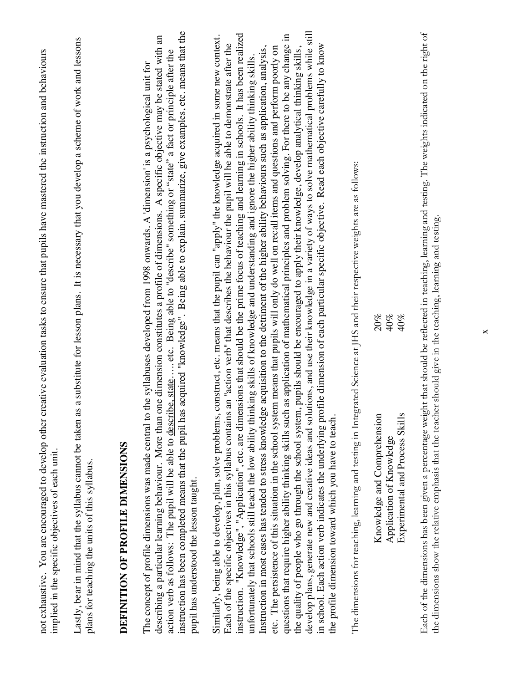| not exhaustive. You are encouraged to develop other creative evaluation tasks to ensure that pupils have mastered the instruction and behaviours<br>implied in the specific objectives of each unit.                                                                                                                                                                                                                                                                                                                                                                                                                                                                                                                                                                                                                                                                                                                                                                                                                                                                                                                                                                                                                                                                                                                                                                                                                                                                                                                                        |                                                                                                                                                                                        |
|---------------------------------------------------------------------------------------------------------------------------------------------------------------------------------------------------------------------------------------------------------------------------------------------------------------------------------------------------------------------------------------------------------------------------------------------------------------------------------------------------------------------------------------------------------------------------------------------------------------------------------------------------------------------------------------------------------------------------------------------------------------------------------------------------------------------------------------------------------------------------------------------------------------------------------------------------------------------------------------------------------------------------------------------------------------------------------------------------------------------------------------------------------------------------------------------------------------------------------------------------------------------------------------------------------------------------------------------------------------------------------------------------------------------------------------------------------------------------------------------------------------------------------------------|----------------------------------------------------------------------------------------------------------------------------------------------------------------------------------------|
| Lastly, bear in mind that the syllabus cannot be taken a<br>plans for teaching the units of this syllabus.                                                                                                                                                                                                                                                                                                                                                                                                                                                                                                                                                                                                                                                                                                                                                                                                                                                                                                                                                                                                                                                                                                                                                                                                                                                                                                                                                                                                                                  | is a substitute for lesson plans. It is necessary that you develop a scheme of work and lessons.                                                                                       |
| DEFINITION OF PROFILE DIMENSIONS                                                                                                                                                                                                                                                                                                                                                                                                                                                                                                                                                                                                                                                                                                                                                                                                                                                                                                                                                                                                                                                                                                                                                                                                                                                                                                                                                                                                                                                                                                            |                                                                                                                                                                                        |
| instruction has been completed means that the pupil has acquired "knowledge". Being able to explain, summarize, give examples, etc. means that the<br>action verb as follows: The pupil will be able to describe, state etc. Being able to "describe" something or "state" a fact or principle after the<br>The concept of profile dimensions was made central to<br>describing a particular learning behaviour. More than<br>pupil has understood the lesson taught.                                                                                                                                                                                                                                                                                                                                                                                                                                                                                                                                                                                                                                                                                                                                                                                                                                                                                                                                                                                                                                                                       | one dimension constitutes a profile of dimensions. A specific objective may be stated with an<br>the syllabuses developed from 1998 onwards. A 'dimension' is a psychological unit for |
| develop plans, generate new and creative ideas and solutions, and use their knowledge in a variety of ways to solve mathematical problems while still<br>instruction. "Knowledge", "Application", etc. are dimensions that should be the prime focus of teaching and learning in schools. It has been realized<br>questions that require higher ability thinking skills such as application of mathematical principles and problem solving. For there to be any change in<br>Each of the specific objectives in this syllabus contains an "action verb" that describes the behaviour the pupil will be able to demonstrate after the<br>in school. Each action verb indicates the underlying profile dimension of each particular specific objective. Read each objective carefully to know<br>Instruction in most cases has tended to stress knowledge acquisition to the detriment of the higher ability behaviours such as application, analysis,<br>the quality of people who go through the school system, pupils should be encouraged to apply their knowledge, develop analytical thinking skills,<br>etc. The persistence of this situation in the school system means that pupils will only do well on recall items and questions and perform poorly on<br>unfortunately that schools still teach the low ability thinking skills of knowledge and understanding and ignore the higher ability thinking skills<br>Similarly, being able to develop, plan, solve problems,<br>the profile dimension toward which you have to teach. | construct, etc. means that the pupil can "apply" the knowledge acquired in some new context.                                                                                           |
| The dimensions for teaching, learning and testing in Integrated Science at JHS and their respective weights are as follows:                                                                                                                                                                                                                                                                                                                                                                                                                                                                                                                                                                                                                                                                                                                                                                                                                                                                                                                                                                                                                                                                                                                                                                                                                                                                                                                                                                                                                 |                                                                                                                                                                                        |
| 20%<br>40%<br>$40\%$<br>Knowledge and Comprehension<br>Experimental and Process Skills<br>Application of Knowledge                                                                                                                                                                                                                                                                                                                                                                                                                                                                                                                                                                                                                                                                                                                                                                                                                                                                                                                                                                                                                                                                                                                                                                                                                                                                                                                                                                                                                          |                                                                                                                                                                                        |
| Each of the dimensions has been given a percentage weight that should be reflected in teaching. Jeaning and resting. The weights indicated on the right of                                                                                                                                                                                                                                                                                                                                                                                                                                                                                                                                                                                                                                                                                                                                                                                                                                                                                                                                                                                                                                                                                                                                                                                                                                                                                                                                                                                  |                                                                                                                                                                                        |

Each of the dimensions has been given a percentage weight that should be reflected in teaching, learning and testing. The weights indicated on the right of  $\mathbf{q}$  $\mathbb{S}^1$  $\dot{\alpha}$ ractives are dimensions show the relative emphasis that the teacher should give in the teaching, learning and testing. the dimensions show the relative emphasis that the teacher should give in the teaching, learning and testing.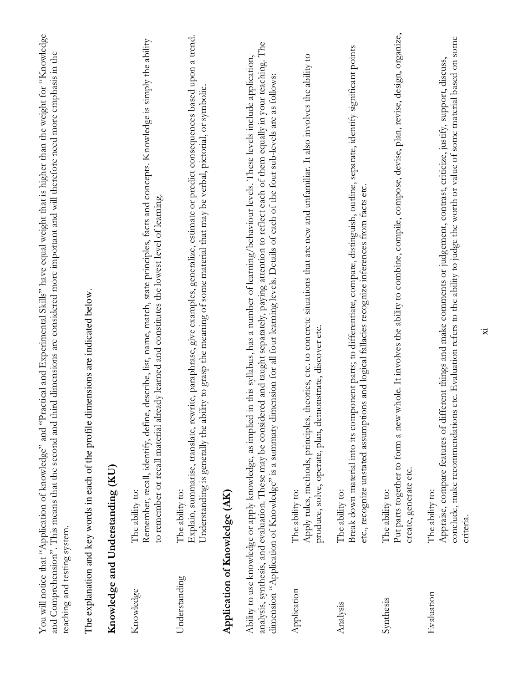| teaching and testing system. | You will notice that "Application of knowledge" and "Practical and Experimental Skills" have equal weight that is higher than the weight for "Knowledge<br>and Comprehension". This means that the second and third dimensions are considered more important and will therefore need more emphasis in the                                                                                                                                                                      |
|------------------------------|--------------------------------------------------------------------------------------------------------------------------------------------------------------------------------------------------------------------------------------------------------------------------------------------------------------------------------------------------------------------------------------------------------------------------------------------------------------------------------|
|                              | The explanation and key words in each of the profile dimensions are indicated below.                                                                                                                                                                                                                                                                                                                                                                                           |
|                              | Knowledge and Understanding (KU)                                                                                                                                                                                                                                                                                                                                                                                                                                               |
| Knowledge                    | Remember, recall, identify, define, describe, list, name, match, state principles, facts and concepts. Knowledge is simply the ability<br>to remember or recall material already learned and constitutes the lowest level of learning.<br>The ability to:                                                                                                                                                                                                                      |
| Understanding                | Explain, summarise, translate, rewrite, paraphrase, give examples, generalize, estimate or predict consequences based upon a trend.<br>Understanding is generally the ability to grasp the meaning of some material that may be verbal, pictorial, or symbolic.<br>The ability to:                                                                                                                                                                                             |
|                              | Application of Knowledge (AK)                                                                                                                                                                                                                                                                                                                                                                                                                                                  |
|                              | The<br>in this syllabus, has a number of learning/behaviour levels. These levels include application,<br>analysis, synthesis, and evaluation. These may be considered and taught separately, paying attention to reflect each of them equally in your teaching.<br>dimension "Application of Knowledge" is a summary dimension for all four learning levels. Details of each of the four sub-levels are as follows:<br>Ability to use knowledge or apply knowledge, as implied |
| Application                  | Apply rules, methods, principles, theories, etc. to concrete situations that are new and unfamiliar. It also involves the ability to<br>produce, solve, operate, plan, demonstrate, discover etc.<br>The ability to:                                                                                                                                                                                                                                                           |
| Analysis                     | Break down material into its component parts; to differentiate, compare, distinguish, outline, separate, identify significant points<br>etc., recognize unstated assumptions and logical fallacies recognize inferences from facts etc.<br>The ability to:                                                                                                                                                                                                                     |
| Synthesis                    | whole. It involves the ability to combine, compile, compose, devise, plan, revise, design, organize,<br>Put parts together to form a new<br>create, generate etc.<br>The ability to:                                                                                                                                                                                                                                                                                           |
| Evaluation                   | s etc. Evaluation refers to the ability to judge the worth or value of some material based on some<br>Appraise, compare features of different things and make comments or judgement, contrast, criticize, justify, support, discuss,<br>conclude, make recommendation<br>The ability to:<br>criteria.                                                                                                                                                                          |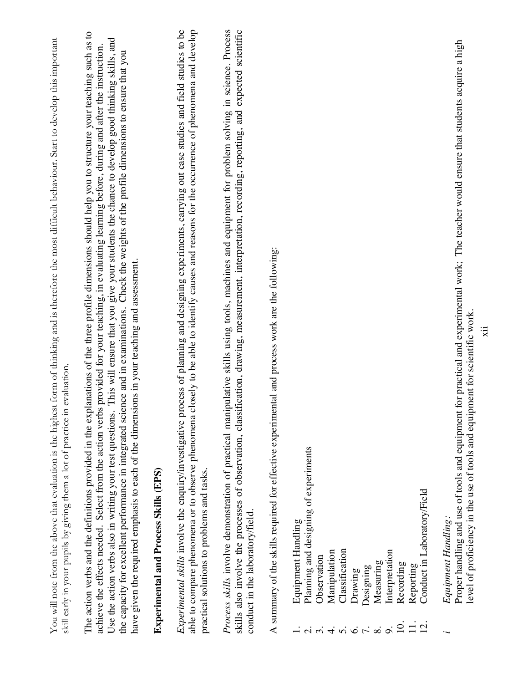|                                    | You will note from the above that evaluation is the highest form of thinking and is therefore the most difficult behaviour. Start to develop this important<br>skill early in your pupils by giving them a lot of practice in evaluation.                                                                                                                                                                                                                                                                                                                                                                                                                                                                                             |
|------------------------------------|---------------------------------------------------------------------------------------------------------------------------------------------------------------------------------------------------------------------------------------------------------------------------------------------------------------------------------------------------------------------------------------------------------------------------------------------------------------------------------------------------------------------------------------------------------------------------------------------------------------------------------------------------------------------------------------------------------------------------------------|
|                                    | planations of the three profile dimensions should help you to structure your teaching such as to<br>This will ensure that you give your students the chance to develop good thinking skills, and<br>achieve the effects needed. Select from the action verbs provided for your teaching, in evaluating learning before, during and after the instruction.<br>the capacity for excellent performance in integrated science and in examinations. Check the weights of the profile dimensions to ensure that you<br>have given the required emphasis to each of the dimensions in your teaching and assessment.<br>Use the action verbs also in writing your test questions.<br>The action verbs and the definitions provided in the exp |
|                                    | <b>Experimental and Process Skills (EPS)</b>                                                                                                                                                                                                                                                                                                                                                                                                                                                                                                                                                                                                                                                                                          |
|                                    | able to compare phenomena or to observe phenomena closely to be able to identify causes and reasons for the occurrence of phenomena and develop<br><i>Experimental skills</i> involve the enquiry/investigative process of planning and designing experiments, carrying out case studies and field studies to be<br>practical solutions to problems and tasks.                                                                                                                                                                                                                                                                                                                                                                        |
|                                    | Process skills involve demonstration of practical manipulative skills using tools, machines and equipment for problem solving in science. Process<br>skills also involve the processes of observation, classification, drawing, measurement, interpretation, recording, reporting, and expected scientific<br>conduct in the laboratory/field.                                                                                                                                                                                                                                                                                                                                                                                        |
|                                    | A summary of the skills required for effective experimental and process work are the following:                                                                                                                                                                                                                                                                                                                                                                                                                                                                                                                                                                                                                                       |
| $\dot{\sim}$                       | Equipment Handling                                                                                                                                                                                                                                                                                                                                                                                                                                                                                                                                                                                                                                                                                                                    |
| $\ddot{\mathrm{c}}$                | Planning and designing of experiments<br>Observation                                                                                                                                                                                                                                                                                                                                                                                                                                                                                                                                                                                                                                                                                  |
| $\div$<br>$\overline{5}$           | Classification<br>Manipulation                                                                                                                                                                                                                                                                                                                                                                                                                                                                                                                                                                                                                                                                                                        |
| $\dot{\circ}$                      | Drawing                                                                                                                                                                                                                                                                                                                                                                                                                                                                                                                                                                                                                                                                                                                               |
| $\overline{r}$ .                   | Designing                                                                                                                                                                                                                                                                                                                                                                                                                                                                                                                                                                                                                                                                                                                             |
| $\dot{\infty}$<br>o.               | Interpretation<br>Measuring                                                                                                                                                                                                                                                                                                                                                                                                                                                                                                                                                                                                                                                                                                           |
| $\overline{10}$                    | Recording                                                                                                                                                                                                                                                                                                                                                                                                                                                                                                                                                                                                                                                                                                                             |
| $\frac{1}{11}$<br>$\overline{2}$ . | Conduct in Laboratory/Field<br>Reporting                                                                                                                                                                                                                                                                                                                                                                                                                                                                                                                                                                                                                                                                                              |
|                                    | Equipment Handling:                                                                                                                                                                                                                                                                                                                                                                                                                                                                                                                                                                                                                                                                                                                   |
|                                    | Proper handling and use of tools and equipment for practical and experimental work; The teacher would ensure that students acquire a high<br>level of proficiency in the use of tools and equipment for scientific work.                                                                                                                                                                                                                                                                                                                                                                                                                                                                                                              |
|                                    | ïц                                                                                                                                                                                                                                                                                                                                                                                                                                                                                                                                                                                                                                                                                                                                    |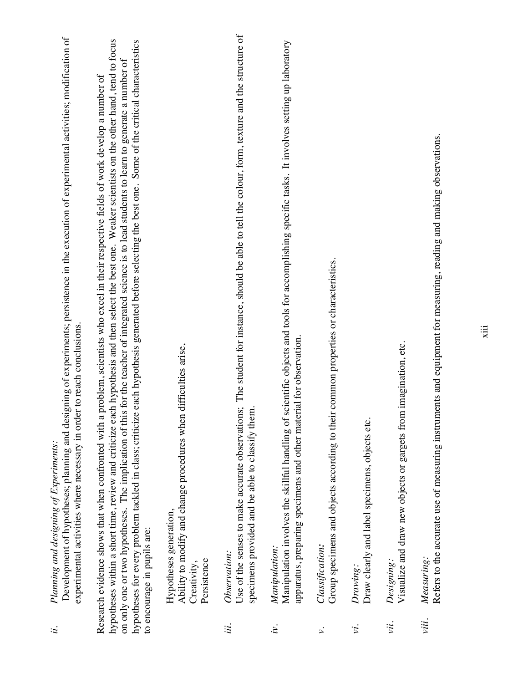|   | Planning and designing of Experiments: |
|---|----------------------------------------|
|   |                                        |
|   |                                        |
|   |                                        |
| ĩ |                                        |
|   |                                        |

Development of hypotheses; planning and designing of experiments; persistence in the execution of experimental activities; modification of Development of hypotheses; planning and designing of experiments; persistence in the execution of experimental activities; modification of experimental activities where necessary in order to reach conclusions. experimental activities where necessary in order to reach conclusions.

hypotheses within a short time, review and criticize each hypothesis and then select the best one. Weaker scientists on the other hand, tend to focus hypotheses for every problem tackled in class; criticize each hypothesis generated before selecting the best one. Some of the critical characteristics hypotheses within a short time, review and criticize each hypothesis and then select the best one. Weaker scientists on the other hand, tend to focus hypotheses for every problem tackled in class; criticize each hypothesis generated before selecting the best one. Some of the critical characteristics on only one or two hypotheses. The implication of this for the teacher of integrated science is to lead students to learn to generate a number of on only one or two hypotheses. The implication of this for the teacher of integrated science is to lead students to learn to generate a number of Research evidence shows that when confronted with a problem, scientists who excel in their respective fields of work develop a number of Research evidence shows that when confronted with a problem, scientists who excel in their respective fields of work develop a number of to encourage in pupils are: to encourage in pupils are:

Ability to modify and change procedures when difficulties arise, Ability to modify and change procedures when difficulties arise, Hypotheses generation, Hypotheses generation, Persistence Persistence Creativity,

Observation: *iii. Observation:* iii.

Use of the senses to make accurate observations; The student for instance, should be able to tell the colour, form, texture and the structure of Use of the senses to make accurate observations; The student for instance, should be able to tell the colour, form, texture and the structure of specimens provided and be able to classify them. specimens provided and be able to classify them.

Manipulation: *iv. Manipulation:*  $\dot{\nu}$ .

Manipulation involves the skillful handling of scientific objects and tools for accomplishing specific tasks. It involves setting up laboratory Manipulation involves the skillful handling of scientific objects and tools for accomplishing specific tasks. It involves setting up laboratory apparatus, preparing specimens and other material for observation. apparatus, preparing specimens and other material for observation.

Classification: *v. Classification:*  $\ddot{\sim}$ 

Group specimens and objects according to their common properties or characteristics. Group specimens and objects according to their common properties or characteristics.

Drawing: *vi. Drawing:* νi.

Draw clearly and label specimens, objects etc. Draw clearly and label specimens, objects etc.

Designing: *vii. Designing:* vii.

Visualize and draw new objects or gargets from imagination, etc. Visualize and draw new objects or gargets from imagination, etc.

*viii. Measuring:* Measuring. viii.

Refers to the accurate use of measuring instruments and equipment for measuring, reading and making observations. Refers to the accurate use of measuring instruments and equipment for measuring, reading and making observations.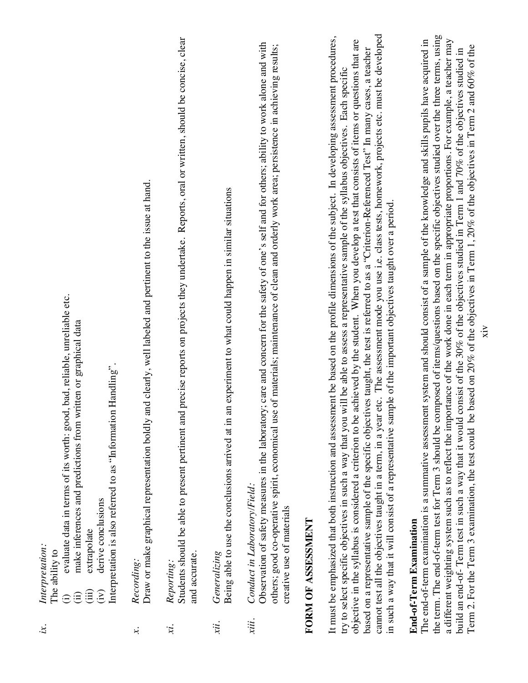| ă<br>terpretatu |  |
|-----------------|--|
| Ξ<br>ř          |  |

tation: The ability to The ability to

- evaluate data in terms of its worth: good, bad, reliable, unreliable etc. (i) evaluate data in terms of its worth: good, bad, reliable, unreliable etc.  $\widehat{\Xi}$ 
	- make inferences and predictions from written or graphical data (ii) make inferences and predictions from written or graphical data  $\hat{E}$ 
		- extrapolate (iii) extrapolate  $(iv)$  $(iii)$

Interpretation is also referred to as "Information Handling". Interpretation is also referred to as "Information Handling". derive conclusions (iv) derive conclusions

#### Recording: *x. Recording:*  $\dot{x}$

Draw or make graphical representation boldly and clearly, well labeled and pertinent to the issue at hand. Draw or make graphical representation boldly and clearly, well labeled and pertinent to the issue at hand.

#### Reporting: *xi. Reporting:*  $\ddot{x}$ .

Students should be able to present pertinent and precise reports on projects they undertake. Reports, oral or written, should be concise, clear Students should be able to present pertinent and precise reports on projects they undertake. Reports, oral or written, should be concise, clear and accurate. and accurate.

#### Generalizing *xii. Generalizing* xii.

Being able to use the conclusions arrived at in an experiment to what could happen in similar situations Being able to use the conclusions arrived at in an experiment to what could happen in similar situations

#### Conduct in Laboratory/Field: *xiii. Conduct in Laboratory/Field:* xiii.

Observation of safety measures in the laboratory; care and concern for the safety of one's self and for others; ability to work alone and with Observation of safety measures in the laboratory; care and concern for the safety of one's self and for others; ability to work alone and with others; good co-operative spirit, economical use of materials; maintenance of clean and orderly work area; persistence in achieving results; others; good co-operative spirit, economical use of materials; maintenance of clean and orderly work area; persistence in achieving results; creative use of materials creative use of materials

### FORM OF ASSESSMENT **FORM OF ASSESSMENT**

cannot test all the objectives taught in a term, in a year etc. The assessment mode you use i.e. class tests, homework, projects etc. must be developed It must be emphasized that both instruction and assessment be based on the profile dimensions of the subject. In developing assessment procedures, cannot test all the objectives taught in a term, in a year etc. The assessment mode you use i.e. class tests, homework, projects etc. must be developed It must be emphasized that both instruction and assessment be based on the profile dimensions of the subject. In developing assessment procedures, objective in the syllabus is considered a criterion to be achieved by the student. When you develop a test that consists of items or questions that are objective in the syllabus is considered a criterion to be achieved by the student. When you develop a test that consists of items or questions that are based on a representative sample of the specific objectives taught, the test is referred to as a "Criterion-Referenced Test" In many cases, a teacher based on a representative sample of the specific objectives taught, the test is referred to as a "Criterion-Referenced Test" In many cases, a teacher try to select specific objectives in such a way that you will be able to assess a representative sample of the syllabus objectives. Each specific try to select specific objectives in such a way that you will be able to assess a representative sample of the syllabus objectives. Each specific in such a way that it will consist of a representative sample of the important objectives taught over a period. in such a way that it will consist of a representative sample of the important objectives taught over a period.

### End-of-Term Examination **End-of-Term Examination**

the term. The end-of-term test for Term 3 should be composed of items/questions based on the specific objectives studied over the three terms, using the term. The end-of-term test for Term 3 should be composed of items/questions based on the specific objectives studied over the three terms, using a different weighting system such as to reflect the importance of the work done in each term in appropriate proportions. For example, a teacher may The end-of-term examination is a summative assessment system and should consist of a sample of the knowledge and skills pupils have acquired in a different weighting system such as to reflect the importance of the work done in each term in appropriate proportions. For example, a teacher may The end-of-term examination is a summative assessment system and should consist of a sample of the knowledge and skills pupils have acquired in Term 2. For the Term 3 examination, the test could be based on 20% of the objectives in Term 1, 20% of the objectives in Term 2 and 60% of the Term 2. For the Term 3 examination, the test could be based on 20% of the objectives in Term 1, 20% of the objectives in Term 2 and 60% of thebuild an end-of- Term test in such a way that it would consist of the 30% of the objectives studied in Term 1 and 70% of the objectives studied in build an end-of- Term test in such a way that it would consist of the 30% of the objectives studied in Term 1 and 70% of the objectives studied in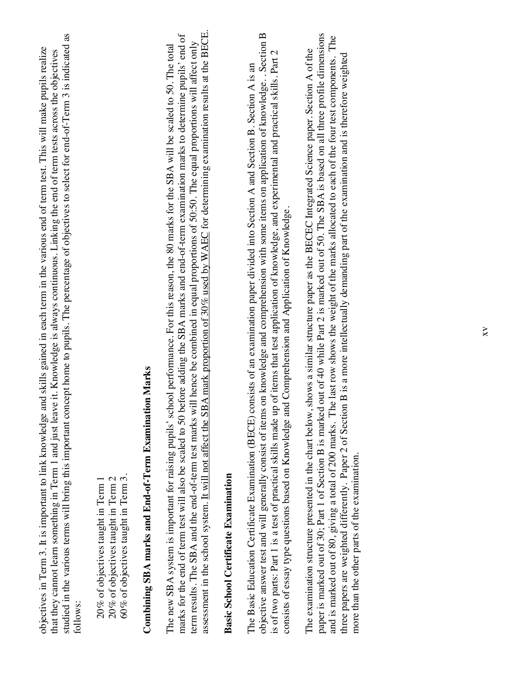| e and skills gained in each term in the various end of term test. This will make pupils realize<br>objectives in Term 3. It is important to link knowledge                                                                                                                                                           |
|----------------------------------------------------------------------------------------------------------------------------------------------------------------------------------------------------------------------------------------------------------------------------------------------------------------------|
| studied in the various terms will bring this important concept home to pupils. The percentage of objectives to select for end-of-Term 3 is indicated as<br>cave it. Knowledge is always continuous. Linking the end of term tests across the objectives<br>that they cannot learn something in Term 1 and just learn |
| $\sim$ $10$ ws:                                                                                                                                                                                                                                                                                                      |

60% of objectives taught in Term 3. 20% of objectives taught in Term 1 20% of objectives taught in Term 2 60% of objectives taught in Term 3. 20% of objectives taught in Term 2 20% of objectives taught in Term 1

## Combining SBA marks and End-of-Term Examination Marks **Combining SBA marks and End-of-Term Examination Marks**

assessment in the school system. It will not affect the SBA mark proportion of 30% used by WAEC for determining examination results at the BECE. assessment in the school system. It will not affect the SBA mark proportion of 30% used by WAEC for determining examination results at the BECE. marks for the end of term test will also be scaled to 50 before adding the SBA marks and end-of-term examination marks to determine pupils' end of marks for the end of term test will also be scaled to 50 before adding the SBA marks and end-of-term examination marks to determine pupils' end of term results. The SBA and the end-of-term test marks will hence be combined in equal proportions of 50:50. The equal proportions will affect only term results. The SBA and the end-of-term test marks will hence be combined in equal proportions of 50:50. The equal proportions will affect only The new SBA system is important for raising pupils' school performance. For this reason, the 80 marks for the SBA will be scaled to 50. The total The new SBA system is important for raising pupils' school performance. For this reason, the 80 marks for the SBA will be scaled to 50. The total

### **Basic School Certificate Examination Basic School Certificate Examination**

objective answer test and will generally consist of items on knowledge and comprehension with some items on application of knowledge.. Section B objective answer test and will generally consist of items on knowledge and comprehension with some items on application of knowledge. . Section B is of two parts: Part 1 is a test of practical skills made up of items that test application of knowledge, and experimental and practical skills. Part 2 is of two parts: Part 1 is a test of practical skills made up of items that test application of knowledge, and experimental and practical skills. Part 2 The Basic Education Certificate Examination (BECE) consists of an examination paper divided into Section A and Section B. Section A is an The Basic Education Certificate Examination (BECE) consists of an examination paper divided into Section A and Section B. Section A is an consists of essay type questions based on Knowledge and Comprehension and Application of Knowledge. consists of essay type questions based on Knowledge and Comprehension and Application of Knowledge.

paper is marked out of 30; Part 1 of Section B is marked out of 40 while Part 2 is marked out of 50. The SBA is based on all three profile dimensions paper is marked out of 30; Part 1 of Section B is marked out of 40 while Part 2 is marked out of 50. The SBA is based on all three profile dimensions and is marked out of 80, giving a total of 200 marks. The last row shows the weight of the marks allocated to each of the four test components. The and is marked out of 80, giving a total of 200 marks. The last row shows the weight of the marks allocated to each of the four test components. The The examination structure presented in the chart below, shows a similar structure paper as the BECEC Integrated Science paper. Section A of the The examination structure presented in the chart below, shows a similar structure paper as the BECEC Integrated Science paper. Section A of the three papers are weighted differently. Paper 2 of Section B is a more intellectually demanding part of the examination and is therefore weighted three papers are weighted differently. Paper 2 of Section B is a more intellectually demanding part of the examination and is therefore weighted more than the other parts of the examination. more than the other parts of the examination.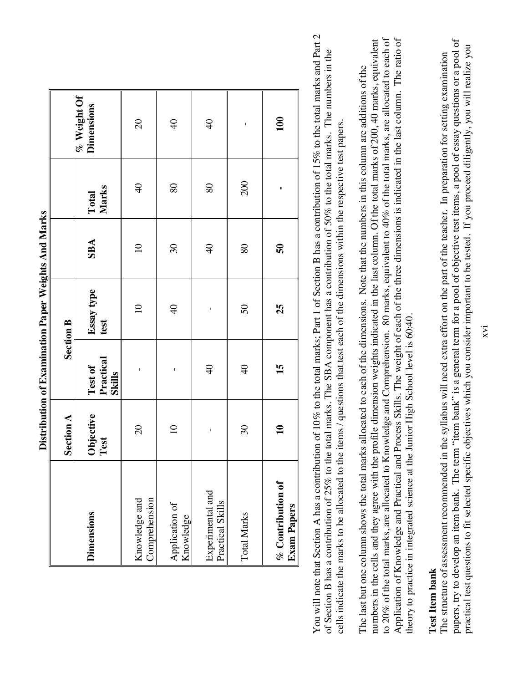|                                         | Section A         |                                | when we have the property of the momentum of the company of the company<br><b>Section B</b> |                         |                |                                  |
|-----------------------------------------|-------------------|--------------------------------|---------------------------------------------------------------------------------------------|-------------------------|----------------|----------------------------------|
| <b>Dimensions</b>                       | Objective<br>Test | Practical<br>Test of<br>Skills | Essay type<br>test                                                                          | <b>SBA</b>              | Marks<br>Total | % Weight Of<br><b>Dimensions</b> |
| Comprehension<br>Knowledge and          | $\infty$          | $\mathbf{I}$                   | $\equiv$                                                                                    | $\Omega$                | $\Theta$       | $\overline{c}$                   |
| Application of<br>Knowledge             | $\overline{10}$   | $\mathsf{I}$                   | $\frac{1}{2}$                                                                               | $\infty$                | 80             | $\overline{a}$                   |
| Experimental and<br>Practical Skills    | $\mathbf{I}$      | $\overline{6}$                 | $\mathbf{I}$                                                                                | $\Theta$                | 80             | $\overline{6}$                   |
| <b>Total Marks</b>                      | $\infty$          | $\overline{4}$                 | 50                                                                                          | 80                      | 200            | $\mathbf I$                      |
| % Contribution of<br><b>Exam Papers</b> | $\mathbf{a}$      | 15                             | 25                                                                                          | $\overline{\mathbf{5}}$ | ı              | 100                              |

Distribution of Examination Paper Weights And Marks  **Distribution of Examination Paper Weights And Marks** You will note that Section A has a contribution of 10% to the total marks; Part 1 of Section B has a contribution of 15% to the total marks and Part 2 You will note that Section A has a contribution of 10% to the total marks; Part 1 of Section B has a contribution of 15% to the total marks and Part 2 of Section B has a contribution of 25% to the total marks. The SBA component has a contribution of 50% to the total marks. The numbers in the of Section B has a contribution of 25% to the total marks. The SBA component has a contribution of 50% to the total marks. The numbers in the cells indicate the marks to be allocated to the items / questions that test each of the dimensions within the respective test papers. cells indicate the marks to be allocated to the items / questions that test each of the dimensions within the respective test papers.

numbers in the cells and they agree with the profile dimension weights indicated in the last column. Of the total marks of 200, 40 marks, equivalent to 20% of the total marks, are allocated to Knowledge and Comprehension. 80 marks, equivalent to 40% of the total marks, are allocated to each of to 20% of the total marks, are allocated to Knowledge and Comprehension. 80 marks, equivalent to 40% of the total marks, are allocated to each of Application of Knowledge and Practical and Process Skills. The weight of each of the three dimensions is indicated in the last column. The ratio of Application of Knowledge and Practical and Process Skills. The weight of each of the three dimensions is indicated in the last column. The ratio of numbers in the cells and they agree with the profile dimension weights indicated in the last column. Of the total marks of 200, 40 marks, equivalent The last but one column shows the total marks allocated to each of the dimensions. Note that the numbers in this column are additions of the The last but one column shows the total marks allocated to each of the dimensions. Note that the numbers in this column are additions of the heory to practice in integrated science at the Junior High School level is 60:40. theory to practice in integrated science at the Junior High School level is 60:40.

#### Test Item bank **Test Item bank**

papers, try to develop an item bank. The term "item bank" is a general term for a pool of objective test items, a pool of essay questions or a pool of papers, try to develop an item bank. The term "item bank" is a general term for a pool of objective test items, a pool of essay questions or a pool of practical test questions to fit selected specific objectives which you consider important to be tested. If you proceed diligently, you will realize you practical test questions to fit selected specific objectives which you consider important to be tested. If you proceed diligently, you will realize youThe structure of assessment recommended in the syllabus will need extra effort on the part of the teacher. In preparation for setting examination The structure of assessment recommended in the syllabus will need extra effort on the part of the teacher. In preparation for setting examination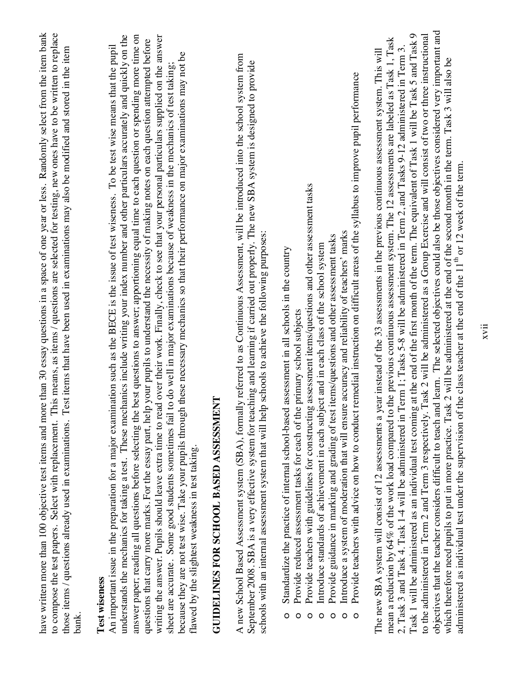| ore than 30 essay questions in a space of one year or less. Randomly select from the item bank<br>This means, as items / questions are selected for testing, new ones have to be written to replace<br>An important issue in the preparation for a major examination such as the BECE is the issue of test wiseness. To be test wise means that the pupil<br>Test items that have been used in examinations may also be modified and stored in the item<br>have written more than 100 objective test items and mo<br>to compose the test papers. Select with replacement.<br>those items / questions already used in examinations.<br>Test wiseness<br>$b$ an $\bf{k}$                                                                                                                                                                                                                                                                                                                                                                                                                                                                                                                                                               |
|--------------------------------------------------------------------------------------------------------------------------------------------------------------------------------------------------------------------------------------------------------------------------------------------------------------------------------------------------------------------------------------------------------------------------------------------------------------------------------------------------------------------------------------------------------------------------------------------------------------------------------------------------------------------------------------------------------------------------------------------------------------------------------------------------------------------------------------------------------------------------------------------------------------------------------------------------------------------------------------------------------------------------------------------------------------------------------------------------------------------------------------------------------------------------------------------------------------------------------------|
| answer paper; reading all questions before selecting the best questions to answer; apportioning equal time to each question or spending more time on<br>understands the mechanics for taking a test. These mechanics include writing your index number and other particulars accurately and quickly on the<br>writing the answer. Pupils should leave extra time to read over their work. Finally, check to see that your personal particulars supplied on the answer<br>questions that carry more marks. For the essay part, help your pupils to understand the necessity of making notes on each question attempted before<br>because they are not test wise. Take your pupils through these necessary mechanics so that their performance on major examinations may not be<br>to do well in major examinations because of weakness in the mechanics of test taking;<br>sheet are accurate. Some good students sometimes fail<br>flawed by the slightest weakness in test taking.                                                                                                                                                                                                                                                  |
| ENT<br>GUIDELINES FOR SCHOOL BASED ASSESSMI                                                                                                                                                                                                                                                                                                                                                                                                                                                                                                                                                                                                                                                                                                                                                                                                                                                                                                                                                                                                                                                                                                                                                                                          |
| A new School Based Assessment system (SBA), formally referred to as Continuous Assessment, will be introduced into the school system from<br>September 2008. SBA is a very effective system for teaching and learning if carried out properly. The new SBA system is designed to provide<br>schools with an internal assessment system that will help schools to achieve the following purposes:                                                                                                                                                                                                                                                                                                                                                                                                                                                                                                                                                                                                                                                                                                                                                                                                                                     |
| Provide teachers with guidelines for constructing assessment items/questions and other assessment tasks<br>Introduce a system of moderation that will ensure accuracy and reliability of teachers' marks<br>Provide guidance in marking and grading of test items/questions and other assessment tasks<br>ject and in each class of the school system<br>Standardize the practice of internal school-based assessment in all schools in the country<br>Provide reduced assessment tasks for each of the primary school subjects<br>Introduce standards of achievement in each sub<br>$\circ$<br>O<br>О<br>О<br>O<br>О                                                                                                                                                                                                                                                                                                                                                                                                                                                                                                                                                                                                                |
| Provide teachers with advice on how to conduct remedial instruction on difficult areas of the syllabus to improve pupil performance<br>$\circ$                                                                                                                                                                                                                                                                                                                                                                                                                                                                                                                                                                                                                                                                                                                                                                                                                                                                                                                                                                                                                                                                                       |
| objectives that the teacher considers difficult to teach and learn. The selected objectives could also be those objectives considered very important and<br>Task 1 will be administered as an individual test coming at the end of the first month of the term. The equivalent of Task 1 will be Task 5 and Task 9<br>to the administered in Term 2 and Term 3 respectively. Task 2 will be administered as a Group Exercise and will consist of two or three instructional<br>mean a reduction by 64% of the work load compared to the previous continuous assessment system. The 12 assessments are labeled as Task 1, Task<br>Term 1; Tasks 5-8 will be administered in Term 2, and Tasks 9-12 administered in Term 3<br>year instead of the 33 assessments in the previous continuous assessment system. This will<br>which therefore need pupils to put in more practice. Task 2 will be administered at the end of the second month in the term. Task 3 will also be<br>administered as individual test under the supervision of the class teacher at the end of the 11 <sup>th</sup> or 12 week of the term.<br>2, Task 3 and Task 4. Task 1-4 will be administered in<br>The new SBA system will consist of 12 assessments a |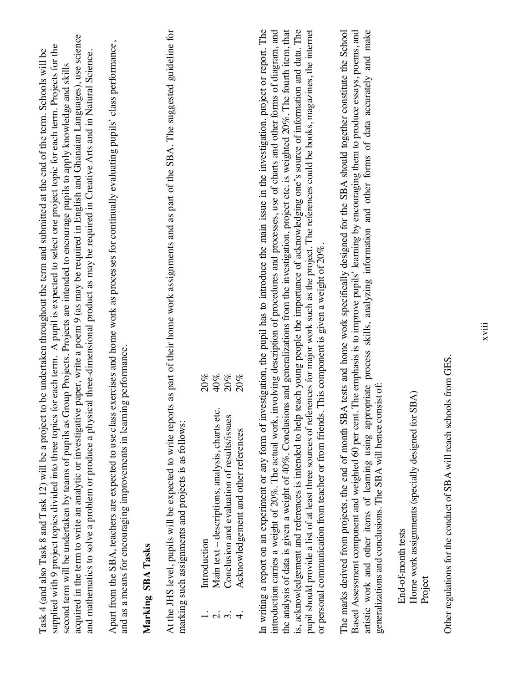| acquired in the term to write an analytic or investigative paper, write a poem 9 (as may be required in English and Ghanaian Languages), use science<br>Apart from the SBA, teachers are expected to use class exercises and home work as processes for continually evaluating pupils' class performance,<br>supplied with 9 project topics divided into three topics for each term. A pupil is expected to select one project topic for each term. Projects for the<br>Task 4 (and also Task 8 and Task 12) will be a project to be undertaken throughout the term and submitted at the end of the term. Schools will be<br>and mathematics to solve a problem or produce a physical three-dimensional product as may be required in Creative Arts and in Natural Science.<br>Group Projects. Projects are intended to encourage pupils to apply knowledge and skills<br>and as a means for encouraging improvements in learning performance.<br>second term will be undertaken by teams of pupils as<br>Marking SBA Tasks | At the JHS level, pupils will be expected to write reports as part of their home work assignments and as part of the SBA. The suggested guideline for<br>marking such assignments and projects is as follows: | 40%<br>20%<br>20%<br>20%<br>Main text - descriptions, analysis, charts etc.<br>Conclusion and evaluation of results/issues<br>Acknowledgement and other references<br>Introduction<br><u>ณ์</u> ต่ | In writing a report on an experiment or any form of investigation, the pupil has to introduce the main issue in the investigation, project or report. The<br>the analysis of data is given a weight of 40%. Conclusions and generalizations from the investigation, project etc. is weighted 20%. The fourth item, that<br>is, acknowledgement and references is intended to help teach young people the importance of acknowledging one's source of information and data. The<br>pupil should provide a list of at least three sources of references for major work such as the project. The references could be books, magazines, the internet<br>introduction carries a weight of 20%. The actual work, involving description of procedures and processes, use of charts and other forms of diagram, and<br>or personal communication from teacher or from friends. This component is given a weight of 20%. | BA tests and home work specifically designed for the SBA should together constitute the School<br>Based Assessment component and weighted 60 per cent. The emphasis is to improve pupils' learning by encouraging them to produce essays, poems, and<br>artistic work and other items of learning using appropriate process skills, analyzing information and other forms of data accurately and make<br>generalizations and conclusions. The SBA will hence consist of<br>The marks derived from projects, the end of month SI |
|-----------------------------------------------------------------------------------------------------------------------------------------------------------------------------------------------------------------------------------------------------------------------------------------------------------------------------------------------------------------------------------------------------------------------------------------------------------------------------------------------------------------------------------------------------------------------------------------------------------------------------------------------------------------------------------------------------------------------------------------------------------------------------------------------------------------------------------------------------------------------------------------------------------------------------------------------------------------------------------------------------------------------------|---------------------------------------------------------------------------------------------------------------------------------------------------------------------------------------------------------------|----------------------------------------------------------------------------------------------------------------------------------------------------------------------------------------------------|-----------------------------------------------------------------------------------------------------------------------------------------------------------------------------------------------------------------------------------------------------------------------------------------------------------------------------------------------------------------------------------------------------------------------------------------------------------------------------------------------------------------------------------------------------------------------------------------------------------------------------------------------------------------------------------------------------------------------------------------------------------------------------------------------------------------------------------------------------------------------------------------------------------------|---------------------------------------------------------------------------------------------------------------------------------------------------------------------------------------------------------------------------------------------------------------------------------------------------------------------------------------------------------------------------------------------------------------------------------------------------------------------------------------------------------------------------------|
|-----------------------------------------------------------------------------------------------------------------------------------------------------------------------------------------------------------------------------------------------------------------------------------------------------------------------------------------------------------------------------------------------------------------------------------------------------------------------------------------------------------------------------------------------------------------------------------------------------------------------------------------------------------------------------------------------------------------------------------------------------------------------------------------------------------------------------------------------------------------------------------------------------------------------------------------------------------------------------------------------------------------------------|---------------------------------------------------------------------------------------------------------------------------------------------------------------------------------------------------------------|----------------------------------------------------------------------------------------------------------------------------------------------------------------------------------------------------|-----------------------------------------------------------------------------------------------------------------------------------------------------------------------------------------------------------------------------------------------------------------------------------------------------------------------------------------------------------------------------------------------------------------------------------------------------------------------------------------------------------------------------------------------------------------------------------------------------------------------------------------------------------------------------------------------------------------------------------------------------------------------------------------------------------------------------------------------------------------------------------------------------------------|---------------------------------------------------------------------------------------------------------------------------------------------------------------------------------------------------------------------------------------------------------------------------------------------------------------------------------------------------------------------------------------------------------------------------------------------------------------------------------------------------------------------------------|

Home work assignments (specially designed for SBA) Project Home work assignments (specially designed for SBA) End-of-month tests End-of-month tests

Other regulations for the conduct of SBA will reach schools from GES. Other regulations for the conduct of SBA will reach schools from GES.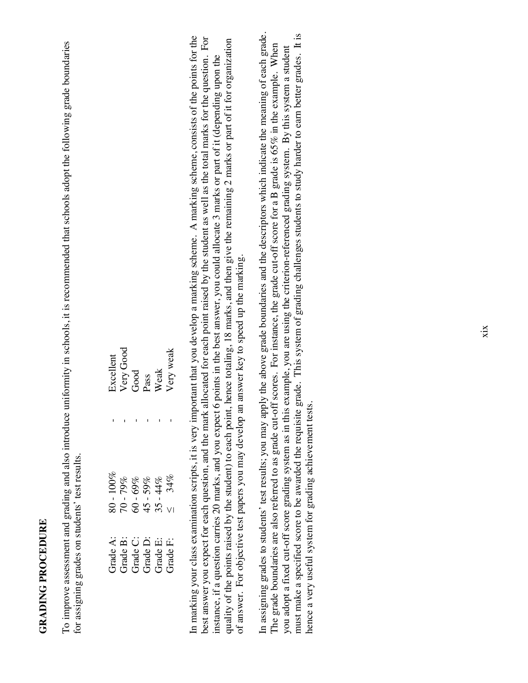### **GRADING PROCEDURE GRADING PROCEDURE**

To improve assessment and grading and also introduce uniformity in schools, it is recommended that schools adopt the following grade boundaries To improve assessment and grading and also introduce uniformity in schools, it is recommended that schools adopt the following grade boundaries for assigning grades on students' test results. for assigning grades on students' test results.

| xcellent |  |                                                                      | Very Good<br>Good<br>Pass<br>Weak<br>Wery weak |
|----------|--|----------------------------------------------------------------------|------------------------------------------------|
|          |  |                                                                      |                                                |
|          |  | $80 - 100\%$<br>70 - 79%<br>60 - 69%<br>45 - 59%<br>35 - 44%<br>34%  |                                                |
|          |  | Grade A:<br>Grade B:<br>Grade D:<br>Grade E:<br>Grade E:<br>Grade E: |                                                |

In marking your class examination scripts, it is very important that you develop a marking scheme. A marking scheme, consists of the points for the In marking your class examination scripts, it is very important that you develop a marking scheme. A marking scheme, consists of the points for the best answer you expect for each question, and the mark allocated for each point raised by the student as well as the total marks for the question. For best answer you expect for each question, and the mark allocated for each point raised by the student as well as the total marks for the question. For quality of the points raised by the student) to each point, hence totaling, 18 marks, and then give the remaining 2 marks or part of it for organization quality of the points raised by the student) to each point, hence totaling, 18 marks, and then give the remaining 2 marks or part of it for organization instance, if a question carries 20 marks, and you expect 6 points in the best answer, you could allocate 3 marks or part of it (depending upon the instance, if a question carries 20 marks, and you expect 6 points in the best answer, you could allocate 3 marks or part of it (depending upon the of answer. For objective test papers you may develop an answer key to speed up the marking. of answer. For objective test papers you may develop an answer key to speed up the marking. In assigning grades to students' test results; you may apply the above grade boundaries and the descriptors which indicate the meaning of each grade. In assigning grades to students' test results; you may apply the above grade boundaries and the descriptors which indicate the meaning of each grade. must make a specified score to be awarded the requisite grade. This system of grading challenges students to study harder to earn better grades. It is must make a specified score to be awarded the requisite grade. This system of grading challenges students to study harder to earn better grades. It is The grade boundaries are also referred to as grade cut-off scores. For instance, the grade cut-off score for a B grade is 65% in the example. When The grade boundaries are also referred to as grade cut-off scores. For instance, the grade cut-off score for a B grade is 65% in the example. When you adopt a fixed cut-off score grading system as in this example, you are using the criterion-referenced grading system. By this system a student you adopt a fixed cut-off score grading system as in this example, you are using the criterion-referenced grading system. By this system a student nence a very useful system for grading achievement tests. hence a very useful system for grading achievement tests.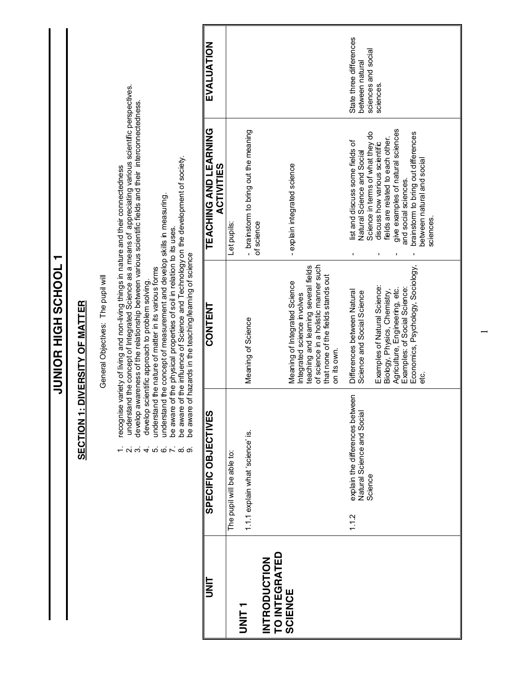|                                                        | <b>SECTION1</b><br>$ \sim$ $\sim$<br>4.0                                          | ecognise variety of living and non-living things in nature and their connectedness<br>JUNIOR HIGH SCHOOL<br>understand the nature of matter in its various forms<br>General Objectives: The pupil will<br>develop scientific approach to problem solving.<br><b>DIVERSITY OF MATTER</b>                          | understand the concept of Integrated Science as a means of appreciating various scientific perspectives.<br>develop awareness of the relationship between various scientific fields and their interconnectedness.<br>$\overline{\phantom{0}}$ |                                                                   |
|--------------------------------------------------------|-----------------------------------------------------------------------------------|------------------------------------------------------------------------------------------------------------------------------------------------------------------------------------------------------------------------------------------------------------------------------------------------------------------|-----------------------------------------------------------------------------------------------------------------------------------------------------------------------------------------------------------------------------------------------|-------------------------------------------------------------------|
| t<br>M                                                 | SPECIFIC OBJECTIVES<br>$\ddot{\circ} \sim \dot{\circ} \dot{\circ}$                | be aware of the influence of Science and Technology on the development of society.<br>understand the concept of measurement and develop skills in measuring<br>be aware of the physical properties of soil in relation to its uses.<br>be aware of hazards in the teaching/learning of science<br><b>CONTENT</b> | <b>TEACHING AND LEARNING</b><br><b>ACTIVITIES</b>                                                                                                                                                                                             | EVALUATION                                                        |
|                                                        | The pupil will be able to:                                                        |                                                                                                                                                                                                                                                                                                                  | Let pupils                                                                                                                                                                                                                                    |                                                                   |
| ヒミっ                                                    | 1.1.1 explain what 'science' is.                                                  | Meaning of Science                                                                                                                                                                                                                                                                                               | - brainstorm to bring out the meaning<br>of science                                                                                                                                                                                           |                                                                   |
| <b>TO INTEGRATED</b><br><b>INTRODUCTION</b><br>SCIENCE |                                                                                   | of science in a holistic manner such<br>teaching and learning several fields<br>that none of the fields stands out<br>Meaning of Integrated Science<br>Integrated science involves                                                                                                                               | - explain integrated science                                                                                                                                                                                                                  |                                                                   |
|                                                        | explain the differences between<br>Natural Science and Social<br>Science<br>1.1.2 | Differences between Natural<br>Science and Social Science<br>on its own.                                                                                                                                                                                                                                         | Science in terms of what they do<br>list and discuss some fields of<br>Natural Science and Social                                                                                                                                             | State three differences<br>sciences and social<br>between natural |
|                                                        |                                                                                   | Economics, Psychology, Sociology,<br>Examples of Natural Science:<br>Agriculture, Engineering, etc.<br>Examples: of Social Science:<br>Biology, Physics, Chemistry,                                                                                                                                              | give examples of natural sciences<br>brainstorm to bring out differences<br>fields are related to each other.<br>discuss how various scientific<br>between natural and social<br>and social sciences.<br>sciences.                            | sciences                                                          |
|                                                        |                                                                                   |                                                                                                                                                                                                                                                                                                                  |                                                                                                                                                                                                                                               |                                                                   |

 $\overline{\phantom{0}}$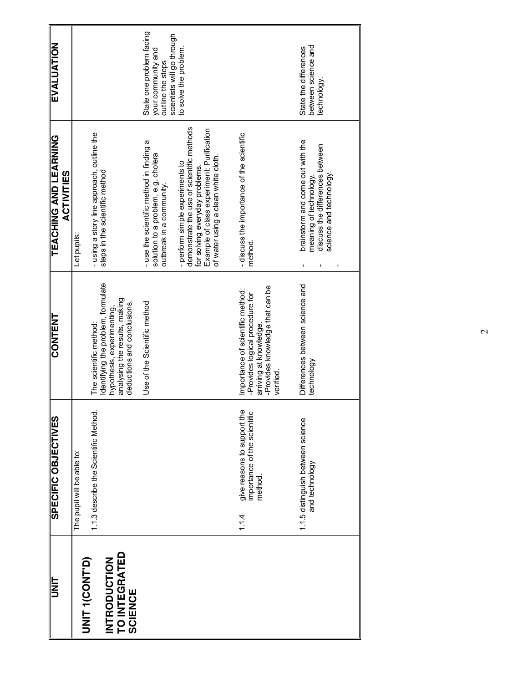| UNIT                                                   | SPECIFIC OBJECTIVES                                                           | <b>CONTENT</b>                                                                                                                                             | <b>TEACHING AND LEARNING</b><br><b>ACTIVITIES</b>                                                                                                                                                 | EVALUATION                                                          |
|--------------------------------------------------------|-------------------------------------------------------------------------------|------------------------------------------------------------------------------------------------------------------------------------------------------------|---------------------------------------------------------------------------------------------------------------------------------------------------------------------------------------------------|---------------------------------------------------------------------|
| <b>UNIT TIMOS</b>                                      | The pupil will be able to:                                                    |                                                                                                                                                            | Let pupils:                                                                                                                                                                                       |                                                                     |
| TO INTEGRATED<br><b>INTRODUCTION</b><br><b>SCIENCE</b> | 1.1.3 describe the Scientific Method.                                         | Identifying the problem, formulate<br>analysing the results, making<br>deductions and conclusions.<br>hypothesis, experimenting,<br>The scientific method: | - using a story line approach, outline the<br>steps in the scientific method                                                                                                                      |                                                                     |
|                                                        |                                                                               | Use of the Scientific method                                                                                                                               | - use the scientific method in finding a<br>solution to a problem, e.g. cholera<br>outbreak in a community.                                                                                       | State one problem facing<br>your community and<br>outline the steps |
|                                                        |                                                                               |                                                                                                                                                            | demonstrate the use of scientific methods<br>Example of class experiment: Purification<br>of water using a clean white cloth<br>- perform simple experiments to<br>for solving everyday problems. | scientists will go through<br>to solve the problem.                 |
|                                                        | give reasons to support the<br>importance of the scientific<br>method<br>1.14 | -Provides knowledge that can be<br>Importance of scientific method:<br>-Provides logical procedure for<br>arriving at knowledge.<br>verified               | - discuss the importance of the scientific<br>method                                                                                                                                              |                                                                     |
|                                                        | 1.1.5 distinguish between science<br>and technology                           | Differences between science and<br>technology                                                                                                              | brainstorm and come out with the<br>discuss the differences between<br>science and technology<br>meaning of technology                                                                            | between science and<br>State the differences<br>technology.         |

 $\mathcal{L}$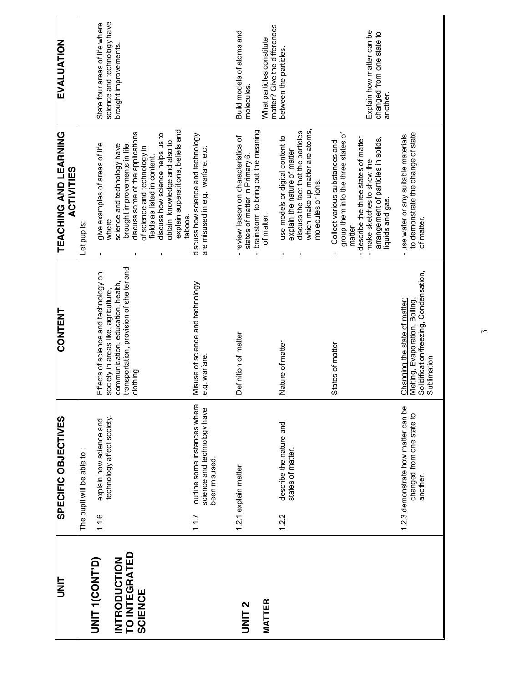| <b>EVALUATION</b>                                 |                           | science and technology have<br>State four areas of life where               | brought improvements                                                          |                                                                                                  |                                                                                                                  |                                                                                       | Build models of atoms and<br>molecules.                                                                                          | matter? Give the differences<br>What particles constitute | between the particles                                                                                                                      |                    |                                                                                 | Explain how matter can be<br>changed from one state to                                                      | another.         |                                                                                                                          |
|---------------------------------------------------|---------------------------|-----------------------------------------------------------------------------|-------------------------------------------------------------------------------|--------------------------------------------------------------------------------------------------|------------------------------------------------------------------------------------------------------------------|---------------------------------------------------------------------------------------|----------------------------------------------------------------------------------------------------------------------------------|-----------------------------------------------------------|--------------------------------------------------------------------------------------------------------------------------------------------|--------------------|---------------------------------------------------------------------------------|-------------------------------------------------------------------------------------------------------------|------------------|--------------------------------------------------------------------------------------------------------------------------|
| <b>TEACHING AND LEARNING</b><br><b>ACTIVITIES</b> | Let pupils:               | give examples of areas of life<br>where                                     | brought improvements in life.<br>science and technology have                  | discuss some of the applications<br>of science and technology in<br>fields as listed in content. | explain superstitions, beliefs and<br>discuss how science helps us to<br>obtain knowledge and also to<br>taboos. | discuss how science and technology<br>are misused in e.g. warfare, etc.               | brainstorm to bring out the meaning<br>- review lesson on characteristics of<br>states of matter in Primary 6.<br>$\blacksquare$ | of matter.                                                | which make up matter are atoms,<br>discuss the fact that the particles<br>use models or digital content to<br>explain the nature of matter | molecules or ions. | group them into the three states of<br>Collect various substances and<br>matter | - describe the three states of matter<br>arrangement of particles in solids,<br>- make sketches to show the | liquids and gas. | to demonstrate the change of state<br>- use water or any suitable materials<br>of matter.                                |
| <b>CONTENT</b>                                    |                           | Effects of science and technology on<br>society in areas like, agriculture, | transportation, provision of shelter and<br>communication, education, health, | clothing                                                                                         |                                                                                                                  | Misuse of science and technology<br>e.g. warfare.                                     | Definition of matter                                                                                                             |                                                           | Nature of matter                                                                                                                           |                    | States of matter                                                                |                                                                                                             |                  | Solidification/freezing, Condensation,<br>Sublimation<br>Melting, Evaporation, Boiling,<br>Changing the state of matter: |
| <b>SPECIFIC OBJECTIVES</b>                        | The pupil will be able to | technology affect society.<br>explain how science and<br>1.16               |                                                                               |                                                                                                  |                                                                                                                  | outline some instances where<br>science and technology have<br>been misused.<br>1.1.7 | 1.2.1 explain matter                                                                                                             |                                                           | describe the nature and<br>states of matter.<br>1.2.2                                                                                      |                    |                                                                                 |                                                                                                             |                  | 1.2.3 demonstrate how matter can be<br>changed from one state to<br>another.                                             |
| <br> <br> E                                       |                           | O<br>NT TUNT<br>NT D                                                        | TO INTEGRATED<br>INTRODUCTION                                                 | <b>SCIENCE</b>                                                                                   |                                                                                                                  |                                                                                       | UNIT <sub>2</sub>                                                                                                                | <b>MATTER</b>                                             |                                                                                                                                            |                    |                                                                                 |                                                                                                             |                  |                                                                                                                          |

 $\omega$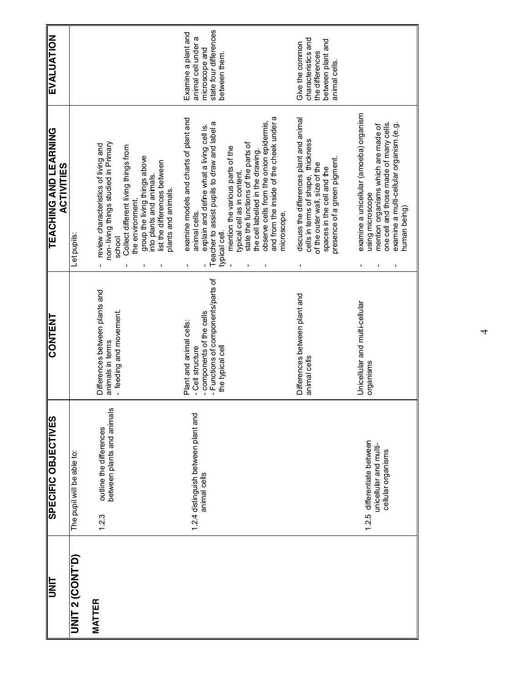| <b>TINIT</b>           | <b>SPECIFIC OBJECTIVES</b>                                                  | <b>CONTENT</b>                                                                                                                     | <b>TEACHING AND LEARNING</b><br><b>ACTIVITIES</b>                                                                                                                                                                                                                                                                                                                                                                          | <b>EVALUATION</b>                                                                                       |
|------------------------|-----------------------------------------------------------------------------|------------------------------------------------------------------------------------------------------------------------------------|----------------------------------------------------------------------------------------------------------------------------------------------------------------------------------------------------------------------------------------------------------------------------------------------------------------------------------------------------------------------------------------------------------------------------|---------------------------------------------------------------------------------------------------------|
| <b>UNIT 2 (CONT'D)</b> | The pupil will be able to:                                                  |                                                                                                                                    | Let pupils:                                                                                                                                                                                                                                                                                                                                                                                                                |                                                                                                         |
| <b>MATTER</b>          | between plants and animals<br>outline the differences<br>1.2.3              | Differences between plants and<br>- feeding and movement<br>animals in terms                                                       | non-living things studied in Primary<br>review characteristics of living and<br>Collect different living things from<br>group the living things above<br>list the differences between<br>into plants and animals.<br>plants and animals.<br>the environment.<br>school                                                                                                                                                     |                                                                                                         |
|                        | 1.2.4 distinguish between plant and<br>animal cells                         | - Functions of components/parts of<br>- components of the cells<br>Plant and animal cells:<br>the typical cell<br>- Cell structure | and from the inside of the cheek under a<br>examine models and charts of plant and<br>observe cells from the onion epidermis,<br>Teacher to assist pupils to draw and label a<br>explain and define what a living cell is.<br>state the functions of the parts of<br>mention the various parts of the<br>the cell labelled in the drawing.<br>typical cell as in content.<br>microscope.<br>animal cells.<br>typical cell. | state four differences<br>Examine a plant and<br>animal cell under a<br>microscope and<br>between them. |
|                        |                                                                             | Differences between plant and<br>animal cells                                                                                      | discuss the differences plant and animal<br>cells in terms of shape, thickness<br>presence of a green pigment.<br>of the outer wall, size of the<br>spaces in the cell and the                                                                                                                                                                                                                                             | characteristics and<br>between plant and<br>Give the common<br>the differences<br>animal cells.         |
|                        | 1.2.5 differentiate between<br>unicellular and multi-<br>cellular organisms | Unicellular and multi-cellular<br>organisms                                                                                        | examine a unicellular (amoeba) organism<br>one cell and those made of many cells.<br>examine a multi-cellular organism.(e.g.<br>mention organisms which are made of<br>using microscope<br>human being)                                                                                                                                                                                                                    |                                                                                                         |

4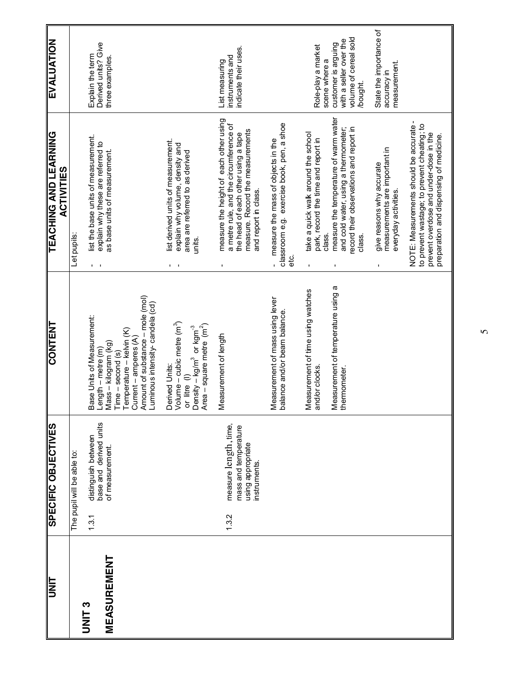| <b>TEACHING AND LEARNING</b><br>list the base units of measurement.<br>explain why these are referred to<br>Let pupils:<br>Base Units of Measurement:<br><b>CONTENT</b><br>SPECIFIC OBJECTIVES<br>distinguish between<br>The pupil will be able to:                     |
|-------------------------------------------------------------------------------------------------------------------------------------------------------------------------------------------------------------------------------------------------------------------------|
| $\mathbf{I}=\mathbf{I}$<br>Amount of substance – mole (mol)<br>Luminous intensity-candela (cd)<br>Temperature - kelvin (K)<br>Current - amperes (A)<br>Mass – kilogram (kg)<br>Length – metre $(m)$<br>$Time - second$ (s)<br>base and derived units<br>of measurement. |
| Volume – cubic metre (m <sup>3</sup> )<br>Area – square metre $(m2)$<br>Density – kg/m <sup>3</sup> or kgm <sup>-3</sup><br>Derived Units:<br>$\in$<br>or litre                                                                                                         |
| Measurement of length<br>measure length, time,<br>mass and temperature<br>using appropriate<br>instruments.                                                                                                                                                             |
| Measurement of mass using lever<br>balance and/or beam balance.                                                                                                                                                                                                         |
| Measurement of temperature using a<br>Measurement of time using watches<br>and/or clocks<br>thermometer.                                                                                                                                                                |
|                                                                                                                                                                                                                                                                         |
|                                                                                                                                                                                                                                                                         |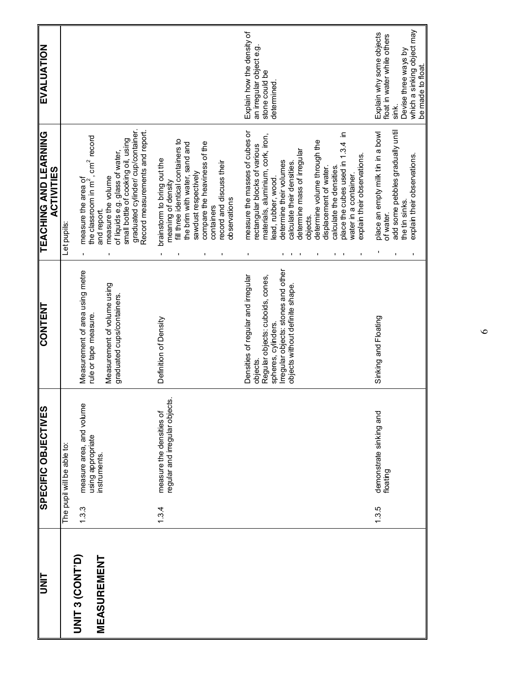|                        |       | SPECIFIC OBJECTIVES                                        | <b>CONTENT</b>                                           | <b>TEACHING AND LEARNING</b><br><b>ACTIVITIES</b>                                                         | <b>EVALUATION</b>                               |
|------------------------|-------|------------------------------------------------------------|----------------------------------------------------------|-----------------------------------------------------------------------------------------------------------|-------------------------------------------------|
|                        |       | The pupil will be able to:                                 |                                                          | Let pupils:                                                                                               |                                                 |
| <b>UNIT 3 (CONT'D)</b> | 1.3.3 | measure area, and volume<br>using appropriate              | Measurement of area using metre<br>rule or tape measure. | the classroom in m <sup>2</sup> , cm <sup>2</sup> record<br>measure the area of                           |                                                 |
| MEASUREMENT            |       | <b>instruments</b>                                         | Measurement of volume using                              | measure the volume<br>and report.                                                                         |                                                 |
|                        |       |                                                            | graduated cups/containers.                               | graduated cylinder/cup/container<br>small bottle of cooking oil, using<br>of liquids e.g. glass of water, |                                                 |
|                        |       |                                                            |                                                          | Record measurements and report.                                                                           |                                                 |
|                        | 1.3.4 | regular and irregular objects.<br>measure the densities of | Definition of Density                                    | fill three identical containers to<br>brainstorm to bring out the<br>meaning of density                   |                                                 |
|                        |       |                                                            |                                                          | compare the heaviness of the<br>the brim with water, sand and<br>sawdust respectively<br>I.               |                                                 |
|                        |       |                                                            |                                                          | containers                                                                                                |                                                 |
|                        |       |                                                            |                                                          | record and discuss their<br>observations                                                                  |                                                 |
|                        |       |                                                            | Densities of regular and irregular                       | measure the masses of cubes or                                                                            | Explain how the density of                      |
|                        |       |                                                            | objects.                                                 | rectangular blocks of various                                                                             | an irregular object e.g.                        |
|                        |       |                                                            | Regular objects: cuboids, cones,<br>spheres, cylinders.  | materials, aluminium, cork, iron,<br>lead, rubber, wood.                                                  | stone could be<br>determined                    |
|                        |       |                                                            | Irregular objects: stones and other                      | determine their volumes                                                                                   |                                                 |
|                        |       |                                                            | objects without definite shape.                          | calculate their densities.                                                                                |                                                 |
|                        |       |                                                            |                                                          | determine mass of irregular<br>objects.                                                                   |                                                 |
|                        |       |                                                            |                                                          | determine volume through the                                                                              |                                                 |
|                        |       |                                                            |                                                          | displacement of water.                                                                                    |                                                 |
|                        |       |                                                            |                                                          | ≘.<br>place the cubes used in 1.3.4<br>calculate the densities.                                           |                                                 |
|                        |       |                                                            |                                                          | water in a container.                                                                                     |                                                 |
|                        |       |                                                            |                                                          | explain their observations<br>$\blacksquare$                                                              |                                                 |
|                        | 1.3.5 | demonstrate sinking and<br>floating                        | Sinking and Floating                                     | place an empty milk tin in a bowl<br>of water.                                                            | Explain why some objects                        |
|                        |       |                                                            |                                                          | add some pebbles gradually until                                                                          | float in water while others<br>sink.            |
|                        |       |                                                            |                                                          | the tin sinks.                                                                                            | Devise three ways by                            |
|                        |       |                                                            |                                                          | explain their observations.<br>$\blacksquare$                                                             | which a sinking object may<br>be made to float. |

 $\circ$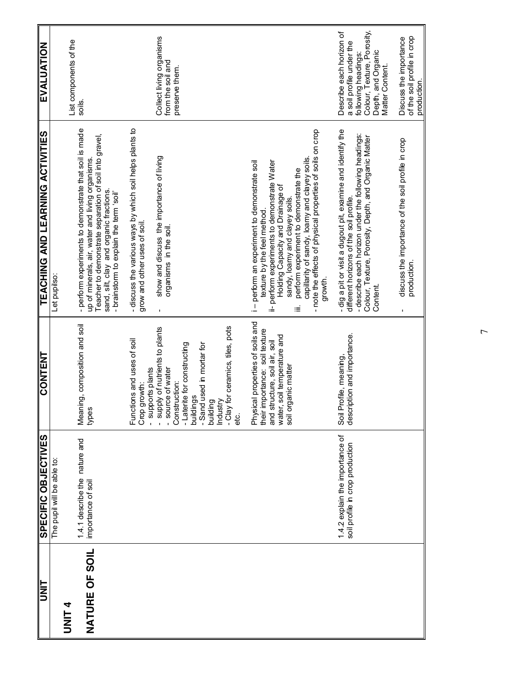| $\frac{1}{\sqrt{1-\frac{1}{2}}}$ | <b>SPECIFIC OBJECTIVES</b>                          | <b>CONTENT</b><br>║                                                                                    | <b>TEACHING AND LEARNING ACTIVITIES</b>                                                                                                                  | <b>EVALUATION</b>                                                             |
|----------------------------------|-----------------------------------------------------|--------------------------------------------------------------------------------------------------------|----------------------------------------------------------------------------------------------------------------------------------------------------------|-------------------------------------------------------------------------------|
|                                  | The pupil will be able to:                          |                                                                                                        | Let pupilso:                                                                                                                                             |                                                                               |
| UNIT <sub>4</sub>                |                                                     |                                                                                                        |                                                                                                                                                          | List components of the                                                        |
| NATURE OF SOIL                   | 1.4.1 describe the nature and<br>importance of soil | Meaning, composition and soil<br>types                                                                 | - perform experiments to demonstrate that soil is made<br>up of minerals, air, water and living organisms.                                               | soils.                                                                        |
|                                  |                                                     |                                                                                                        | Teacher to demonstrate separation of soil into gravel,<br>sand, silt, clay and organic fractions.<br>- brainstorm to explain the term 'soil'             |                                                                               |
|                                  |                                                     | Functions and uses of soil<br>growth:<br>Crop                                                          | - discuss the various ways by which soil helps plants to<br>grow and other uses of soil.                                                                 |                                                                               |
|                                  |                                                     | - supply of nutrients to plants<br>- source of water<br>- supports plants                              | show and discuss the importance of living<br>organisms in the soil.                                                                                      | Collect living organisms<br>from the soil and                                 |
|                                  |                                                     | - Laterite for constructing<br>-Sand used in mortar for<br>Construction:<br>buildings                  |                                                                                                                                                          | preserve them.                                                                |
|                                  |                                                     | - Clay for ceramics, tiles, pots<br>building<br>Industry<br>ei<br>ei                                   |                                                                                                                                                          |                                                                               |
|                                  |                                                     |                                                                                                        |                                                                                                                                                          |                                                                               |
|                                  |                                                     | Physical properties of soils and<br>their importance: soil texture<br>structure, soil air, soil<br>and | i-perform an experiment to demonstrate soil<br>perform experiments to demonstrate Water<br>texture by the feel method.                                   |                                                                               |
|                                  |                                                     | water, soil temperature and<br>soil organic matter                                                     | perform experiment to demonstrate the<br>Holding Capacity and Drainage of<br>sandy, loamy and clayey soils.<br>≡                                         |                                                                               |
|                                  |                                                     |                                                                                                        | - note the effects of physical properties of soils on crop<br>capillarity of sandy, loamy and clayey soils.<br>growth.                                   |                                                                               |
|                                  | 1.4.2 explain the importance of                     | Profile, meaning,<br>Soil                                                                              | - dig a pit or visit a dugout pit, examine and identify the                                                                                              | Describe each horizon of                                                      |
|                                  | soil profile in crop production                     | description and importance.                                                                            | - describe each horizon under the following headings:<br>Colour, Texture, Porosity, Depth, and Organic Matter<br>different horizons of the soil profile. | Colour, Texture, Porosity,<br>a soil profile under the<br>following headings: |
|                                  |                                                     |                                                                                                        | Content.                                                                                                                                                 | Depth, and Organic<br>Matter Content.                                         |
|                                  |                                                     |                                                                                                        | discuss the importance of the soil profile in crop<br>production.                                                                                        | of the soil profile in crop<br>Discuss the importance<br>production.          |

 $\overline{ }$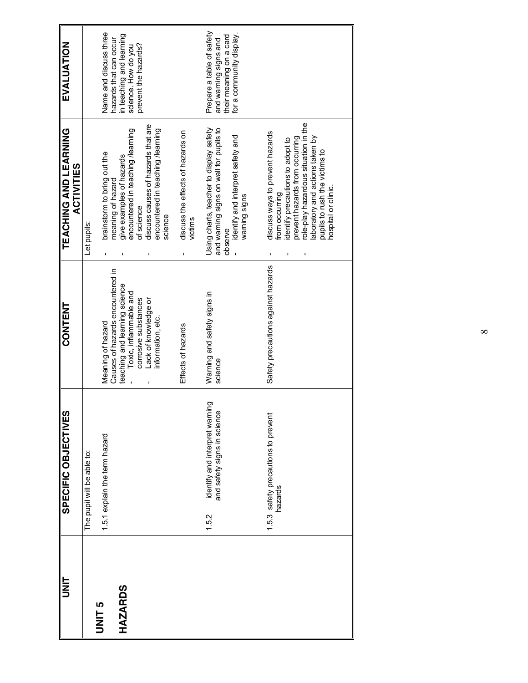| <b>UNIT</b>    | SPECIFIC OBJECTIVES                                                    | <b>CONTENT</b>                                                                  | <b>TEACHING AND LEARNING</b><br><b>ACTIVITIES</b>                                                                                                                                                                                                         | EVALUATION                                                                                                |
|----------------|------------------------------------------------------------------------|---------------------------------------------------------------------------------|-----------------------------------------------------------------------------------------------------------------------------------------------------------------------------------------------------------------------------------------------------------|-----------------------------------------------------------------------------------------------------------|
|                | The pupil will be able to:                                             |                                                                                 | Let pupils:                                                                                                                                                                                                                                               |                                                                                                           |
| <b>JNIT 5</b>  | 1.5.1 explain the term hazard                                          | Causes of hazards encountered in<br>Meaning of hazard                           | brainstorm to bring out the<br>meaning of hazard                                                                                                                                                                                                          | Name and discuss three<br>hazards that can occur                                                          |
| <b>HAZARDS</b> |                                                                        | teaching and learning science<br>Toxic, inflammable and<br>corrosive substances | encountered in teaching /learning<br>give examples of hazards<br>of science                                                                                                                                                                               | in teaching and learning<br>prevent the hazards?<br>science. How do you                                   |
|                |                                                                        | Lack of knowledge or<br>information, etc.                                       | discuss causes of hazards that are<br>encountered in teaching /learning<br>science                                                                                                                                                                        |                                                                                                           |
|                |                                                                        | Effects of hazards                                                              | discuss the effects of hazards on<br>victims                                                                                                                                                                                                              |                                                                                                           |
|                | identify and interpret warning<br>and safety signs in science<br>1.5.2 | Waming and safety signs in<br>science                                           | and warning signs on wall for pupils to<br>Using charts, teacher to display safety<br>identify and interpret safety and<br>observe                                                                                                                        | Prepare a table of safety<br>for a community display.<br>their meaning on a card<br>and warning signs and |
|                |                                                                        |                                                                                 | waming signs                                                                                                                                                                                                                                              |                                                                                                           |
|                | 1.5.3 safety precautions to prevent<br>hazards                         | Safety precautions against hazards                                              | role-play hazardous situation in the<br>discuss ways to prevent hazards<br>laboratory and actions taken by<br>prevent hazards from occurring<br>identify precautions to adopt to<br>pupils to rush the victims to<br>hospital or clinic<br>from occurring |                                                                                                           |
|                |                                                                        |                                                                                 |                                                                                                                                                                                                                                                           |                                                                                                           |

 $\infty$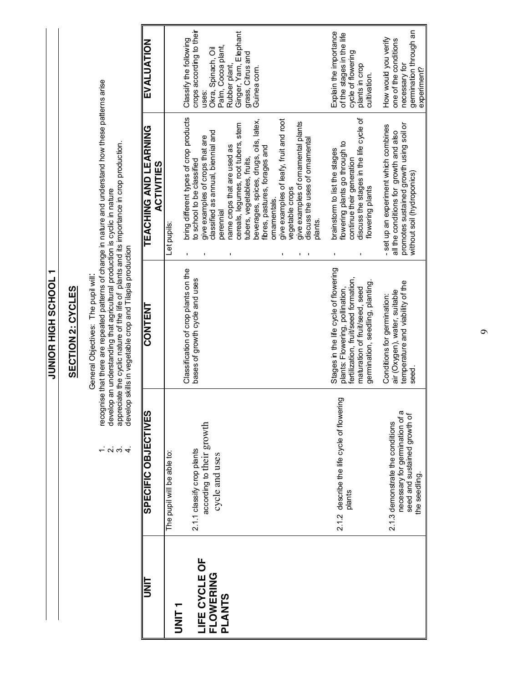**JUNIOR HIGH SCHOOL 1 T JOOH SS HUIT EOINDR** 

#### **SECTION 2: CYCLES SECTION 2: CYCLES**

General Objectives: The pupil will: General Objectives: The pupil will:

- recognise that there are repeated patterns of change in nature and understand how these patterns arise<br>develop an understanding that agricultural production is cyclic in nature<br>appreciate the cyclic nature of the life of p 1. recognise that there are repeated patterns of change in nature and understand how these patterns arise  $\vec{r}$   $\vec{q}$   $\vec{q}$ 
	- 2. develop an understanding that agricultural production is cyclic in nature
- 3. appreciate the cyclic nature of the life of plants and its importance in crop production. 4. develop skills in vegetable crop and Tilapia production

| $\ddot{\phantom{a}}$<br>ĺ<br><b>TEACHING SALE</b> |
|---------------------------------------------------|
| <b>NHNCC</b>                                      |
| i!<br>i<br><b>UC OB IFCT</b>                      |

| b<br>NH                                                                                          | SPECIFIC OBJECTIVES                           | <b>CONTENT</b>                                                           | <b>TEACHING AND LEARNING</b><br><b>ACTIVITIES</b>                               | EVALUATION                                          |
|--------------------------------------------------------------------------------------------------|-----------------------------------------------|--------------------------------------------------------------------------|---------------------------------------------------------------------------------|-----------------------------------------------------|
| T<br>H<br>N<br>D<br>N<br>D<br>N<br>D<br>D<br>D<br>D<br>D<br>D<br>D<br>D<br>D<br>D<br>D<br>$\Box$ | The pupil will be able to:                    |                                                                          | Let pupils:                                                                     |                                                     |
|                                                                                                  | 2.1.1 classify crop plants                    | Classification of crop plants on the<br>bases of growth cycle and uses   | bring different types of crop products<br>io school to be classified            | crops according to their<br>Classify the following  |
| LIFE CYCLE OF<br>FLOWERING                                                                       | according to their growth<br>cycle and uses   |                                                                          | classified as annual, biennial and<br>give examples of crops that are           | Okra, Spinach, Oil<br>uses:                         |
| PLANTS                                                                                           |                                               |                                                                          | name crops that are used as<br>berennial                                        | Palm, Cocoa plant,<br>Rubber plant,                 |
|                                                                                                  |                                               |                                                                          | cereals, legumes, root tubers, stem<br>tubers, vegetables, fruits,              | Ginger, Yam, Elephant<br>grass, Citrus and          |
|                                                                                                  |                                               |                                                                          | beverages, spices, drugs, oils, latex,<br>fibres, pastures, forages and         | Guinea com.                                         |
|                                                                                                  |                                               |                                                                          | ornamentals.                                                                    |                                                     |
|                                                                                                  |                                               |                                                                          | give examples of leafy, fruit and root<br>regetable crops                       |                                                     |
|                                                                                                  |                                               |                                                                          | give examples of omamental plants<br>discuss the uses of omamental              |                                                     |
|                                                                                                  |                                               |                                                                          | olants                                                                          |                                                     |
|                                                                                                  | 2.1.2 describe the life cycle of flowering    | Stages in the life cycle of flowering<br>plants: Flowering, pollination, | flowering plants go through to<br>brainstorm to list the stages                 | Explain the importance<br>of the stages in the life |
|                                                                                                  | plants                                        | fertilization, fruit/seed formation,<br>maturation of fruit/seed, seed   | discuss the stages in the life cycle of<br>continue their generation            | cycle of flowering<br>plants in crop                |
|                                                                                                  |                                               | germination, seedling, planting                                          | flowering plants                                                                | cultivation.                                        |
|                                                                                                  | 2.1.3 demonstrate the conditions              | air (Oxygen), water, suitable<br>Conditions for germination:             | - set up an experiment which combines<br>all the conditions for growth and also | How would you verify<br>one of the conditions       |
|                                                                                                  | necessary for germination of a                | temperature and viability of the                                         | promotes sustained growth using soil or                                         | necessary for                                       |
|                                                                                                  | seed and sustained growth of<br>the seedling. | <b>Seed</b>                                                              | without soil (hydroponics)                                                      | germination through an<br>experiment?               |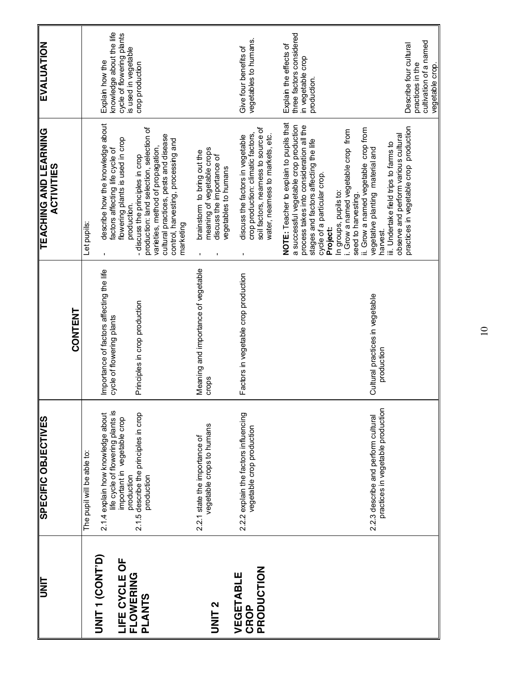| $\begin{tabular}{ c c } \hline \quad \quad & \quad \quad & \quad \quad \\ \hline \hline \textbf{UNIT} & \quad \quad & \quad \quad \\ \hline \end{tabular}$ | <b>SPECIFIC OBJECTIVES</b>                                                                                          |                                                                       | <b>TEACHING AND LEARNING</b><br><b>ACTIVITIES</b>                                                                                                                                                                                                                                 | EVALUATION                                                                                       |
|------------------------------------------------------------------------------------------------------------------------------------------------------------|---------------------------------------------------------------------------------------------------------------------|-----------------------------------------------------------------------|-----------------------------------------------------------------------------------------------------------------------------------------------------------------------------------------------------------------------------------------------------------------------------------|--------------------------------------------------------------------------------------------------|
|                                                                                                                                                            |                                                                                                                     | CONTENT                                                               |                                                                                                                                                                                                                                                                                   |                                                                                                  |
|                                                                                                                                                            | The pupil will be able to:                                                                                          |                                                                       | Let pupils:                                                                                                                                                                                                                                                                       |                                                                                                  |
| <b>UNIT 1 (CONT'D)</b><br><b>LIFE CYCLE OF<br/>FLOWERING</b>                                                                                               | life cycle of flowering plants is<br>2.1.4 explain how knowledge about<br>important in vegetable crop<br>production | Importance of factors affecting the life<br>cycle of flowering plants | describe how the knowledge about<br>flowering plants is used in crop<br>factors affecting life cycle of<br>production.                                                                                                                                                            | knowledge about the life<br>cycle of flowering plants<br>is used in vegetable<br>Explain how the |
|                                                                                                                                                            | 2.1.5 describe the principles in crop<br>production                                                                 | Principles in crop production                                         | production: land selection, selection of<br>cultural practices, pests and disease<br>control, harvesting, processing and<br>varieties, method of propagation,<br>-discuss the principles in crop<br>marketing                                                                     | crop production                                                                                  |
|                                                                                                                                                            | vegetable crops to humans<br>2.2.1 state the importance of                                                          | Meaning and importance of vegetable<br>crops                          | meaning of vegetable crops<br>brainstorm to bring out the<br>discuss the importance of<br>vegetables to humans<br>$\mathbf{I}$                                                                                                                                                    |                                                                                                  |
| PRODUCTION<br>VEGETABLE                                                                                                                                    | 2.2.2 explain the factors influencing<br>vegetable crop production                                                  | Factors in vegetable crop production                                  | soil factors, nearness to source of<br>crop production: climatic factors,<br>water, neamess to markets, etc.<br>discuss the factors in vegetable<br>$\mathbf{I}$                                                                                                                  | vegetables to humans.<br>Give four benefits of                                                   |
|                                                                                                                                                            |                                                                                                                     |                                                                       | NOTE: Teacher to explain to pupils that<br>a successful vegetable crop production<br>process takes into consideration all the<br>i. Grow a named vegetable crop from<br>stages and factors affecting the life<br>cycle of a particular crop.<br>In groups, pupils to:<br>Project: | three factors considered<br>Explain the effects of<br>in vegetable crop<br>production.           |
|                                                                                                                                                            | practices in vegetable production<br>2.2.3 describe and perform cultural                                            | Cultural practices in vegetable<br>production                         | ii. Grow a named vegetable crop from<br>observe and perform various cultural<br>iii. Undertake field trips to farms to<br>vegetative planting material and<br>seed to harvesting.<br>harvest.                                                                                     |                                                                                                  |
|                                                                                                                                                            |                                                                                                                     |                                                                       | practices in vegetable crop production                                                                                                                                                                                                                                            | cultivation of a named<br>Describe four cultural<br>practices in the<br>vegetable crop.          |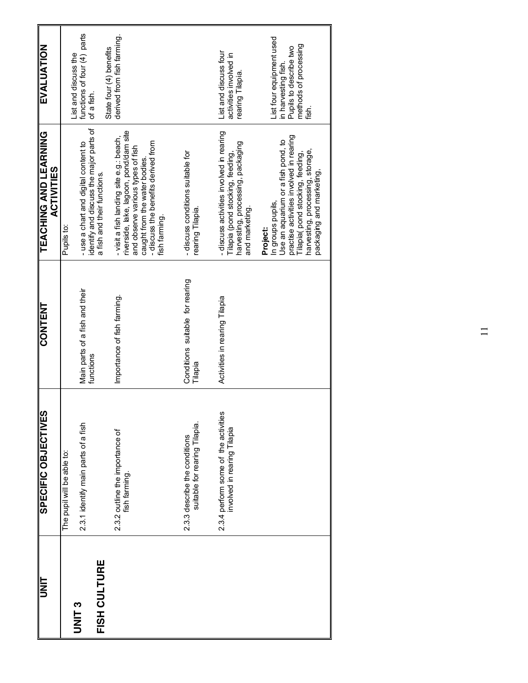| <b>UNL</b>                        | SPECIFIC OBJECTIVES                                            | <b>CONTENT</b>                              | <b>TEACHING AND LEARNING</b><br><b>ACTIVITIES</b>                                                                                                                                            | EVALUATION                                                                                                  |
|-----------------------------------|----------------------------------------------------------------|---------------------------------------------|----------------------------------------------------------------------------------------------------------------------------------------------------------------------------------------------|-------------------------------------------------------------------------------------------------------------|
|                                   | The pupil will be able to:                                     |                                             | Pupils to:                                                                                                                                                                                   | List and discuss the                                                                                        |
| FISH CULTURE<br>UNIT <sub>3</sub> | 2.3.1 identify main parts of a fish                            | Main parts of a fish and their<br>functions | identify and discuss the major parts of<br>-use a chart and digital content to<br>a fish and their functions.                                                                                | functions of four (4) parts<br>of a fish.                                                                   |
|                                   | 2.3.2 outline the importance of<br>fish farming.               | Importance of fish farming.                 | riverside, lake, lagoon, pond/dam site<br>- visit a fish landing site e.g.: beach,                                                                                                           | derived from fish farming.<br>State four (4) benefits                                                       |
|                                   |                                                                |                                             | - discuss the benefits derived from<br>and observe various types of fish<br>caught from the water bodies.<br>fish farming.                                                                   |                                                                                                             |
|                                   | suitable for rearing Tilapia.<br>2.3.3 describe the conditions | Conditions suitable for rearing<br>Tilapia  | -discuss conditions suitable for<br>rearing Tilapia.                                                                                                                                         |                                                                                                             |
|                                   | 2.3.4 perform some of the activities                           | Activities in rearing Tilapia               | - discuss activities involved in rearing                                                                                                                                                     | List and discuss four                                                                                       |
|                                   | involved in rearing Tilapia                                    |                                             | harvesting, processing, packaging<br>Tilapia (pond stocking, feeding,<br>and marketing.                                                                                                      | activities involved in<br>rearing Tilapia.                                                                  |
|                                   |                                                                |                                             | practise activities involved in rearing<br>Use an aquarium or a fish pond, to<br>harvesting, processing, storage,<br>Tilapia(pond stocking, feeding,<br>In groups pupils,<br><b>Project:</b> | List four equipment used<br>methods of processing<br>Pupils to describe two<br>in harvesting fish.<br>fish. |
|                                   |                                                                |                                             | packaging and marketing,                                                                                                                                                                     |                                                                                                             |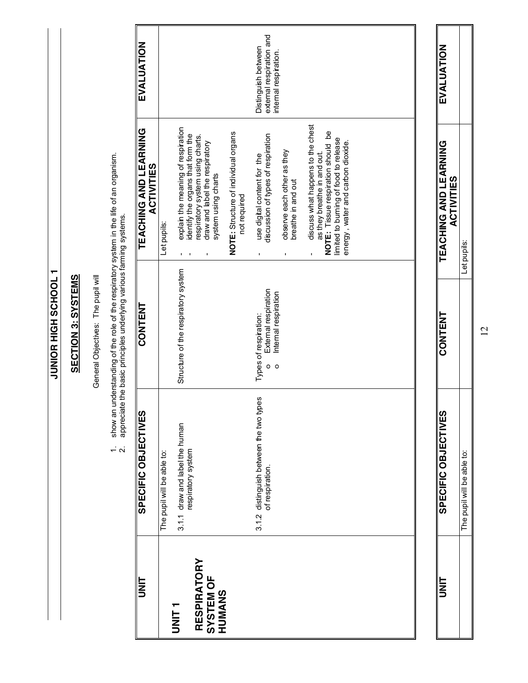**I TOOHDS HIGH SCHOOL JUNIOR HIGH SCHOOL 1**

## **SECTION 3: SYSTEMS SECTION 3: SYSTEMS**

General Objectives: The pupil will General Objectives: The pupil will

- 1. show an understanding of the role of the respiratory system in the life of an organism.<br>2. appreciate the basic principles underlying various farming systems. 1. show an understanding of the role of the respiratory system in the life of an organism.
	- 2. appreciate the basic principles underlying various farming systems.

| <b>UNL</b>                                       | SPECIFIC OBJECTIVES                                  | <b>CONTENT</b>                                                   | TEACHING AND LEARNING<br><b>ACTIVITIES</b>                                                                                                      | EVALUATION                                      |
|--------------------------------------------------|------------------------------------------------------|------------------------------------------------------------------|-------------------------------------------------------------------------------------------------------------------------------------------------|-------------------------------------------------|
|                                                  | The pupil will be able to:                           |                                                                  | Let pupils:                                                                                                                                     |                                                 |
| T<br>INIT<br>1                                   | 3.1.1 draw and label the human<br>respiratory system | Structure of the respiratory system                              | explain the meaning of respiration<br>identify the organs that form the                                                                         |                                                 |
| <b>RESPIRATORY</b><br><b>SYSTEM OF</b><br>HUMANS |                                                      |                                                                  | respiratory system using charts.<br>draw and label the respiratory<br>system using charts                                                       |                                                 |
|                                                  |                                                      |                                                                  | NOTE: Structure of individual organs<br>not required                                                                                            |                                                 |
|                                                  | 3.1.2 distinguish between the two types              | External respiration<br>Types of respiration:<br>$\circ$ $\circ$ | discussion of types of respiration<br>use digital content for the                                                                               | external respiration and<br>Distinguish between |
|                                                  |                                                      | Internal respiration                                             | observe each other as they<br>breathe in and out                                                                                                | internal respiration.                           |
|                                                  |                                                      |                                                                  | discuss what happens to the chest<br>NOTE: Tissue respiration should be<br>limited to burning of food to release<br>as they breathe in and out. |                                                 |
|                                                  |                                                      |                                                                  | energy, water and carbon dioxide.                                                                                                               |                                                 |
|                                                  |                                                      |                                                                  |                                                                                                                                                 |                                                 |
|                                                  |                                                      |                                                                  |                                                                                                                                                 |                                                 |

| EVALUATION<br><b>ACTIVITIES</b> |                                 |  |
|---------------------------------|---------------------------------|--|
| TEACHING AND LEARNIN            | :<br>}<br>ä<br>Ī,               |  |
| CONTENT                         |                                 |  |
| <b>SPECIFIC OBJECTIVES</b>      | ċ<br>e able<br>e<br>5<br>ء<br>م |  |
| =<br>K                          |                                 |  |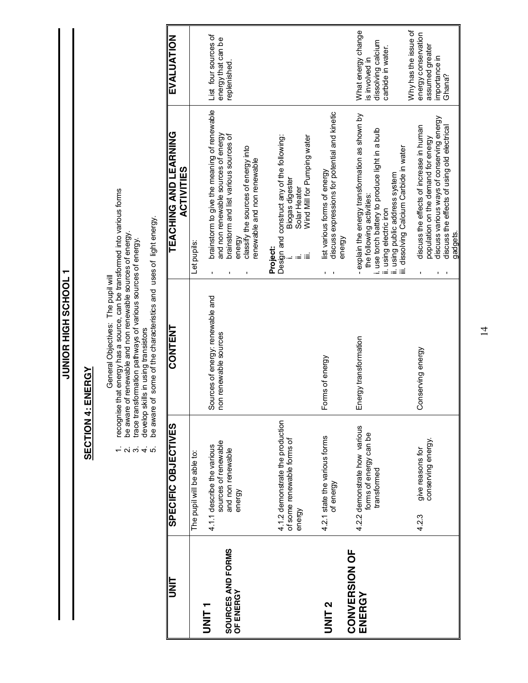JUNIOR HIGH SCHOOL 1 **T JOOH SS HUIT EOINDR** 

#### **SECTION 4: ENERGY SECTION 4: ENERGY**

General Objectives: The pupil will

- General Objectives: The pupil will<br>recognise that energy has a source, can be transformed into various forms<br>be aware of renewable and non renewable sources of energy.<br>trace transformation pathways of various sources of en 1. recognise that energy has a source, can be transformed into various forms  $\alpha$   $\alpha$   $+$   $\alpha$ 
	- 2. be aware of renewable and non renewable sources of energy.
		- 3. trace transformation pathways of various sources of energy.
			- 4. develop skills in using transistors
- 5. be aware of some of the characteristics and uses of light energy.

| ヒ<br>N<br>コ                               | SPECIFIC OBJECTIVES                                                               | <b>CONTENT</b>                                            | TEACHING AND LEARNING<br><b>ACTIVITIES</b>                                                                                                   | EVALUATION                                                 |
|-------------------------------------------|-----------------------------------------------------------------------------------|-----------------------------------------------------------|----------------------------------------------------------------------------------------------------------------------------------------------|------------------------------------------------------------|
|                                           | The pupil will be able to:                                                        |                                                           | Let pupils:                                                                                                                                  |                                                            |
| SOURCES AND FORMS<br>OF ENERGY<br>T LINIT | sources of renewable<br>4.1.1 describe the various<br>and non renewable<br>energy | Sources of energy: renewable and<br>non renewable sources | brainstorm to give the meaning of renewable<br>and non renewable sources of energy<br>brainstorm and list various sources of<br>energy<br>I, | List four sources of<br>energy that can be<br>replenished. |
|                                           |                                                                                   |                                                           | classify the sources of energy into<br>enewable and non renewable                                                                            |                                                            |
|                                           | 4.1.2 demonstrate the production<br>of some renewable forms of                    |                                                           | Design and construct any of the following:<br>Biogas digester<br>Solar Heater<br><b>Project:</b>                                             |                                                            |
|                                           | energy                                                                            |                                                           | Wind Mill for Pumping water                                                                                                                  |                                                            |
| <b>UNIT2</b>                              | 4.2.1 state the various forms<br>of energy                                        | Forms of energy                                           | discuss expressions for potential and kinetic<br>ist various forms of energy<br>energy                                                       |                                                            |
| <b>CONVERSION OF</b>                      | 4.2.2 demonstrate how various                                                     | Energy transformation                                     | explain the energy transformation as shown by<br>$\mathbf{I}$                                                                                | What energy change                                         |
| ENERGY                                    | forms of energy can be<br>transformed                                             |                                                           | i. use torch battery to produce light in a bulb<br>the following activities:                                                                 | dissolving calcium<br>is involved in                       |
|                                           |                                                                                   |                                                           | ii. using public address system<br>iii. dissolving Calcium Carbide in water<br>ii. using electric iron                                       | carbide in water.                                          |
|                                           |                                                                                   |                                                           |                                                                                                                                              | Why has the issue of                                       |
|                                           | conserving energy.<br>give reasons for<br>4.2.3                                   | Conserving energy                                         | discuss the effects of increase in human<br>population on the demand for energy                                                              | energy conservation<br>assumed greater                     |
|                                           |                                                                                   |                                                           | discuss various ways of conserving energy                                                                                                    | importance in<br>Ghana?                                    |
|                                           |                                                                                   |                                                           | discuss the effects of using old electrical<br>gadgets.                                                                                      |                                                            |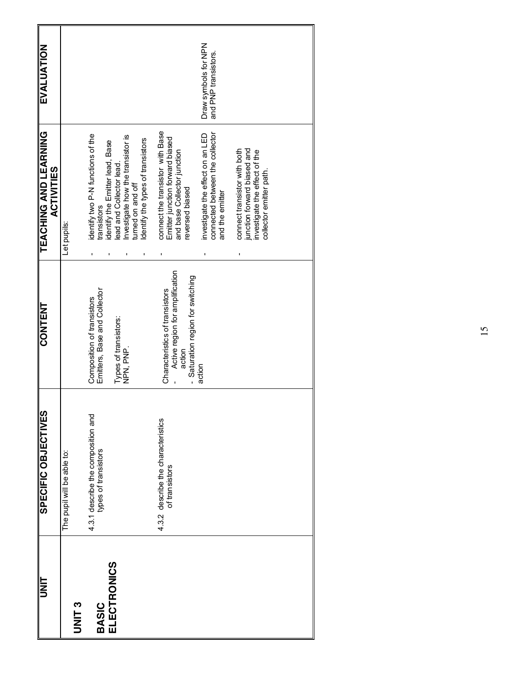| דואט                               | SPECIFIC OBJECTIVES                                        | <b>CONTENT</b>                                                                                                 | <b>TEACHING AND LEARNING</b><br><b>ACTIVITIES</b>                                                                       | EVALUATION                                   |
|------------------------------------|------------------------------------------------------------|----------------------------------------------------------------------------------------------------------------|-------------------------------------------------------------------------------------------------------------------------|----------------------------------------------|
| <b>PAILAD</b>                      | The pupil will be able to:                                 |                                                                                                                | Let pupils:                                                                                                             |                                              |
| <b>ELECTRONICS</b><br><b>BASIC</b> | 4.3.1 describe the composition and<br>types of transistors | Emitters, Base and Collector<br>Composition of transistors                                                     | identify two P-N functions of the<br>identify the Emitter lead, Base<br>transistors                                     |                                              |
|                                    |                                                            | Types of transistors:<br>NPN, PNP.                                                                             | Investigate how the transistor is<br>Identify the types of transistors<br>lead and Collector lead.<br>tumed on and off  |                                              |
|                                    | describe the characteristics<br>of transistors<br>4.3.2    | Active region for amplification<br>Saturation region for switching<br>Characteristics of transistors<br>action | connect the transistor with Base<br>Emitter junction forward biased<br>and base Collector junction<br>reversed biased   |                                              |
|                                    |                                                            | action                                                                                                         | connected between the collector<br>investigate the effect on an LED<br>and the emitter                                  | Draw symbols for NPN<br>and PNP transistors. |
|                                    |                                                            |                                                                                                                | junction forward biased and<br>connect transistor with both<br>investigate the effect of the<br>collector emitter path. |                                              |
|                                    |                                                            |                                                                                                                |                                                                                                                         |                                              |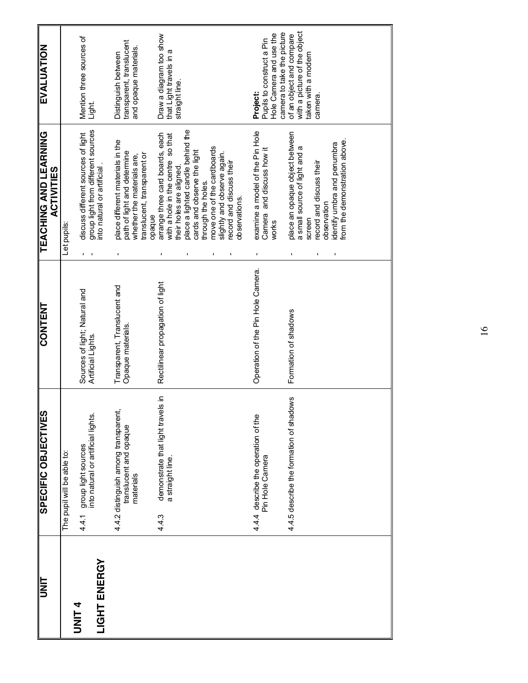| <b>UNIT</b>                  | <b>SPECIFIC OBJECTIVES</b>                                                  | <b>CONTENT</b>                                      | <b>TEACHING AND LEARNING</b><br><b>ACTIVITIES</b>                                                                                                                                    | <b>EVALUATION</b>                                                                                     |
|------------------------------|-----------------------------------------------------------------------------|-----------------------------------------------------|--------------------------------------------------------------------------------------------------------------------------------------------------------------------------------------|-------------------------------------------------------------------------------------------------------|
|                              | The pupil will be able to:                                                  |                                                     | Let pupils:                                                                                                                                                                          |                                                                                                       |
| LIGHT ENERGY<br><b>DNIL4</b> | group light sources<br>into natural or artificial lights.<br>4.4.1          | Sources of light; Natural and<br>Artificial Lights. | group light from different sources<br>discuss different sources of light<br>into natural or artificial.                                                                              | Mention three sources of<br>Light.                                                                    |
|                              | 4.4.2 distinguish among transparent,<br>translucent and opaque<br>materials | Transparent, Translucent and<br>Opaque materials.   | place different materials in the<br>path of light and determine<br>translucent, transparent or<br>whether the materials are,<br>opaque                                               | transparent, translucent<br>and opaque materials.<br>Distinguish between                              |
|                              | demonstrate that light travels in<br>a straight line.<br>4.4.3              | Rectilinear propagation of light                    | place a lighted candle behind the<br>arrange three card boards, each<br>so that<br>cards and observe the light<br>with a hole in the centre<br>their holes are aligned.              | Draw a diagram too show<br>that Light travels in a<br>straight line.                                  |
|                              |                                                                             |                                                     | move one of the cardboards<br>slightly and observe again.<br>record and discuss their<br>through the holes.<br>observations.                                                         |                                                                                                       |
|                              | 4.4.4 describe the operation of the<br>Pin Hole Camera                      | Operation of the Pin Hole Camera.                   | examine a model of the Pin Hole<br>Camera and discuss how it<br>works                                                                                                                | camera to take the picture<br>Hole Camera and use the<br>Pupils to construct a Pin<br><b>Project:</b> |
|                              | 4.4.5 describe the formation of shadows                                     | Formation of shadows                                | place an opaque object between<br>from the demonstration above.<br>identify umbra and penumbra<br>a small source of light and a<br>record and discuss their<br>observation<br>screen | with a picture of the object<br>of an object and compare<br>taken with a modern<br>camera             |
|                              |                                                                             |                                                     |                                                                                                                                                                                      |                                                                                                       |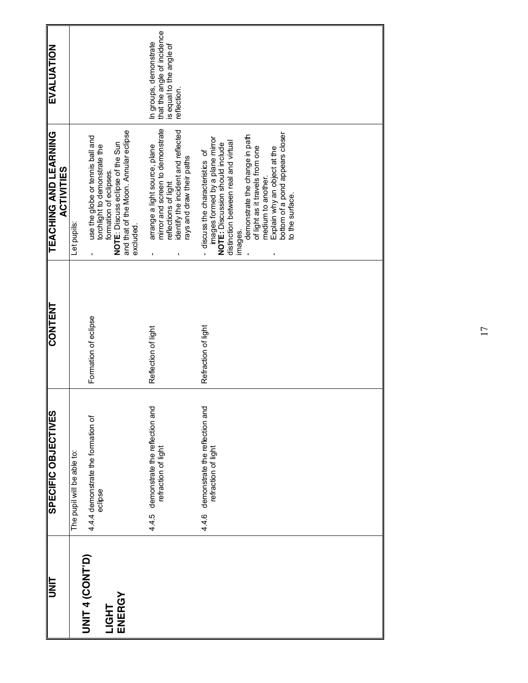| EVALUATION                                 |                                                                                                                                                                                                           | that the angle of incidence<br>In groups, demonstrate<br>is equal to the angle of<br>reflection.                                                             |                                                                                                                                                                                                                                                                                                                                          |
|--------------------------------------------|-----------------------------------------------------------------------------------------------------------------------------------------------------------------------------------------------------------|--------------------------------------------------------------------------------------------------------------------------------------------------------------|------------------------------------------------------------------------------------------------------------------------------------------------------------------------------------------------------------------------------------------------------------------------------------------------------------------------------------------|
| TEACHING AND LEARNING<br><b>ACTIVITIES</b> | and that of the Moon. Annular eclipse<br>use the globe or tennis ball and<br>NOTE: Discuss eclipse of the Sun<br>torchlight to demonstrate the<br>formation of eclipses.<br>Let pupils:<br>excluded.<br>ı | mirror and screen to demonstrate<br>identify the incident and reflected<br>arrange a light source, plane<br>rays and draw their paths<br>eflections of light | bottom of a pond appears closer<br>demonstrate the change in path<br>images formed by a plane mirror<br>distinction between real and virtual<br>NOTE: Discussion should include<br>of light as it travels from one<br>Explain why an object at the<br>discuss the characteristics of<br>medium to another.<br>to the surface.<br>images. |
| <b>CONTENT</b>                             | Formation of eclipse                                                                                                                                                                                      | Reflection of light                                                                                                                                          | Refraction of light                                                                                                                                                                                                                                                                                                                      |
| SPECIFIC OBJECTIVES                        | 4.4.4 demonstrate the formation of<br>The pupil will be able to:<br>eclipse                                                                                                                               | 4.4.5 demonstrate the reflection and<br>refraction of light                                                                                                  | demonstrate the reflection and<br>refraction of light<br>4.4.6                                                                                                                                                                                                                                                                           |
| <b>UNIT</b>                                | <b>UNIT 4 (CONT'D)</b><br>ENERGY<br>LIGHT                                                                                                                                                                 |                                                                                                                                                              |                                                                                                                                                                                                                                                                                                                                          |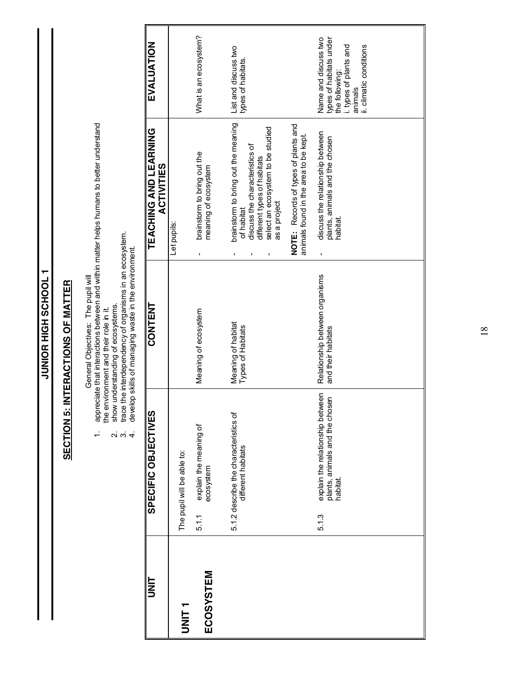**1 TOOH OF HIGH SCHOOL 1 JUNIOR HIGH SCHOOL 1**

# **SECTION 5: INTERACTIONS OF MATTER SECTION 5: INTERACTIONS OF MATTER**

- General Objectives: The pupil will<br>appreciate that interactions between and within matter helps humans to better understand<br>the environment and their role in it.<br>show understanding of ecosystems.<br>trace the interdependency 1. appreciate that interactions between and within matter helps humans to better understand the environment and their role in it.  $\div$ 
	-
	- 2. show understanding of ecosystems. 3. trace the interdependency of organisms in an ecosystem.
	- 4. develop skills of managing waste in the environment.  $\vec{a}$   $\vec{b}$   $\vec{d}$

| t<br>N<br>D | SPECIFIC OBJECTIVES                                                                     | <b>CONTENT</b>                                       | TEACHING AND LEARNING<br><b>ACTIVITIES</b>                                                                                                                              | EVALUATION                                                                                                                        |
|-------------|-----------------------------------------------------------------------------------------|------------------------------------------------------|-------------------------------------------------------------------------------------------------------------------------------------------------------------------------|-----------------------------------------------------------------------------------------------------------------------------------|
|             | The pupil will be able to:                                                              |                                                      | Let pupils:                                                                                                                                                             |                                                                                                                                   |
| ECOSYSTEM   | explain the meaning of<br>ecosystem<br>5.1.1                                            | Meaning of ecosystem                                 | brainstorm to bring out the<br>meaning of ecosystem<br>ı                                                                                                                | What is an ecosystem?                                                                                                             |
|             | 5.1.2 describe the characteristics of<br>different habitats                             | Meaning of habitat<br>Types of Habitats              | brainstorm to bring out the meaning<br>select an ecosystem to be studied<br>discuss the characteristics of<br>different types of habitats<br>as a project<br>of habitat | List and discuss two<br>types of habitats.                                                                                        |
|             |                                                                                         |                                                      | NOTE: Records of types of plants and<br>animals found in the area to be kept.                                                                                           |                                                                                                                                   |
|             | explain the relationship between<br>plants, animals and the chosen<br>habitat.<br>5.1.3 | Relationship between organisms<br>and their habitats | discuss the relationship between<br>plants, animals and the chosen<br>habitat.<br>ı                                                                                     | types of habitats under<br>the following:<br>Name and discuss two<br>i. types of plants and<br>ii. climatic conditions<br>animals |
|             |                                                                                         |                                                      |                                                                                                                                                                         |                                                                                                                                   |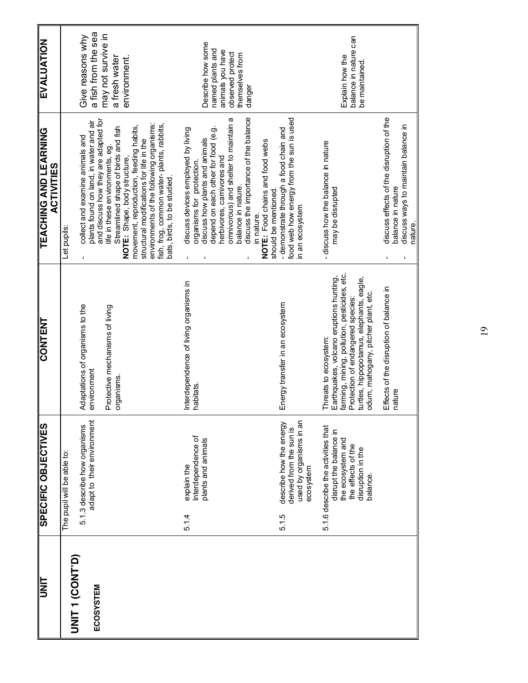| <b>SIE</b>           | SPECIFIC OBJECTIVES                                                                                                                     | <b>CONTENT</b>                                                                                                                                                                                                                           | <b>TEACHING AND LEARNING</b><br><b>ACTIVITIES</b>                                                                                                                                                                                     | <b>EVALUATION</b>                                                 |
|----------------------|-----------------------------------------------------------------------------------------------------------------------------------------|------------------------------------------------------------------------------------------------------------------------------------------------------------------------------------------------------------------------------------------|---------------------------------------------------------------------------------------------------------------------------------------------------------------------------------------------------------------------------------------|-------------------------------------------------------------------|
| <b>DNIT 1 (CONT)</b> | The pupil will be able to:                                                                                                              |                                                                                                                                                                                                                                          | Let pupils:                                                                                                                                                                                                                           |                                                                   |
| ECOSYSTEM            | adapt to their environment<br>5.1.3 describe how organisms                                                                              | Adaptations of organisms to the<br>environment                                                                                                                                                                                           | plants found on land, in water and air<br>collect and examine animals and                                                                                                                                                             | a fish from the sea<br>Give reasons why                           |
|                      |                                                                                                                                         | Protective mechanisms of living<br>organisms.                                                                                                                                                                                            | and discuss how they are adapted for<br>movement, reproduction, feeding habits,<br>Streamlined shape of birds and fish<br>structural modifications for life in the<br>life in these environments, eg.<br>NOTE: Shape, body structure, | may not survive in<br>a fresh water<br>environment.               |
|                      |                                                                                                                                         |                                                                                                                                                                                                                                          | environments of the following organisms:<br>fish, frog, common water-plants, rabbits,<br>bats, birds, to be studied                                                                                                                   |                                                                   |
|                      | Interdependence of<br>plants and animals<br>explain the<br>5.14                                                                         | Interdependence of living organisms in<br>habitats                                                                                                                                                                                       | discuss devices employed by living<br>depend on each other for food (e.g.<br>discuss how plants and animals<br>organisms for protection                                                                                               | Describe how some<br>named plants and                             |
|                      |                                                                                                                                         |                                                                                                                                                                                                                                          | discuss the importance of the balance<br>omnivorous) and shelter to maintain a<br>herbivores, carnivores and<br>balance in nature.                                                                                                    | animals you have<br>observed protect<br>themselves from<br>danger |
|                      |                                                                                                                                         |                                                                                                                                                                                                                                          | NOTE: Food chains and food webs<br>should be mentioned<br>in nature.                                                                                                                                                                  |                                                                   |
|                      | used by organisms in an<br>describe how the energy<br>derived from the sun is<br>ecosystem<br>5.1.5                                     | Energy transfer in an ecosystem                                                                                                                                                                                                          | food web how energy from the sun is used<br>- demonstrate through a food chain and<br>in an ecosystem                                                                                                                                 |                                                                   |
|                      | 5.1.6 describe the activities that<br>disrupt the balance in<br>the ecosystem and<br>the effects of the<br>disruption in the<br>balance | farming, mining, pollution, pesticides, etc.<br>Earthquakes, volcano eruptions hunting,<br>turtles, hippopotamus, elephants, eagle,<br>odum, mahogany, pitcher plant, etc.<br>Protection of endangered species:<br>Threats to ecosystem: | - discuss how the balance in nature<br>may be disrupted                                                                                                                                                                               | balance in nature can<br>Explain how the<br>be maintained         |
|                      |                                                                                                                                         |                                                                                                                                                                                                                                          |                                                                                                                                                                                                                                       |                                                                   |
|                      |                                                                                                                                         | Effects of the disruption of balance in<br>nature                                                                                                                                                                                        | discuss effects of the disruption of the<br>discuss ways to maintain balance in<br>balance in nature<br>nature.                                                                                                                       |                                                                   |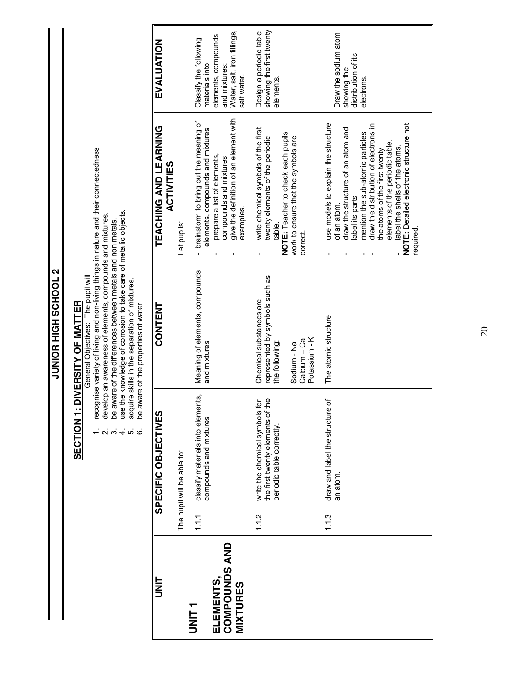**2 TOOHOS HIGH SCHOOL 2 JUNIOR HIGH SCHOOL 2**

# **SECTION 1: DIVERSITY OF MATTER SECTION 1: DIVERSITY OF MATTER**

General Objectives: The pupil will General Objectives: The pupil will

- recognise variety of living and non-living in nature and their connectedness<br>develop an awareness of elements, compounds and mixtures.<br>be aware of the differences between metals and non metals.<br>use the knowledge of corrosi 1. recognise variety of living and non-living things in nature and their connectedness
	- - 2. develop an awareness of elements, compounds and mixtures. 3. be aware of the differences between metals and non metals.
- 
- 4. use the knowledge of corrosion to take care of metallic objects. 5. acquire skills in the separation of mixtures.  $\alpha$   $\alpha$   $+$   $\alpha$   $\alpha$ 
	- 6. be aware of the properties of water

| be aware bridge in the productive of water |  |
|--------------------------------------------|--|
|                                            |  |
|                                            |  |
|                                            |  |
|                                            |  |
|                                            |  |
|                                            |  |
|                                            |  |
|                                            |  |
|                                            |  |
|                                            |  |
|                                            |  |

| ヒ<br>N<br>コ                                       |       | SPECIFIC OBJECTIVES                                                    | <b>CONTENT</b>                                                 | TEACHING AND LEARNING<br><b>ACTIVITIES</b>                                                                                                                                                                               | EVALUATION                                                                                        |
|---------------------------------------------------|-------|------------------------------------------------------------------------|----------------------------------------------------------------|--------------------------------------------------------------------------------------------------------------------------------------------------------------------------------------------------------------------------|---------------------------------------------------------------------------------------------------|
|                                                   |       | The pupil will be able to:                                             |                                                                | Let pupils:                                                                                                                                                                                                              |                                                                                                   |
| <b>COMPOUNDS AND</b><br>ELEMENTS,<br><b>THING</b> | 1.1.1 | classify materials into elements,<br>compounds and mixtures            | Meaning of elements, compounds<br>and mixtures                 | - brainstorm to bring out the meaning of<br>elements, compounds and mixtures<br>prepare a list of elements,<br>compounds and mixtures                                                                                    | elements, compounds<br>Classify the following<br>materials into<br>and mixtures:                  |
| <b>MIXTURES</b>                                   | 1.12  | the<br>ݹ<br>write the chemical symbols<br>the first twenty elements of | represented by symbols such as<br>Chemical substances are      | give the definition of an element with<br>write chemical symbols of the first<br>twenty elements of the periodic<br>examples.                                                                                            | showing the first twenty<br>Water, salt, iron fillings,<br>Design a periodic table<br>salt water. |
|                                                   |       | periodic table correctly.                                              | Potassium - K<br>Calcium - Ca<br>the following:<br>Sodium - Na | NOTE: Teacher to check each pupils<br>work to ensure that the symbols are<br>table.<br>correct.                                                                                                                          | elements.                                                                                         |
|                                                   | 1.1.3 | ð<br>draw and label the structure<br>an atom.                          | The atomic structure                                           | use models to explain the structure<br>draw the distribution of electrons in<br>draw the structure of an atom and<br>mention the sub-atomic particles<br>the atoms of the first twenty<br>label its parts<br>of an atom. | Draw the sodium atom<br>distribution of its<br>showing the<br>electrons.                          |
|                                                   |       |                                                                        |                                                                | NOTE: Detailed electronic structure not<br>elements of the periodic table.<br>label the shells of the atoms.<br>required                                                                                                 |                                                                                                   |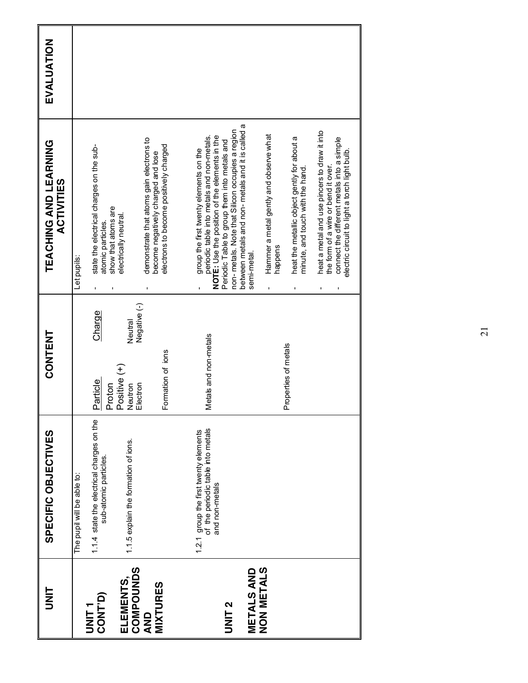| ヒ<br>N<br>コ                           | SPECIFIC OBJECTIVES                                                                          | CONTENT                                        | TEACHING AND LEARNING<br><b>ACTIVITIES</b>                                                                                                                                                                                               | EVALUATION |
|---------------------------------------|----------------------------------------------------------------------------------------------|------------------------------------------------|------------------------------------------------------------------------------------------------------------------------------------------------------------------------------------------------------------------------------------------|------------|
|                                       | The pupil will be able to:                                                                   |                                                | Let pupils:                                                                                                                                                                                                                              |            |
| CONT <sup>D</sup> )<br>T<br>INIT<br>D | 1.1.4 state the electrical charges on the<br>sub-atomic particles.                           | Charge<br>Positive (+)<br>Particle<br>Proton   | state the electrical charges on the sub-<br>show that atoms are<br>electrically neutral.<br>atomic particles.                                                                                                                            |            |
| <b>COMPOUNDS</b><br>ELEMENTS,         | 1.1.5 explain the formation of ions.                                                         | Negative (-)<br>Neutral<br>Neutron<br>Electron | demonstrate that atoms gain electrons to                                                                                                                                                                                                 |            |
| <b>MIXTURES</b><br>QND                |                                                                                              | Formation of ions                              | electrons to become positively charged<br>become negatively charged and lose                                                                                                                                                             |            |
| <b>UNIT2</b>                          | 1.2.1 group the first twenty elements<br>of the periodic table into metals<br>and non-metals | letals and non-metals                          | non-metals. Note that Silicon occupies a region<br>NOTE: Use the position of the elements in the<br>periodic table into metals and non-metals.<br>Periodic Table to group them into metals and<br>group the first twenty elements on the |            |
| <b>METALS AND</b>                     |                                                                                              |                                                | between metals and non-metals and it is called a<br>semi-metal.                                                                                                                                                                          |            |
| NON METALS                            |                                                                                              |                                                | Hammer a metal gently and observe what<br>happens                                                                                                                                                                                        |            |
|                                       |                                                                                              | Properties of metals                           | heat the metallic object gently for about a<br>minute, and touch with the hand.                                                                                                                                                          |            |
|                                       |                                                                                              |                                                | heat a metal and use pincers to draw it into<br>connect the different metals into a simple<br>electric circuit to light a torch light bulb.<br>the form of a wire or bend it over.                                                       |            |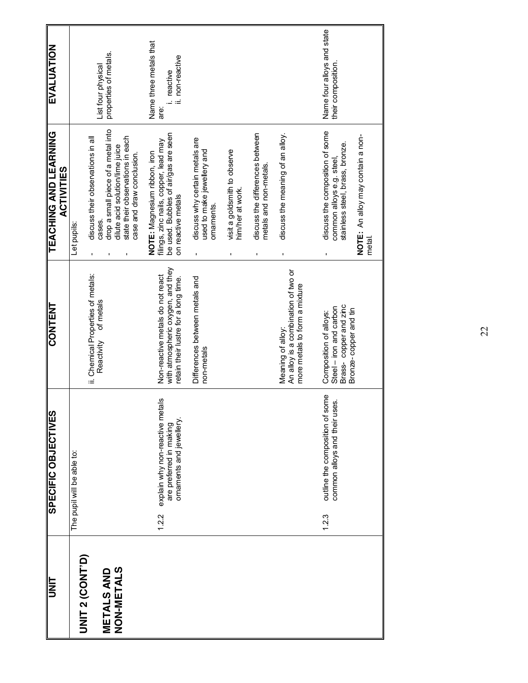|       | SPECIFIC OBJECTIVES                                                                   | <b>CONTENT</b>                                                                                                | TEACHING AND LEARNING<br><b>ACTIVITIES</b>                                                                                                                                                  | EVALUATION                                                       |
|-------|---------------------------------------------------------------------------------------|---------------------------------------------------------------------------------------------------------------|---------------------------------------------------------------------------------------------------------------------------------------------------------------------------------------------|------------------------------------------------------------------|
|       | The pupil will be able to:                                                            |                                                                                                               | Let pupils:                                                                                                                                                                                 |                                                                  |
|       |                                                                                       | ii. Chemical Properties of metals:<br>of metals<br>Reactivity                                                 | drop a small piece of a metal into<br>discuss their observations in all<br>state their observations in each<br>dilute acid solution/lime juice<br>case and draw conclusion.<br>cases.<br>ı, | properties of metals.<br>List four physical                      |
| 1.2.2 | explain why non-reactive metals<br>omaments and jewellery.<br>are preferred in making | with atmospheric oxygen, and they<br>Non-reactive metals do not react<br>retain their lustre for a long time. | be used. Bubbles of air/gas are seen<br>filings, zinc nails, copper, lead may<br>NOTE: Magnesium ribbon, iron<br>on reactive metals                                                         | Name three metals that<br>ii. non-reactive<br>. reactive<br>are: |
|       |                                                                                       | Differences between metals and<br>non-metals                                                                  | discuss why certain metals are<br>used to make jewellery and<br>ornaments.                                                                                                                  |                                                                  |
|       |                                                                                       |                                                                                                               | visit a goldsmith to observe<br>him/her at work.                                                                                                                                            |                                                                  |
|       |                                                                                       |                                                                                                               | discuss the differences between<br>metals and non-metals.                                                                                                                                   |                                                                  |
|       |                                                                                       | An alloy is a combination of two or<br>more metals to form a mixture<br>Meaning of alloy:                     | discuss the meaning of an alloy.                                                                                                                                                            |                                                                  |
| 1.2.3 | outline the composition of some<br>common alloys and their uses.                      | Steel – iron and carbon<br>Brass- copper and zinc<br>Bronze-copper and tin<br>Composition of alloys:          | discuss the composition of some<br>NOTE: An alloy may contain a non-<br>stainless steel, brass, bronze.<br>common alloys e.g. steel<br>metal.                                               | Name four alloys and state<br>their composition.                 |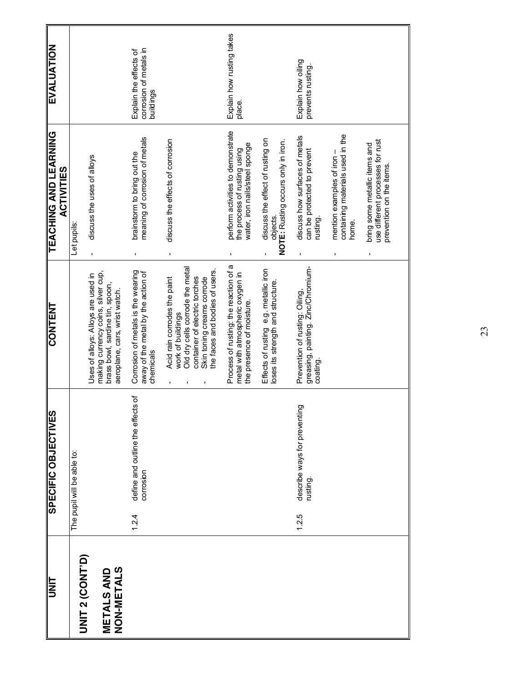| <b>UNIT</b>                      | <b>SPECIFIC OBJECTIVES</b>                              | <b>CONTENT</b>                                                                                                                                                                        | <b>TEACHING AND LEARNING</b><br><b>ACTIVITIES</b>                                                   | EVALUATION                                                    |
|----------------------------------|---------------------------------------------------------|---------------------------------------------------------------------------------------------------------------------------------------------------------------------------------------|-----------------------------------------------------------------------------------------------------|---------------------------------------------------------------|
| <b>UNIT 2 (CONT'D)</b>           | The pupil will be able to:                              |                                                                                                                                                                                       | Let pupils:                                                                                         |                                                               |
| <b>METALS AND<br/>NON-METALS</b> |                                                         | making currency coins, silver cup,<br>Uses of alloys: Alloys are used in<br>brass bowl, sardine tin, spoon,<br>aeroplane, cars, wrist watch.                                          | discuss the uses of alloys<br>$\blacksquare$                                                        |                                                               |
|                                  | define and outline the effects of<br>corrosion<br>1.2.4 | Corrosion of metals is the wearing<br>away of the metal by the action of<br>chemicals                                                                                                 | meaning of corrosion of metals<br>brainstorm to bring out the<br>$\blacksquare$                     | corrosion of metals in<br>Explain the effects of<br>buildings |
|                                  |                                                         | Old dry cells corrode the metal<br>the faces and bodies of users.<br>container of electric torches<br>Acid rain corrodes the paint<br>Skin toning creams corrode<br>work of buildings | discuss the effects of corrosion<br>J.                                                              |                                                               |
|                                  |                                                         | Process of rusting: the reaction of a<br>metal with atmospheric oxygen in<br>the presence of moisture.                                                                                | perform activities to demonstrate<br>water, iron nails/steel sponge<br>the process of rusting using | Explain how rusting takes<br>place.                           |
|                                  |                                                         | Effects of rusting e.g. metallic iron<br>loses its strength and structure.                                                                                                            | discuss the effect of rusting on<br>NOTE: Rusting occurs only in iron.<br>objects.                  |                                                               |
|                                  | describe ways for preventing<br>rusting.<br>1.2.5       | greasing, painting. Zinc/Chromium-<br>coating.<br>Prevention of rusting: Oiling,                                                                                                      | discuss how surfaces of metals<br>can be protected to prevent<br>rusting.<br>$\mathbf{I}$           | Explain how oiling<br>prevents rusting.                       |
|                                  |                                                         |                                                                                                                                                                                       | containing materials used in the<br>mention examples of iron -<br>home.                             |                                                               |
|                                  |                                                         |                                                                                                                                                                                       | use different processes for rust<br>bring some metallic items and<br>prevention on the items.       |                                                               |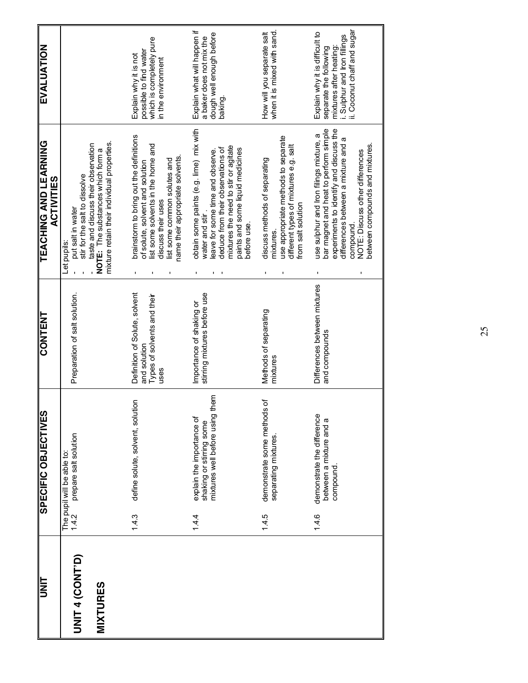| <b>UNIT</b>                               |       | SPECIFIC OBJECTIVES                                                                         | <b>CONTENT</b>                                                                       | <b>TEACHING AND LEARNING</b><br><b>ACTIVITIES</b>                                                                                                                                                                                                     | EVALUATION                                                                                                                                         |
|-------------------------------------------|-------|---------------------------------------------------------------------------------------------|--------------------------------------------------------------------------------------|-------------------------------------------------------------------------------------------------------------------------------------------------------------------------------------------------------------------------------------------------------|----------------------------------------------------------------------------------------------------------------------------------------------------|
| <b>UNIT 4 (CONT'D)</b><br><b>MIXTURES</b> | 1.4.2 | prepare salt solution<br>The pupil will be able to:                                         | Preparation of salt solution.                                                        | mixture retain their individual properties.<br>taste and discuss their observation<br>NOTE: The substances which form a<br>stir for the salt to dissolve<br>put salt in water<br>Let pupils:                                                          |                                                                                                                                                    |
|                                           | 1.4.3 | define solute, solvent, solution                                                            | Definition of Solute, solvent<br>Types of solvents and their<br>and solution<br>uses | brainstorm to bring out the definitions<br>list some solvents in the home and<br>name their appropriate solvents.<br>list some common solutes and<br>of solute, solvent and solution<br>discuss their uses                                            | which is completely pure<br>possible to find water<br>Explain why it is not<br>in the environment                                                  |
|                                           | 1.4.4 | them<br>mixtures well before using<br>explain the importance of<br>shaking or stirring some | stirring mixtures before use<br>Importance of shaking or                             | obtain some paints (e.g. lime) mix with<br>mixtures the need to stir or agitate<br>deduce from their observations of<br>paints and some liquid medicines<br>eave for some time and observe.<br>water and stir<br>before use.                          | Explain what will happen if<br>dough well enough before<br>a baker does not mix the<br>baking.                                                     |
|                                           | 1.4.5 | demonstrate some methods of<br>separating mixtures.                                         | Methods of separating<br>mixtures                                                    | use appropriate methods to separate<br>different types of mixtures e.g. salt<br>discuss methods of separating<br>from salt solution<br>mixtures.                                                                                                      | when it is mixed with sand.<br>How will you separate salt                                                                                          |
|                                           | 1.4.6 | demonstrate the difference<br>between a mixture and a<br>compound                           | Differences between mixtures<br>and compounds                                        | bar magnet and heat to perform simple<br>experiments to identify and discuss the<br>use sulphur and Iron filings mixture, a<br>differences between a mixture and a<br>between compounds and mixtures.<br>NOTE: Discuss other differences<br>compound. | i. Sulphur and Iron fillings<br>ii. Coconut chaff and sugar<br>Explain why it is difficult to<br>mixtures after heating:<br>separate the following |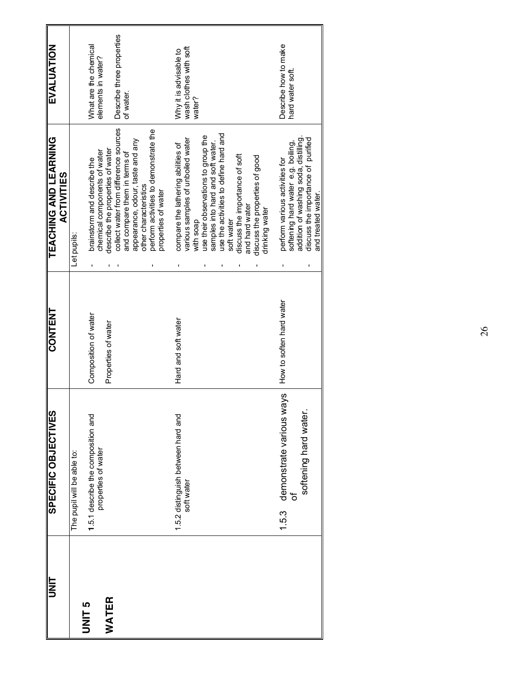| II<br>N       | SPECIFIC OBJECTIVES                                       | <b>CONTENT</b>           | TEACHING AND LEARNING<br><b>ACTIVITIES</b>                                 | EVALUATION                                       |
|---------------|-----------------------------------------------------------|--------------------------|----------------------------------------------------------------------------|--------------------------------------------------|
|               | The pupil will be able to:                                |                          | Let pupils:                                                                |                                                  |
| <b>UNIT 5</b> | 1.5.1 describe the composition and<br>properties of water | Composition of water     | chemical components of water<br>brainstorm and describe the                | What are the chemical<br>elements in water?      |
| WATER         |                                                           | Properties of water      | collect water from difference sources<br>describe the properties of water  | Describe three properties                        |
|               |                                                           |                          | appearance, odour, taste and any<br>and compare them in terms of           | of water.                                        |
|               |                                                           |                          | perform activities to demonstrate the<br>other characteristics             |                                                  |
|               |                                                           |                          | properties of water                                                        |                                                  |
|               | 1.5.2 distinguish between hard and<br>soft water          | Hard and soft water      | various samples of unboiled water<br>compare the lathering abilities of    | wash clothes with soft<br>Why it is advisable to |
|               |                                                           |                          | use their observations to group the<br>with soap                           | water?                                           |
|               |                                                           |                          | use the activities to define hard and<br>samples into hard and soft water. |                                                  |
|               |                                                           |                          | soft water                                                                 |                                                  |
|               |                                                           |                          | discuss the importance of soft<br>and hard water                           |                                                  |
|               |                                                           |                          | discuss the properties of good                                             |                                                  |
|               |                                                           |                          | drinking water                                                             |                                                  |
|               | 1.5.3 demonstrate various ways                            | How to soften hard water | perform various activities for                                             | Describe how to make                             |
|               | ð                                                         |                          | softening hard water e.g. boiling,                                         | hard water soft.                                 |
|               | softening hard water.                                     |                          | addition of washing soda, distilling                                       |                                                  |
|               |                                                           |                          | discuss the importance of purified<br>and treated water.                   |                                                  |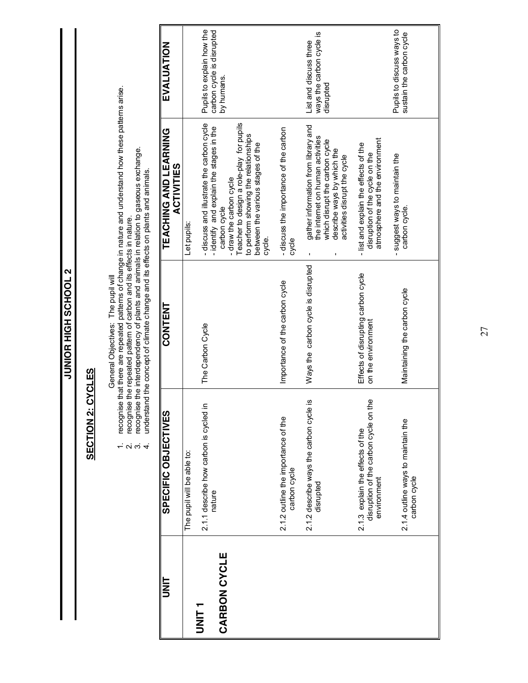|                          |                                                                                                                                                                                                                                                                                      | EVALUATION                                 |                            | Pupils to explain how the<br>carbon cycle is disrupted<br>by humans.                                                                                                                                                                                              |                                                     | ways the carbon cycle is<br>List and discuss three<br>disrupted                                                                                                                           |                                                                                                           | Pupils to discuss ways to<br>sustain the carbon cycle |
|--------------------------|--------------------------------------------------------------------------------------------------------------------------------------------------------------------------------------------------------------------------------------------------------------------------------------|--------------------------------------------|----------------------------|-------------------------------------------------------------------------------------------------------------------------------------------------------------------------------------------------------------------------------------------------------------------|-----------------------------------------------------|-------------------------------------------------------------------------------------------------------------------------------------------------------------------------------------------|-----------------------------------------------------------------------------------------------------------|-------------------------------------------------------|
|                          | recognise that there are repeated patterns of change in nature and understand how these patterns arise.                                                                                                                                                                              | TEACHING AND LEARNING<br><b>ACTIVITIES</b> | Let pupils:                | -discuss and illustrate the carbon cycle<br>Teacher to design a role-play for pupils<br>-identify and explain the stages in the<br>to perform showing the relationships<br>between the various stages of the<br>- draw the carbon cycle<br>carbon cycle<br>cycle. | - discuss the importance of the carbon<br>cycle     | gather information from library and<br>the internet on human activities<br>which disrupt the carbon cycle<br>describe ways by which the<br>activities disrupt the cycle<br>$\blacksquare$ | atmosphere and the environment<br>- list and explain the effects of the<br>disruption of the cycle on the | suggest ways to maintain the<br>carbon cycle.         |
|                          | recognise the interdependency of plants and animals in relation to gaseous exchange.<br>understand the concept of climate change and its effects on plants and animals.<br>recognise the repeated pattern of carbon and its effects in nature.<br>General Objectives: The pupil will | <b>CONTENT</b>                             |                            | The Carbon Cycle                                                                                                                                                                                                                                                  | Importance of the carbon cycle                      | Ways the carbon cycle is disrupted                                                                                                                                                        | Effects of disrupting carbon cycle<br>on the environment                                                  | Maintaining the carbon cycle                          |
| <b>SECTION 2: CYCLES</b> | 5<br>2010                                                                                                                                                                                                                                                                            | SPECIFIC OBJECTIVES                        | The pupil will be able to: | ≘.<br>2.1.1 describe how carbon is cycled<br>nature                                                                                                                                                                                                               | 2.1.2 outline the importance of the<br>carbon cycle | 2.1.2 describe ways the carbon cycle is<br>disrupted                                                                                                                                      | the<br>disruption of the carbon cycle on<br>2.1.3 explain the effects of the<br>environment               | 2.1.4 outline ways to maintain the<br>carbon cycle    |
|                          |                                                                                                                                                                                                                                                                                      | I<br>N<br>D                                | UNIT <sub>1</sub>          | CARBON CYCLE                                                                                                                                                                                                                                                      |                                                     |                                                                                                                                                                                           |                                                                                                           |                                                       |

**Z TOOHOS HIGH SCHOOL 2 JUNIOR HIGH SCHOOL 2**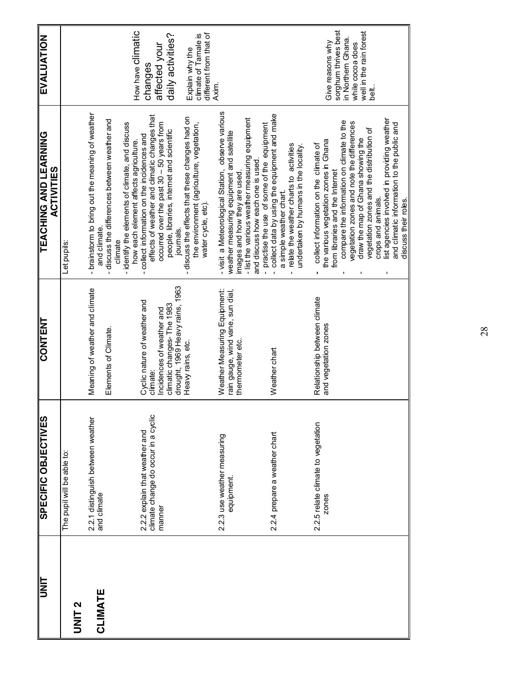| $\frac{1}{\sqrt{1-\frac{1}{2}}}$ | SPECIFIC OBJECTIVES                                                   | <b>CONTENT</b>                                               | <b>TEACHING AND LEARNING</b><br><b>ACTIVITIES</b>                                                                | <b>EVALUATION</b>                          |
|----------------------------------|-----------------------------------------------------------------------|--------------------------------------------------------------|------------------------------------------------------------------------------------------------------------------|--------------------------------------------|
| UNIT <sub>2</sub>                | The pupil will be able to:                                            |                                                              | Let pupils:                                                                                                      |                                            |
| CLIMATE                          | 2.2.1 distinguish between weather<br>and climate                      | Meaning of weather and climate                               | - brainstorm to bring out the meaning of weather<br>and climate                                                  |                                            |
|                                  |                                                                       | Elements of Climate.                                         | discuss the differences between weather and<br>climate                                                           |                                            |
|                                  |                                                                       |                                                              | - identify the elements of climate, and discuss<br>how each element affects agriculture.                         | How have Climatic                          |
|                                  | climate change do occur in a cyclic<br>2.2.2 explain that weather and | Cyclic nature of weather and<br>climate:                     | effects of weather and climatic changes that<br>collect information on the incidences and                        | changes                                    |
|                                  | manner                                                                | Incidences of weather and                                    | occurred over the past $30 - 50$ years from                                                                      | affected your                              |
|                                  |                                                                       | drought, 1969 Heavy rains, 1963<br>climatic changes-The 1983 | people, libraries, internet and scientific<br>journals.                                                          | daily activities?                          |
|                                  |                                                                       | Heavy rains, etc.                                            | discuss the effects that these changes had on<br>the environment (agriculture, vegetation,<br>water cycle, etc). | climate of Tamale is<br>Explain why the    |
|                                  |                                                                       |                                                              |                                                                                                                  | different from that of                     |
|                                  | 2.2.3 use weather measuring                                           | Weather Measuring Equipment:                                 | - visit a Meteorological Station, observe various                                                                | Axim.                                      |
|                                  | equipment.                                                            | rain gauge, wind vane, sun dial,<br>thermometer etc.         | weather measuring equipment and satellite<br>images and how they are used                                        |                                            |
|                                  |                                                                       |                                                              | - list the various weather measuring equipment<br>and discuss how each one is used                               |                                            |
|                                  |                                                                       |                                                              | - practise the use of some of the equipment                                                                      |                                            |
|                                  | 2.2.4 prepare a weather chart                                         | Weather chart                                                | collect data by using the equipment and make<br>a simple weather chart.                                          |                                            |
|                                  |                                                                       |                                                              | relate the weather charts to activities<br>undertaken by humans in the locality.                                 |                                            |
|                                  | 2.2.5 relate climate to vegetation                                    | Relationship between climate                                 | collect information on the climate of<br>٠                                                                       |                                            |
|                                  | zones                                                                 | and vegetation zones                                         | the various vegetation zones in Ghana<br>from libraries and the Internet                                         | Give reasons why                           |
|                                  |                                                                       |                                                              | compare the information on climate to the<br>$\blacksquare$                                                      | sorghum thrives best<br>in Northern Ghana. |
|                                  |                                                                       |                                                              | regetation zones and note the differences                                                                        | while cocoa does                           |
|                                  |                                                                       |                                                              | vegetation zones and the distribution of<br>draw the map of Ghana showing the                                    | well in the rain forest                    |
|                                  |                                                                       |                                                              | crops and animals.                                                                                               | ti<br>B                                    |
|                                  |                                                                       |                                                              | ist agencies involved in providing weather<br>1                                                                  |                                            |
|                                  |                                                                       |                                                              | and climatic information to the public and                                                                       |                                            |
|                                  |                                                                       |                                                              | discuss their roles.                                                                                             |                                            |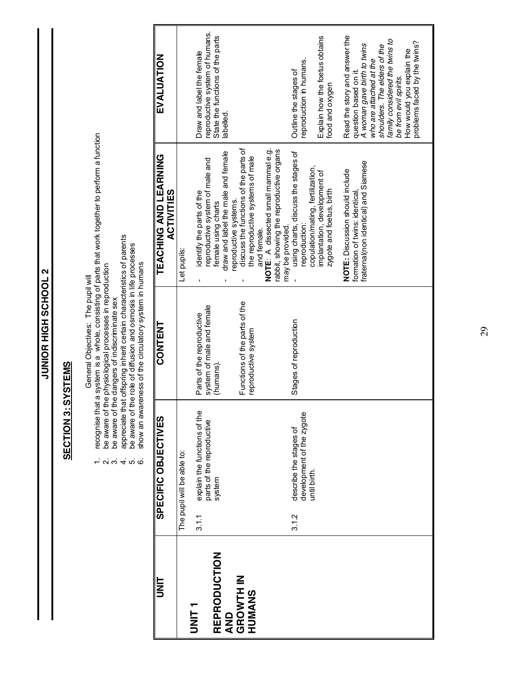JUNIOR HIGH SCHOOL 2 **JUNIOR HIGH SCHOOL 2**

### **SECTION 3: SYSTEMS SECTION 3: SYSTEMS**

- General Objectives: The pupil will<br>recognise that a system is a whole, consisting of parts that work together to perform a function<br>be aware of the physiological processes in reproduction<br>appreciate that offspring in herit 1. recognise that a system is a whole, consisting of parts that work together to perform a function
	- 2. be aware of the physiological processes in reproduction
		- 3. be aware of the dangers of indiscriminate sex
- 4. appreciate that offspring inherit certain characteristics of parents
	- 5. be aware of the role of diffusion and osmosis in life processes  $\vec{r}$   $\vec{q}$   $\vec{r}$   $\vec{r}$   $\vec{r}$   $\vec{r}$   $\vec{r}$   $\vec{r}$ 
		-
		- 6. show an awareness of the circulatory system in humans

| EVALUATION                                 |                            | reproductive system of humans.<br>Draw and label the female                  | State the functions of the parts<br>labelled.             |                                                                                                   |                                                    |                                                             | reproduction in humans.<br>Outline the stages of             |                                   | Explain how the foetus obtains<br>food and oxygen        | Read the story and answer the<br>question based on it.           | A woman gave birth to twins<br>who are attached at the | shoulders. The elders of the | family considered the twins to<br>be from evil spirits. | How would you explain the | problems faced by the twins? |
|--------------------------------------------|----------------------------|------------------------------------------------------------------------------|-----------------------------------------------------------|---------------------------------------------------------------------------------------------------|----------------------------------------------------|-------------------------------------------------------------|--------------------------------------------------------------|-----------------------------------|----------------------------------------------------------|------------------------------------------------------------------|--------------------------------------------------------|------------------------------|---------------------------------------------------------|---------------------------|------------------------------|
| TEACHING AND LEARNING<br><b>ACTIVITIES</b> | Let pupils:                | reproductive system of male and<br>identify the parts of the                 | draw and label the male and female<br>female using charts | discuss the functions of the parts of<br>the reproductive systems of male<br>eproductive systems. | NOTE: A dissected small mammal e.g.<br>and female. | rabbit, showing the reproductive organs<br>may be provided. | using charts, discuss the stages of<br>reproduction:         | copulation/mating, fertilization, | implantation, development of<br>zygote and foetus, birth | NOTE: Discussion should include<br>formation of twins: identical | fratemal(non identical) and Siamese                    |                              |                                                         |                           |                              |
| <b>CONTENT</b>                             |                            | system of male and female<br>Parts of the reproductive                       | (humans).                                                 | Functions of the parts of the<br>reproductive system                                              |                                                    |                                                             | Stages of reproduction                                       |                                   |                                                          |                                                                  |                                                        |                              |                                                         |                           |                              |
| SPECIFIC OBJECTIVES                        | The pupil will be able to: | explain the functions of the<br>parts of the reproductive<br>system<br>3.1.1 |                                                           |                                                                                                   |                                                    |                                                             | development of the zygote<br>describe the stages of<br>3.1.2 | until birth.                      |                                                          |                                                                  |                                                        |                              |                                                         |                           |                              |
| ヒミコ                                        | UNIT <sub>1</sub>          |                                                                              | REPRODUCTION<br>QND                                       | <b>GROWTH IN</b><br>HUMANS                                                                        |                                                    |                                                             |                                                              |                                   |                                                          |                                                                  |                                                        |                              |                                                         |                           |                              |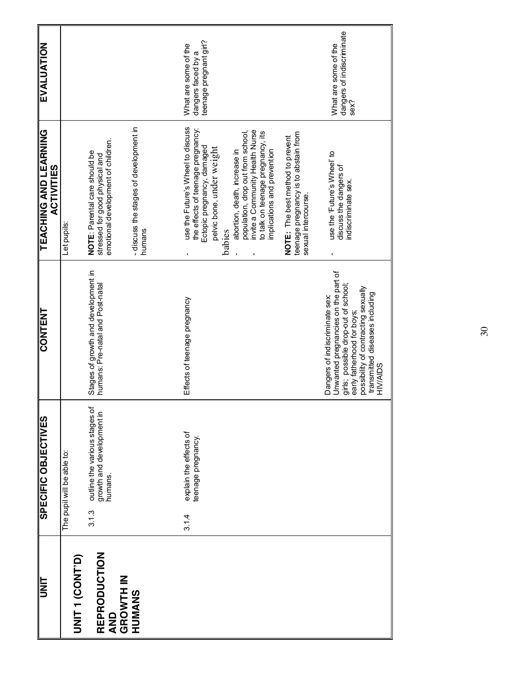| <b>UNIT</b>                      | <b>SPECIFIC OBJECTIVES</b>                                                     | <b>CONTENT</b>                                                                                                                             | <b>TEACHING AND LEARING</b><br><b>ACTIVITIES</b>                                                                                  | EVALUATION                                                           |
|----------------------------------|--------------------------------------------------------------------------------|--------------------------------------------------------------------------------------------------------------------------------------------|-----------------------------------------------------------------------------------------------------------------------------------|----------------------------------------------------------------------|
| UNIT 1 (CONT'D)                  | The pupil will be able to:                                                     |                                                                                                                                            | Let pupils:                                                                                                                       |                                                                      |
| REPRODUCTION<br>AND<br>GROWTH IN | outline the various stages of<br>growth and development in<br>humans.<br>3.1.3 | Stages of growth and development in<br>humans: Pre-natal and Post-natal                                                                    | emotional development of children.<br>NOTE: Parental care should be<br>stressed for good physical and                             |                                                                      |
| HUMANS                           |                                                                                |                                                                                                                                            | -discuss the stages of development in<br>humans                                                                                   |                                                                      |
|                                  |                                                                                |                                                                                                                                            |                                                                                                                                   |                                                                      |
|                                  | explain the effects of<br>teenage pregnancy.<br>3.1.4                          | Effects of teenage pregnancy                                                                                                               | use the Future's Wheel to discuss<br>the effects of teenage pregnancy:<br>Ectopic pregnancy, damaged<br>pelvic bone, under weight | teenage pregnant girl?<br>What are some of the<br>dangers faced by a |
|                                  |                                                                                |                                                                                                                                            | invite a Community Health Nurse<br>population, drop out from school,<br>abortion, death, increase in<br>babies                    |                                                                      |
|                                  |                                                                                |                                                                                                                                            | to talk on teenage pregnancy, its<br>implications and prevention                                                                  |                                                                      |
|                                  |                                                                                |                                                                                                                                            | teenage pregnancy is to abstain from<br>NOTE: The best method to prevent<br>sexual intercourse                                    |                                                                      |
|                                  |                                                                                | Unwanted pregnancies on the part of<br>girls; possible drop-out of school;<br>Dangers of indiscriminate sex:<br>early fatherhood for boys; | use the 'Future's Wheel' to<br>discuss the dangers of<br>indiscriminate sex.                                                      | dangers of indiscriminate<br>sex?<br>What are some of the            |
|                                  |                                                                                | possibility of contracting sexually<br>transmitted diseases including<br><b>HIV/AIDS</b>                                                   |                                                                                                                                   |                                                                      |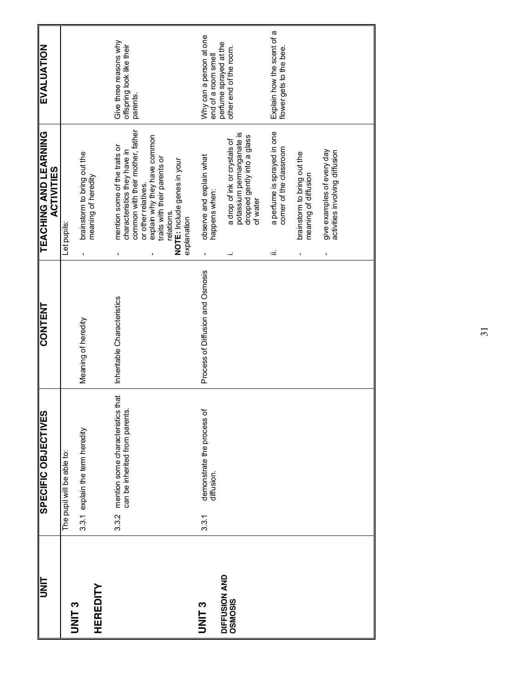| <b>LINIT</b>             | SPECIFIC OBJECTIVES                                                            | <b>CONTENT</b>                   | <b>TEACHING AND LEARNING</b><br><b>ACTIVITIES</b>                                                                                                                                                                                                    | EVALUATION                                                      |
|--------------------------|--------------------------------------------------------------------------------|----------------------------------|------------------------------------------------------------------------------------------------------------------------------------------------------------------------------------------------------------------------------------------------------|-----------------------------------------------------------------|
| UNIT <sub>3</sub>        | The pupil will be able to:                                                     |                                  | Let pupils:                                                                                                                                                                                                                                          |                                                                 |
| <b>HEREDITY</b>          | 3.3.1 explain the term heredity                                                | Meaning of heredity              | brainstorm to bring out the<br>meaning of heredity                                                                                                                                                                                                   |                                                                 |
|                          | that<br>mention some characteristics<br>can be inherited from parents<br>3.3.2 | Inheritable Characteristics      | common with their mother, father<br>explain why they have common<br>mention some of the traits or<br>characteristics they have in<br>traits with their parents or<br>NOTE: Include genes in your<br>or other relatives.<br>relations.<br>explanation | Give three reasons why<br>offspring look like their<br>parents. |
| <b>PLINIL</b>            | demonstrate the process of<br>diffusion.<br>3.3.1                              | Process of Diffusion and Osmosis | observe and explain what<br>happens when:                                                                                                                                                                                                            | Why can a person at one<br>end of a room smell                  |
| DIFFUSION AND<br>OSMOSIS |                                                                                |                                  | potassium permanganate is<br>dropped gently into a glass<br>a drop of ink or crystals of<br>of water<br>Ĩ,                                                                                                                                           | perfume sprayed at the<br>other end of the room.                |
|                          |                                                                                |                                  | a perfume is sprayed in one<br>corner of the classroom<br>$\equiv$                                                                                                                                                                                   | Explain how the scent of a<br>flower gets to the bee.           |
|                          |                                                                                |                                  | brainstorm to bring out the<br>meaning of diffusion                                                                                                                                                                                                  |                                                                 |
|                          |                                                                                |                                  | give examples of every day<br>activities involving diffusion<br>$\blacksquare$                                                                                                                                                                       |                                                                 |
|                          |                                                                                |                                  |                                                                                                                                                                                                                                                      |                                                                 |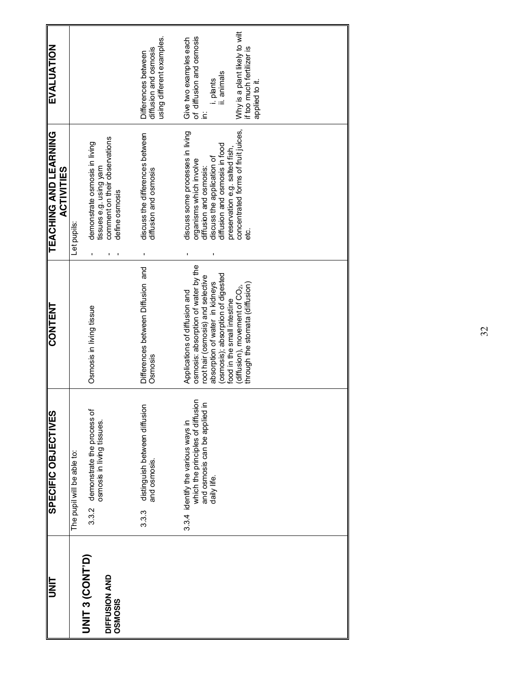| <b>UNIT</b>              | SPECIFIC OBJECTIVES                                                                                                           | <b>CONTENT</b>                                                                                                                              | <b>TEACHING AND LEARNING</b><br><b>ACTIVITIES</b>                                                                   | EVALUATION                                                                                       |
|--------------------------|-------------------------------------------------------------------------------------------------------------------------------|---------------------------------------------------------------------------------------------------------------------------------------------|---------------------------------------------------------------------------------------------------------------------|--------------------------------------------------------------------------------------------------|
| <b>UNIT 3 (CONT'D)</b>   | demonstrate the process of<br>The pupil will be able to:<br>3.3.2                                                             | Osmosis in living tissue                                                                                                                    | demonstrate osmosis in living<br>Let pupils:                                                                        |                                                                                                  |
| DIFFUSION AND<br>OSMOSIS | osmosis in living tissues.                                                                                                    |                                                                                                                                             | comment on their observations<br>tissues e.g. using yam<br>define osmosis                                           |                                                                                                  |
|                          | distinguish between diffusion<br>and osmosis.<br>3.3.3                                                                        | Differences between Diffusion and<br>Osmosis                                                                                                | discuss the differences between<br>diffusion and osmosis                                                            | using different examples.<br>diffusion and osmosis<br>Differences between                        |
|                          | which the principles of diffusion<br>⊒.<br>and osmosis can be applied<br>identify the various ways in<br>daily life.<br>3.3.4 | osmosis: absorption of water by the<br>root hair (osmosis) and selective<br>absorption of water in kidneys<br>Applications of diffusion and | discuss some processes in living<br>discuss the application of<br>organisms which involve<br>diffusion and osmosis: | of diffusion and osmosis<br>Give two examples each<br>i. plants<br>ii. animals<br>$\dot{\equiv}$ |
|                          |                                                                                                                               | (osmosis); absorption of digested<br>food in the small intestine                                                                            | diffusion and osmosis in food<br>preservation e.g. salted fish,                                                     |                                                                                                  |
|                          |                                                                                                                               | through the stomata (diffusion)<br>(diffusion), movement of $CO2$ ,                                                                         | concentrated forms of fruit juices,<br>မ္မ                                                                          | Why is a plant likely to wilt<br>if too much fertilizer is<br>applied to it.                     |
|                          |                                                                                                                               |                                                                                                                                             |                                                                                                                     |                                                                                                  |
|                          |                                                                                                                               |                                                                                                                                             |                                                                                                                     |                                                                                                  |
|                          |                                                                                                                               |                                                                                                                                             |                                                                                                                     |                                                                                                  |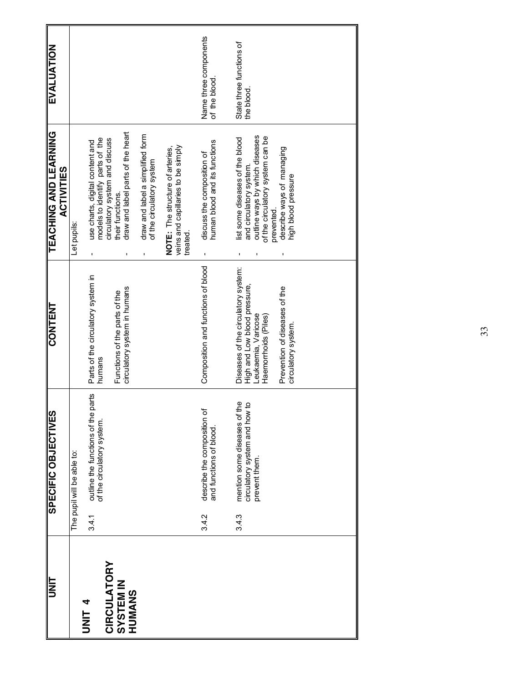| UNIT                                |       | SPECIFIC OBJECTIVES                                                            | <b>CONTENT</b>                                                                                                     | TEACHING AND LEARNING<br><b>ACTIVITIES</b>                                                                                                     | EVALUATION                             |
|-------------------------------------|-------|--------------------------------------------------------------------------------|--------------------------------------------------------------------------------------------------------------------|------------------------------------------------------------------------------------------------------------------------------------------------|----------------------------------------|
|                                     |       | The pupil will be able to:                                                     |                                                                                                                    | Let pupils:                                                                                                                                    |                                        |
| <b>CIRCULATORY</b><br><b>ALINIT</b> | 3.4.1 | parts<br>outline the functions of the<br>of the circulatory system.            | Parts of the circulatory system in<br>humans                                                                       | models to identify parts of the<br>circulatory system and discuss<br>use charts, digital content and<br>ı,                                     |                                        |
| <b>SYSTEM IN</b><br>HUMANS          |       |                                                                                | circulatory system in humans<br>Functions of the parts of the                                                      | draw and label parts of the heart<br>their functions.<br>$\blacksquare$                                                                        |                                        |
|                                     |       |                                                                                |                                                                                                                    | draw and label a simplified form<br>of the circulatory system<br>$\blacksquare$                                                                |                                        |
|                                     |       |                                                                                |                                                                                                                    | veins and capillaries to be simply<br>NOTE: The structure of arteries,<br>treated.                                                             |                                        |
|                                     | 3.4.2 | describe the composition of<br>and functions of blood                          | Composition and functions of blood                                                                                 | human blood and its functions<br>discuss the composition of<br>$\mathbf{I}$                                                                    | Name three components<br>of the blood. |
|                                     | 3.4.3 | mention some diseases of the<br>circulatory system and how to<br>prevent them. | Diseases of the circulatory system:<br>High and Low blood pressure,<br>Leukaemia, Varicose<br>Haemorrhoids (Piles) | outline ways by which diseases<br>of the circulatory system can be<br>list some diseases of the blood<br>and circulatory system.<br>prevented. | State three functions of<br>the blood  |
|                                     |       |                                                                                | Prevention of diseases of the<br>circulatory system.                                                               | describe ways of managing<br>high blood pressure                                                                                               |                                        |
|                                     |       |                                                                                |                                                                                                                    |                                                                                                                                                |                                        |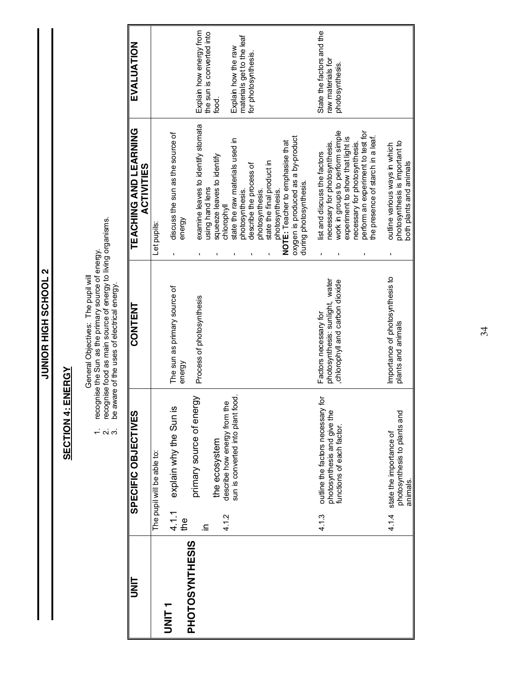**2 TOOH 3S HIGH SCHOOL 2 JUNIOR HIGH SCHOOL 2**

### **SECTION 4: ENERGY SECTION 4: ENERGY**

- General Objectives: The pupil will<br>recognise the Sun as the primary source of energy.<br>recognise food as main source of energy to living organisms.<br>be aware of the uses of electrical energy. 1. recognise the Sun as the primary source of energy.
	- 2. recognise food as main source of energy to living organisms. 3. be aware of the uses of electrical energy.  $\alpha$   $\alpha$

| II<br>N               |              | SPECIFIC OBJECTIVES                                               | CONTENT                                                                                    | <b>TEACHING AND LEARNING</b><br><b>ACTIVITIES</b>                                                     | EVALUATION                                       |
|-----------------------|--------------|-------------------------------------------------------------------|--------------------------------------------------------------------------------------------|-------------------------------------------------------------------------------------------------------|--------------------------------------------------|
|                       |              | The pupil will be able to:                                        |                                                                                            | Let pupils:                                                                                           |                                                  |
| <b>THRI</b>           | 4.1.1<br>the | explain why the Sun is                                            | The sun as primary source of<br>energy                                                     | discuss the sun as the source of<br>energy                                                            |                                                  |
| <b>PHOTOSYNTHESIS</b> | ⊇.           | primary source of energy                                          | Process of photosynthesis                                                                  | examine leaves to identify stomata                                                                    | Explain how energy from                          |
|                       | 4.1.2        | describe how energy from the<br>the ecosystem                     |                                                                                            | squeeze leaves to identify<br>using hand lens<br>chlorophyll                                          | the sun is converted into<br>food.               |
|                       |              | sun is converted into plant food.                                 |                                                                                            | state the raw materials used in<br>photosynthesis.                                                    | materials get to the leaf<br>Explain how the raw |
|                       |              |                                                                   |                                                                                            | state the final product in<br>describe the process of<br>photosynthesis.                              | for photosynthesis.                              |
|                       |              |                                                                   |                                                                                            | NOTE: Teacher to emphasise that<br>photosynthesis.                                                    |                                                  |
|                       |              |                                                                   |                                                                                            | oxygen is produced as a by-product<br>during photosynthesis.                                          |                                                  |
|                       | 4.1.3        | ğ<br>outline the factors necessary<br>photosynthesis and give the | photosynthesis: sunlight, water<br>chlorophyll and carbon dioxide<br>Factors necessary for | necessary for photosynthesis.<br>list and discuss the factors                                         | State the factors and the<br>raw materials for   |
|                       |              | functions of each factor.                                         |                                                                                            | work in groups to perform simple<br>experiment to show that light is<br>necessary for photosynthesis. | photosynthesis.                                  |
|                       |              |                                                                   |                                                                                            | perform an experiment to test for<br>the presence of starch in a leaf.                                |                                                  |
|                       | 4.1.4        | photosynthesis to plants and<br>state the importance of           | Importance of photosynthesis to<br>plants and animals                                      | photosynthesis is important to<br>outline various ways in which                                       |                                                  |
|                       |              | animals.                                                          |                                                                                            | both plants and animals                                                                               |                                                  |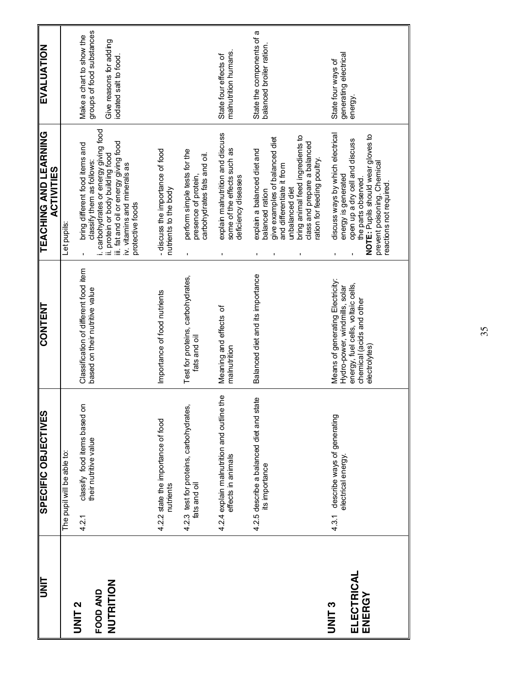| <b>UNIT</b>                                | SPECIFIC OBJECTIVES                                                 | <b>CONTENT</b>                                                                                                                                       | <b>TEACHING AND LEARNING</b><br><b>ACTIVITIES</b>                                                                                                                                                                                        | <b>EVALUATION</b>                                                                                        |
|--------------------------------------------|---------------------------------------------------------------------|------------------------------------------------------------------------------------------------------------------------------------------------------|------------------------------------------------------------------------------------------------------------------------------------------------------------------------------------------------------------------------------------------|----------------------------------------------------------------------------------------------------------|
|                                            | The pupil will be able to:                                          |                                                                                                                                                      | Let pupils                                                                                                                                                                                                                               |                                                                                                          |
| NUTRITION<br>FOOD AND<br>UNIT <sub>2</sub> | classify food items based on<br>their nutritive value<br>4.2.1      | Classification of different food item<br>based on their nutritive value                                                                              | i. carbohydrates or energy giving food<br>iii. fat and oil or energy giving food<br>bring different food items and<br>ii. protein or body building food<br>classify them as follows:<br>iv. vitamins and minerals as<br>protective foods | groups of food substances<br>Make a chart to show the<br>Give reasons for adding<br>iodated salt to food |
|                                            | 4.2.2 state the importance of food<br>nutrients                     | Importance of food nutrients                                                                                                                         | - discuss the importance of food<br>nutrients to the body                                                                                                                                                                                |                                                                                                          |
|                                            | 4.2.3 test for proteins, carbohydrates,<br>fats and oil             | Test for proteins, carbohydrates,<br>fats and oil                                                                                                    | perform simple tests for the<br>carbohydrates fats and oil.<br>presence of protein,                                                                                                                                                      |                                                                                                          |
|                                            | e 4<br>4.2.4 explain malnutrition and outline<br>effects in animals | Meaning and effects of<br>malnutrition                                                                                                               | explain malnutrition and discuss<br>some of the effects such as<br>deficiency diseases                                                                                                                                                   | malnutrition humans.<br>State four effects of                                                            |
|                                            | 4.2.5 describe a balanced diet and state<br>its importance          | Balanced diet and its importance                                                                                                                     | bring animal feed ingredients to<br>give examples of balanced diet<br>class and prepare a balanced<br>explain a balanced diet and<br>ation for feeding poulty.<br>and differentiate it from<br>unbalanced diet<br>balanced ration        | State the components of a<br>balanced broiler ration.                                                    |
| ELECTRICAL<br>ENERGY<br>UNIT <sub>3</sub>  | describe ways of generating<br>electrical energy.<br>4.3.1          | Means of generating Electricity<br>energy, fuel cells, voltaic cells,<br>Hydro-power, windmills, solar<br>chemical (acids and other<br>electrolytes) | discuss ways by which electrical<br>NOTE: Pupils should wear gloves to<br>open up a dry cell and discuss<br>prevent poisoning. Chemical<br>energy is generated<br>the parts observed.<br>reactions not required                          | generating electrical<br>energy.<br>State four ways of                                                   |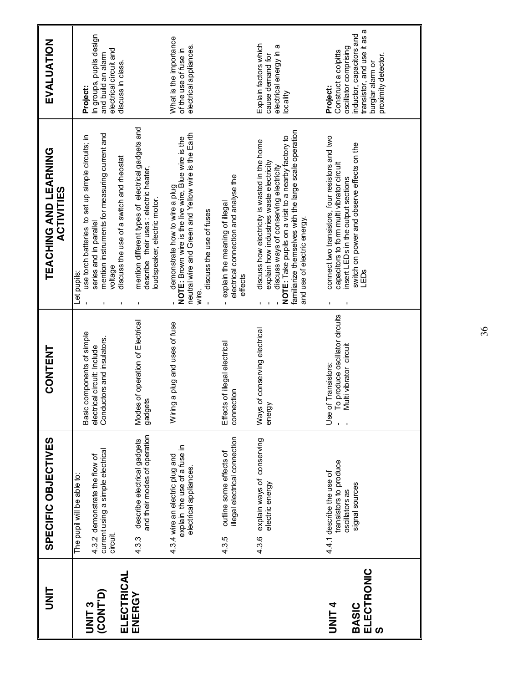| <b>UNIT</b>                                             | SPECIFIC OBJECTIVES                                                                                          | CONTENT                                                                                                    | TEACHING AND LEARNING<br><b>ACTIVITIES</b>                                                                                                                                                                                                                                         | EVALUATION                                                                                                                                                         |
|---------------------------------------------------------|--------------------------------------------------------------------------------------------------------------|------------------------------------------------------------------------------------------------------------|------------------------------------------------------------------------------------------------------------------------------------------------------------------------------------------------------------------------------------------------------------------------------------|--------------------------------------------------------------------------------------------------------------------------------------------------------------------|
| ELECTRICAL<br>(CONT <sup>D</sup> )<br>UNIT <sub>3</sub> | current using a simple electrical<br>4.3.2 demonstrate the flow of<br>The pupil will be able to:<br>circuit. | components of simple<br>Conductors and insulators.<br>electrical circuit: Include<br>Basic                 | mention instruments for measuring current and<br>use torch batteries to set up simple circuits; in<br>discuss the use of a switch and meostat<br>series and in parallel<br>voltage<br>Let pupils:                                                                                  | In groups, pupils design<br>electrical circuit and<br>and build an alarm<br>discuss in class.<br>Project:                                                          |
| ENERGY                                                  | and their modes of operation<br>describe electrical gadgets<br>4.3.3                                         | Modes of operation of Electrical<br>gadgets                                                                | mention different types of electrical gadgets and<br>describe their uses : electric heater,<br>loud speaker, electric motor.                                                                                                                                                       |                                                                                                                                                                    |
|                                                         | explain the use of a fuse in<br>4.3.4 wire an electric plug and<br>electrical appliances.                    | Wiring a plug and uses of fuse                                                                             | neutral wire and Green and Yellow wire is the Earth<br>NOTE: Brown wire is the live wire, Blue wire is the<br>demonstrate how to wire a plug<br>discuss the use of fuses<br>wire.                                                                                                  | What is the importance<br>electrical appliances.<br>of the use of fuse in                                                                                          |
|                                                         | illegal electrical connection<br>outline some effects of<br>4.3.5                                            | Effects of illegal electrical<br>connection                                                                | electrical connection and analyse the<br>explain the meaning of illegal<br>effects                                                                                                                                                                                                 |                                                                                                                                                                    |
|                                                         | explain ways of conserving<br>electric energy<br>4.3.6                                                       | of conserving electrical<br>energy<br>Ways                                                                 | familiarize themselves with the large scale operation<br>NOTE: Take pupils on a visit to a nearby factory to<br>discuss how electricity is wasted in the home<br>explain how industries waste electricity<br>discuss ways of conserving electricity<br>and use of electric energy. | Explain factors which<br>electrical energy in a<br>cause demand for<br>locality                                                                                    |
| ELECTRONIC<br><b>ALINIL</b><br><b>BASIC</b><br>ທ        | transistors to produce<br>4.4.1 describe the use of<br>signal sources<br>oscillators as                      | o produce oscillator circuits<br>Use of Transistors:<br>- To produce oscillato<br>- Multi vibrator circuit | connect two transistors, four resistors and two<br>switch on power and observe effects on the<br>capacitors to form multi vibrator circuit<br>insert LEDs in the output sections<br>LEDS                                                                                           | ω<br>inductor, capacitors and<br>transistor, and use it as<br>oscillator comprising<br>Construct a colpitts<br>proximity detector.<br>burglar alarm or<br>Project: |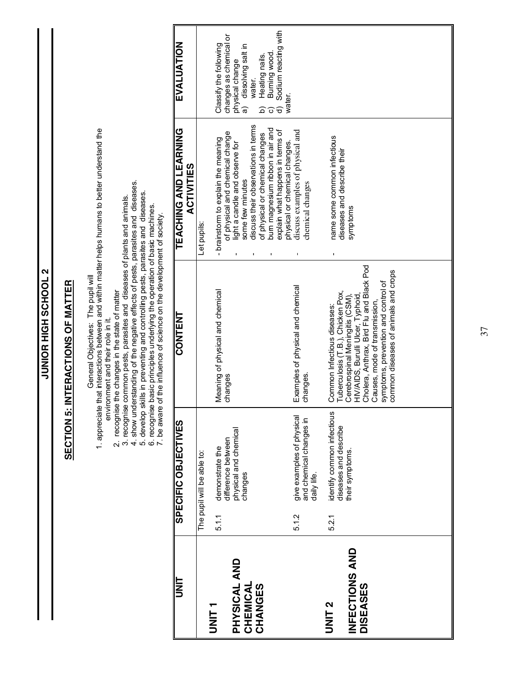| Sodium reacting with<br>changes as chemical or<br>EVALUATION<br>Classify the following<br>dissolving salt in<br>Burning wood<br>Heating nails.<br>physical change<br>water.<br>water.<br>ಹ<br>$\widehat{\sigma}$<br><u>ଚ</u><br>ි<br>discuss their observations in terms<br>bum magnesium ribbon in air and<br>1. appreciate that interactions between and within matter helps humans to better understand the<br>TEACHING AND LEARNING<br>explain what happens in terms of<br>discuss examples of physical and<br>of physical and chemical change<br>of physical or chemical changes<br>name some common infectious<br>- brainstorm to explain the meaning<br>physical or chemical changes.<br>light a candle and observe for<br>diseases and describe their<br><b>ACTIVITIES</b><br>some few minutes<br>4. show understanding of the negative effects of pests, parasites and diseases.<br>chemical changes<br>5. develop skills in preventing and controlling pests, parasites and diseases.<br>6. recognise basic principles underlying the operation of basic machines.<br>7. be aware of the influence of science on the development of society<br>2. recognise the changes in the state of matter<br>3. recognise common pests, parasites and diseases of plants and animals.<br>symptoms<br>Let pupils:<br>$\mathbf{I}$<br>J.<br>ı<br>Cholera, Anthrax, Bird Flu and Black Pod<br>common diseases of animals and crops<br>General Objectives: The pupil will<br>symptoms, prevention and control of<br>Examples of physical and chemical<br>Meaning of physical and chemical<br>Tuberculosis (T.B.), Chicken Pox,<br>Cerebrospinal Meningitis (CSM),<br>HIV/AIDS, Burulli Ulcer, Typhoid<br>Causes, mode of transmission,<br>Common Infectious diseases:<br><b>CONTENT</b><br>environment and their role in it.<br>changes.<br>changes<br>identify common infectious<br>give examples of physical<br>and chemical changes in<br>SPECIFIC OBJECTIVES<br>diseases and describe<br>physical and chemical<br>difference between<br>demonstrate the<br>their symptoms.<br>The pupil will be able to:<br>changes<br>daily life.<br>5.1.2<br>5.1.1<br>5.2.1<br>INFECTIONS AND<br>PHYSICAL AND<br>II<br>N<br>CHEMICAL<br><b>DISEASES</b><br>CHANGES<br>UNIT <sub>2</sub><br>UNIT <sub>1</sub> |
|-----------------------------------------------------------------------------------------------------------------------------------------------------------------------------------------------------------------------------------------------------------------------------------------------------------------------------------------------------------------------------------------------------------------------------------------------------------------------------------------------------------------------------------------------------------------------------------------------------------------------------------------------------------------------------------------------------------------------------------------------------------------------------------------------------------------------------------------------------------------------------------------------------------------------------------------------------------------------------------------------------------------------------------------------------------------------------------------------------------------------------------------------------------------------------------------------------------------------------------------------------------------------------------------------------------------------------------------------------------------------------------------------------------------------------------------------------------------------------------------------------------------------------------------------------------------------------------------------------------------------------------------------------------------------------------------------------------------------------------------------------------------------------------------------------------------------------------------------------------------------------------------------------------------------------------------------------------------------------------------------------------------------------------------------------------------------------------------------------------------------------------------------------------------------------------------------------------------------------------------------------------------------------------------------|
|                                                                                                                                                                                                                                                                                                                                                                                                                                                                                                                                                                                                                                                                                                                                                                                                                                                                                                                                                                                                                                                                                                                                                                                                                                                                                                                                                                                                                                                                                                                                                                                                                                                                                                                                                                                                                                                                                                                                                                                                                                                                                                                                                                                                                                                                                               |

JUNIOR HIGH SCHOOL 2 **JUNIOR HIGH SCHOOL 2**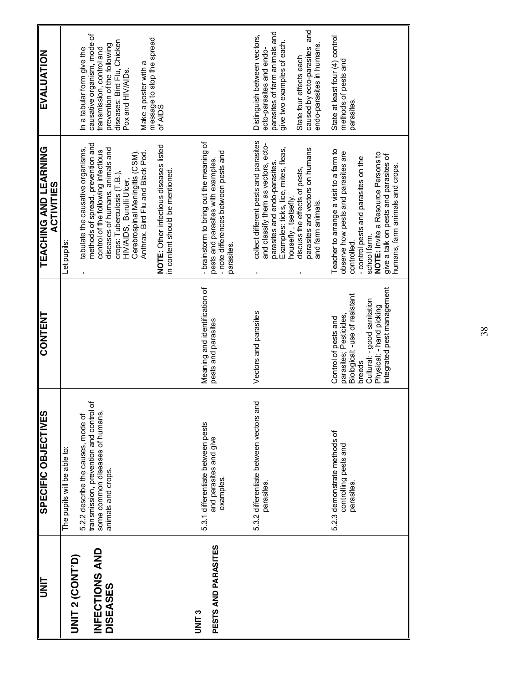| <b>EVALUATION</b>                                 | causative organism, mode of<br>message to stop the spread<br>of AIDS<br>diseases: Bird Flu, Chicken<br>prevention of the following<br>In a tabular form give the<br>transmission, control and<br>Make a poster with a<br>Pox and HIV/AIDs.                                                                                                                                     |                                                                                                                                      | caused by ecto-parasites and<br>parasites of farm animals and<br>Distinguish between vectors,<br>give two examples of each.<br>endo-parasites in humans.<br>ecto-parasites and endo-<br>State four effects each                                                        | State at least four (4) control<br>methods of pests and<br>parasites                                                                                                                                                                                                    |
|---------------------------------------------------|--------------------------------------------------------------------------------------------------------------------------------------------------------------------------------------------------------------------------------------------------------------------------------------------------------------------------------------------------------------------------------|--------------------------------------------------------------------------------------------------------------------------------------|------------------------------------------------------------------------------------------------------------------------------------------------------------------------------------------------------------------------------------------------------------------------|-------------------------------------------------------------------------------------------------------------------------------------------------------------------------------------------------------------------------------------------------------------------------|
| <b>TEACHING AND LEARNING</b><br><b>ACTIVITIES</b> | methods of spread, prevention and<br>NOTE: Other infectious diseases listed<br>tabulate the causative organisms,<br>diseases of humans, animals and<br>control of the following infectious<br>Cerebrospinal Meningitis (CSM),<br>Anthrax, Bird Flu and Black Pod.<br>in content should be mentioned.<br>crops: Tuberculosis (T.B.),<br>HIV/AIDS, Burulli Ulcer,<br>Let pupils: | - brainstorm to bring out the meaning of<br>- note differences between pests and<br>pests and parasites with examples.<br>parasites. | collect different pests and parasites<br>and classify them as vectors, ecto-<br>parasites and vectors on humans<br>Examples: ticks, lice, mites, fleas,<br>parasites and endo-parasites.<br>discuss the effects of pests,<br>housefly, tsetsefly.<br>and farm animals. | Teacher to arrange a visit to a farm to<br>observe how pests and parasites are<br>NOTE: Invite a Resource Persons to<br>give a talk on pests and parasites of<br>- control pests and parasites on the<br>humans, farm animals and crops.<br>school farm.<br>controlled. |
| <b>CONTENT</b>                                    |                                                                                                                                                                                                                                                                                                                                                                                | Meaning and identification of<br>pests and parasites                                                                                 | Vectors and parasites                                                                                                                                                                                                                                                  | Integrated pest management<br>Biological: -use of resistant<br>Cultural: - good sanitation<br>Physical: - hand picking<br>parasites; Pesticides,<br>Control of pests and<br>breeds                                                                                      |
| SPECIFIC OBJECTIVES                               | transmission, prevention and control of<br>some common diseases of humans,<br>5.2.2 describe the causes, mode of<br>The pupils will be able to:<br>animals and crops.                                                                                                                                                                                                          | 5.3.1 differentiate between pests<br>and parasites and give<br>examples.                                                             | 5.3.2 differentiate between vectors and<br>parasites.                                                                                                                                                                                                                  | 5.2.3 demonstrate methods of<br>controlling pests and<br>parasites.                                                                                                                                                                                                     |
| $\sqrt{\frac{1}{2}}$                              | INFECTIONS AND<br><b>UNIT 2 (CONT'D)</b><br><b>DISEASES</b>                                                                                                                                                                                                                                                                                                                    | PESTS AND PARASITES<br><b>C<br/>NNLS</b>                                                                                             |                                                                                                                                                                                                                                                                        |                                                                                                                                                                                                                                                                         |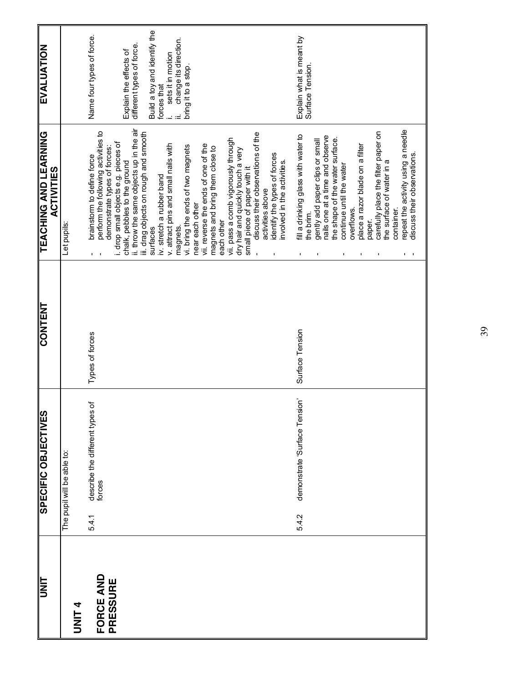| <b>SPECIFIC OBJECTIVES</b>                  | <b>CONTENT</b>  | <b>LEVCHING AND LEARNING</b><br><b>ACTIVITIES</b>                                                                                                                                                                                                                                                                                                                                                                                                                                                                                                                                                                                                                                                                                                               | EVALUATION                                                                                                                                                                                           |
|---------------------------------------------|-----------------|-----------------------------------------------------------------------------------------------------------------------------------------------------------------------------------------------------------------------------------------------------------------------------------------------------------------------------------------------------------------------------------------------------------------------------------------------------------------------------------------------------------------------------------------------------------------------------------------------------------------------------------------------------------------------------------------------------------------------------------------------------------------|------------------------------------------------------------------------------------------------------------------------------------------------------------------------------------------------------|
| The pupil will be able to:                  |                 | Let pupils:                                                                                                                                                                                                                                                                                                                                                                                                                                                                                                                                                                                                                                                                                                                                                     |                                                                                                                                                                                                      |
| Ⴆ<br>describe the different types<br>forces | Types of forces | ii. throw the same objects up in the air<br>perform the following activities to<br>iii. drag objects on rough and smooth<br>discuss their observations of the<br>vii. pass a comb vigorously through<br>i. drop small objects e.g. pieces of<br>v. attract pins and small nails with<br>vii. reverse the ends of one of the<br>vi. bring the ends of two magnets<br>magnets and bring them close to<br>demonstrate types of forces:<br>dry hair and quickly touch a very<br>identify the types of forces<br>brainstorm to define force<br>chalk, pebbles to the ground<br>involved in the activities.<br>small piece of paper with it<br>iv. stretch a rubber band<br>activities above<br>near each other<br>each other<br>surfaces<br>magnets.<br>$\mathbf{L}$ | Build a toy and identify the<br>Name four types of force.<br>change its direction.<br>different types of force.<br>Explain the effects of<br>sets it in motion<br>bring it to a stop.<br>forces that |
| demonstrate 'Surface Tension'               | Surface Tension | repeat the activity using a needle<br>carefully place the filter paper on<br>fill a drinking glass with water to<br>nails one at a time and observe<br>the shape of the water surface.<br>gently add paper clips or small<br>place a razor blade on a filter<br>discuss their observations.<br>the surface of water in a<br>continue until the water<br>overflows.<br>container.<br>the brim.<br>paper.<br>$\blacksquare$<br>$\mathbf I$<br>п.                                                                                                                                                                                                                                                                                                                  | Explain what is meant by<br>Surface Tension                                                                                                                                                          |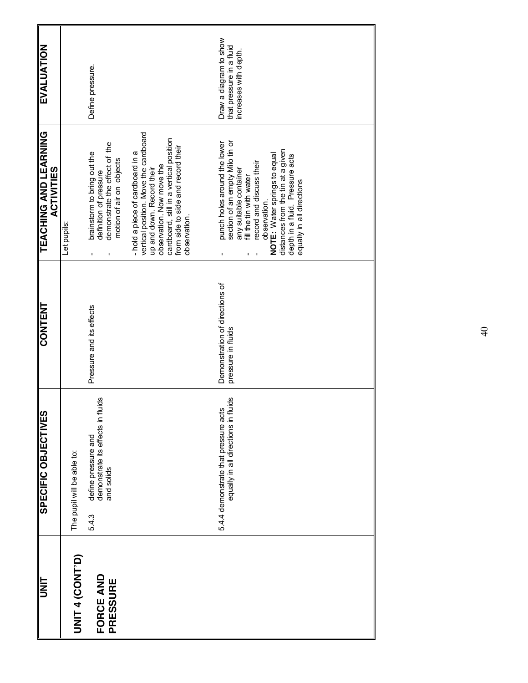| $\frac{1}{\sqrt{2}}$  | SPECIFIC OBJECTIVES                                                             | <b>CONTENT</b>                                       | <b>TEACHING AND LEARNING</b><br><b>ACTIVITIES</b>                                                                                                                                                                                                                                                     | <b>EVALUATION</b>                                                           |
|-----------------------|---------------------------------------------------------------------------------|------------------------------------------------------|-------------------------------------------------------------------------------------------------------------------------------------------------------------------------------------------------------------------------------------------------------------------------------------------------------|-----------------------------------------------------------------------------|
| <b>JNIT 4 (CONTP)</b> | The pupil will be able to:                                                      |                                                      | Let pupils:                                                                                                                                                                                                                                                                                           |                                                                             |
| FORCE AND<br>PRESSURE | demonstrate its effects in fluids<br>define pressure and<br>and solids<br>5.4.3 | Pressure and its effects                             | demonstrate the effect of the<br>brainstorm to bring out the<br>motion of air on objects<br>definition of pressure                                                                                                                                                                                    | Define pressure.                                                            |
|                       |                                                                                 |                                                      | vertical position. Move the cardboard<br>cardboard, still in a vertical position<br>from side to side and record their<br>- hold a piece of cardboard in a<br>observation. Now move the<br>up and down. Record their<br>observation.                                                                  |                                                                             |
|                       | equally in all directions in fluids<br>5.4.4 demonstrate that pressure acts     | Demonstration of directions of<br>pressure in fluids | section of an empty Milo tin or<br>punch holes around the lower<br>distances from the tin at a given<br>NOTE: Water springs to equal<br>depth in a fluid. Pressure acts<br>record and discuss their<br>any suitable container<br>fill the tin with water<br>equally in all directions<br>observation. | Draw a diagram to show<br>that pressure in a fluid<br>increases with depth. |

 $\Theta$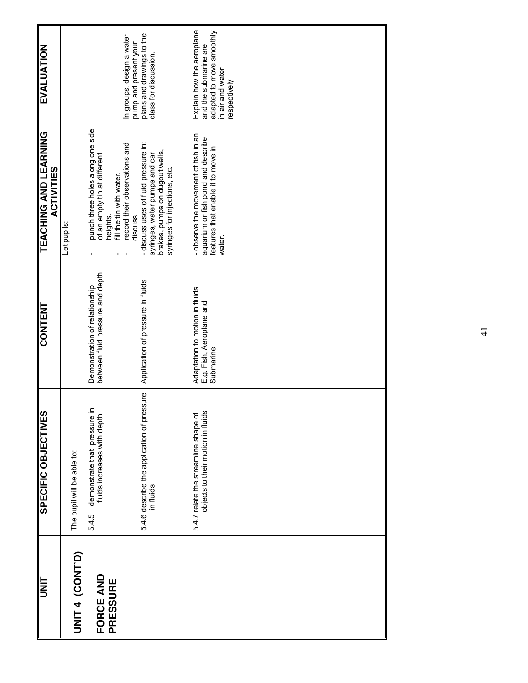| <b>UNIT</b>                  | SPECIFIC OBJECTIVES                                                       | <b>CONTENT</b>                                                          | <b>TEACHING AND LEARNING</b><br><b>ACTIVITIES</b>                                                                                                                                  | <b>EVALUATION</b>                                                                                                  |
|------------------------------|---------------------------------------------------------------------------|-------------------------------------------------------------------------|------------------------------------------------------------------------------------------------------------------------------------------------------------------------------------|--------------------------------------------------------------------------------------------------------------------|
| UNIT 4 (CONT'D)              | The pupil will be able to:                                                |                                                                         | Let pupils:                                                                                                                                                                        |                                                                                                                    |
| FORCE AND<br><b>PRESSURE</b> | demonstrate that pressure in<br>fluids increases with depth<br>5.4.5      | between fluid pressure and depth<br>Demonstration of relationship       | punch three holes along one side<br>of an empty tin at different<br>fill the tin with water.<br>heights.                                                                           |                                                                                                                    |
|                              | 5.4.6 describe the application of pressure<br>in fluids                   | Application of pressure in fluids                                       | - discuss uses of fluid pressure in:<br>record their observations and<br>brakes, pumps on dugout wells,<br>syringes, water along data<br>syringes for injections, etc.<br>discuss. | plans and drawings to the<br>In groups, design a water<br>pump and present your<br>class for discussion.           |
|                              | objects to their motion in fluids<br>5.4.7 relate the streamline shape of | Adaptation to motion in fluids<br>E.g. Fish, Aeroplane and<br>Submarine | - observe the movement of fish in an<br>aquarium or fish pond and describe<br>features that enable it to move in<br>water.                                                         | Explain how the aeroplane<br>adapted to move smoothly<br>and the submarine are<br>in air and water<br>respectively |
|                              |                                                                           |                                                                         |                                                                                                                                                                                    |                                                                                                                    |
|                              |                                                                           |                                                                         |                                                                                                                                                                                    |                                                                                                                    |
|                              |                                                                           |                                                                         |                                                                                                                                                                                    |                                                                                                                    |
|                              |                                                                           |                                                                         |                                                                                                                                                                                    |                                                                                                                    |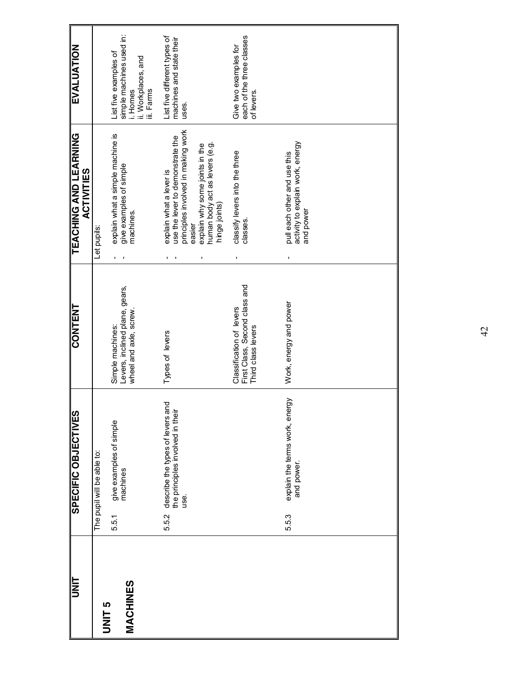| <b>UNIT</b>               |       | SPECIFIC OBJECTIVES                                                          | <b>CONTENT</b>                                                                  | <b>TEACHING AND LEARNING</b><br><b>ACTIVITIES</b>                                                                                                                                                | <b>EVALUATION</b>                                                                                  |
|---------------------------|-------|------------------------------------------------------------------------------|---------------------------------------------------------------------------------|--------------------------------------------------------------------------------------------------------------------------------------------------------------------------------------------------|----------------------------------------------------------------------------------------------------|
|                           |       | The pupil will be able to:                                                   |                                                                                 | Let pupils:                                                                                                                                                                                      |                                                                                                    |
| MACHINES<br><b>UNIT 5</b> | 5.5.1 | give examples of simple<br>machines                                          | Levers, inclined plane, gears,<br>wheel and axle, screw.<br>Simple machines:    | explain what a simple machine is<br>give examples of simple<br>machines.                                                                                                                         | simple machines used in:<br>List five examples of<br>ii. Workplaces, and<br>i. Homes<br>iii. Farms |
|                           | 5.5.2 | describe the types of levers and<br>the principles involved in their<br>use. | Types of levers                                                                 | principles involved in making work<br>use the lever to demonstrate the<br>human body act as levers (e.g.<br>explain why some joints in the<br>explain what a lever is<br>hinge joints)<br>easier | List five different types of<br>machines and state their<br>uses.                                  |
|                           |       |                                                                              | First Class, Second class and<br>Classification of levers<br>Third class levers | classify levers into the three<br>classes.                                                                                                                                                       | each of the three classes<br>Give two examples for<br>of levers.                                   |
|                           | 5.5.3 | explain the terms work, energy<br>and power.                                 | Work, energy and power                                                          | activity to explain work, energy<br>pull each other and use this<br>and power                                                                                                                    |                                                                                                    |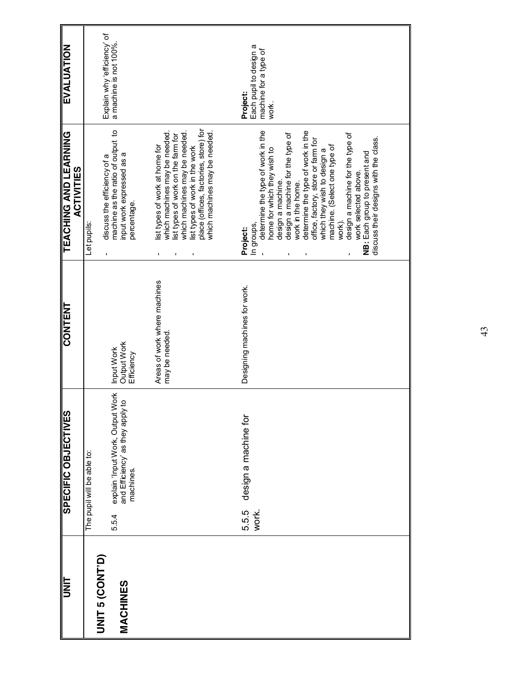| EVALUATION                                        | Explain why efficiency of                       | a machine is not 100%.                                                                                   |                                                                                                                                                                                                                                                      | Each pupil to design a<br>machine for a type of<br>Project:<br>work.                                                                                                                                                                                                                                                                                                                                                                                                                                                    |
|---------------------------------------------------|-------------------------------------------------|----------------------------------------------------------------------------------------------------------|------------------------------------------------------------------------------------------------------------------------------------------------------------------------------------------------------------------------------------------------------|-------------------------------------------------------------------------------------------------------------------------------------------------------------------------------------------------------------------------------------------------------------------------------------------------------------------------------------------------------------------------------------------------------------------------------------------------------------------------------------------------------------------------|
| <b>TEACHING AND LEARNING</b><br><b>ACTIVITIES</b> | discuss the efficiency of a<br>Let pupils:<br>ı | machine as the ratio of output to<br>input work expressed as a<br>percentage                             | place (offices, factories, store) for<br>which machines may be needed.<br>which machines may be needed.<br>which machines may be needed.<br>ist types of work on the farm for<br>ist types of work at home for<br>ist types of work in the work<br>ı | determine the type of work in the<br>determine the type of work in the<br>design a machine for the type of<br>design a machine for the type of<br>discuss their designs with the class.<br>office, factory, store or farm for<br>machine. (Select one type of<br>home for which they wish to<br>which they wish to design a<br>NB: Each group to present and<br>work selected above.<br>design a machine.<br>work in the home.<br>work).<br>In groups,<br><b>Project:</b><br>$\blacksquare$<br>ı<br>$\blacksquare$<br>ı |
| <b>CONTENT</b>                                    |                                                 | Output Work<br>Input Work<br>Efficiency                                                                  | Areas of work where machines<br>may be needed.                                                                                                                                                                                                       | Designing machines for work.                                                                                                                                                                                                                                                                                                                                                                                                                                                                                            |
| SPECIFIC OBJECTIVES                               | The pupil will be able to:                      | <b>Work</b><br>explain 'Input Work, Output Wor<br>and Efficiency' as they apply to<br>machines.<br>5.5.4 |                                                                                                                                                                                                                                                      | design a machine for<br>5.5.5<br>work.                                                                                                                                                                                                                                                                                                                                                                                                                                                                                  |
| <b>UNIT</b>                                       | <b>UNIT 5 (CONT'D)</b>                          | <b>MACHINES</b>                                                                                          |                                                                                                                                                                                                                                                      |                                                                                                                                                                                                                                                                                                                                                                                                                                                                                                                         |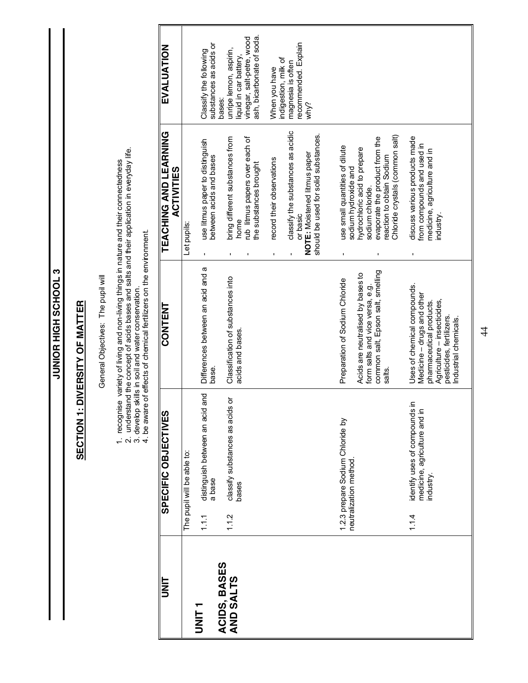**S TOOHOS HIGH SCHOOL 3 JUNIOR HIGH SCHOOL 3**

## **SECTION 1: DIVERSITY OF MATTER SECTION 1: DIVERSITY OF MATTER**

General Objectives: The pupil will General Objectives: The pupil will 1. recognise variety of living and non-living things in nature and their connectedness

1. recognise variety of living and non-living things in nature and their connectedness<br>2. understand the concept of acids bases and salts and their application in everyday life.<br>3. develop skills in soil and water conserva 2. understand the concept of acids bases and salts and their application in everyday life.

3. develop skills in soil and water conservation.

4. be aware of effects of chemical fertilizers on the environment.

| EVALUATION                                 | Classify the following                                                 | ash, bicarbonate of soda<br>vinegar, salt-petre, wood<br>substances as acids or<br>unripe lemon, aspirin,<br>liquid in car battery,<br>bases: | ecommended. Explain<br>indigestion, milk of<br>magnesia is often<br>When you have<br>why?                                                               |                                                                                                                                                                                                              |                                                                                                                                                                          |
|--------------------------------------------|------------------------------------------------------------------------|-----------------------------------------------------------------------------------------------------------------------------------------------|---------------------------------------------------------------------------------------------------------------------------------------------------------|--------------------------------------------------------------------------------------------------------------------------------------------------------------------------------------------------------------|--------------------------------------------------------------------------------------------------------------------------------------------------------------------------|
| TEACHING AND LEARNING<br><b>ACTIVITIES</b> | use litmus paper to distinguish<br>Let pupils:                         | bring different substances from<br>rub litmus papers over each of<br>between acids and bases<br>the substances brought<br>home                | classify the substances as acidic<br>should be used for solid substances.<br>NOTE: Moistened litmus paper<br>record their observations<br>or basic<br>ı | Chloride crystals (common salt)<br>evaporate the product from the<br>use small quantities of dilute<br>hydrochloric acid to prepare<br>reaction to obtain Sodium<br>sodium hydroxide and<br>sodium chloride. | discuss various products made<br>from compounds and used in<br>medicine, agriculture and in<br>industry.                                                                 |
| <b>CONTENT</b>                             | Differences between an acid and a                                      | Classification of substances into<br>acids and bases.<br>base.                                                                                |                                                                                                                                                         | common salt, Epson salt, smelling<br>Acids are neutralised by bases to<br>Preparation of Sodium Chloride<br>form salts and vice versa, e.g.<br>salts                                                         | Uses of chemical compounds.<br>Medicine – drugs and other<br>Agriculture – insecticides,<br>pharmaceutical products.<br>pesticides, fertilizers.<br>ndustrial chemicals. |
| SPECIFIC OBJECTIVES                        | distinguish between an acid and<br>The pupil will be able to:<br>1.1.1 | classify substances as acids or<br>a base<br>bases<br>1.1.2                                                                                   |                                                                                                                                                         | 1.2.3 prepare Sodium Chloride by<br>neutralization method                                                                                                                                                    | identify uses of compounds in<br>≘.<br>medicine, agriculture and<br>industry.<br>1.14                                                                                    |
| t<br>Mu                                    | T LIN                                                                  | ACIDS, BASES<br>AND SALTS                                                                                                                     |                                                                                                                                                         |                                                                                                                                                                                                              |                                                                                                                                                                          |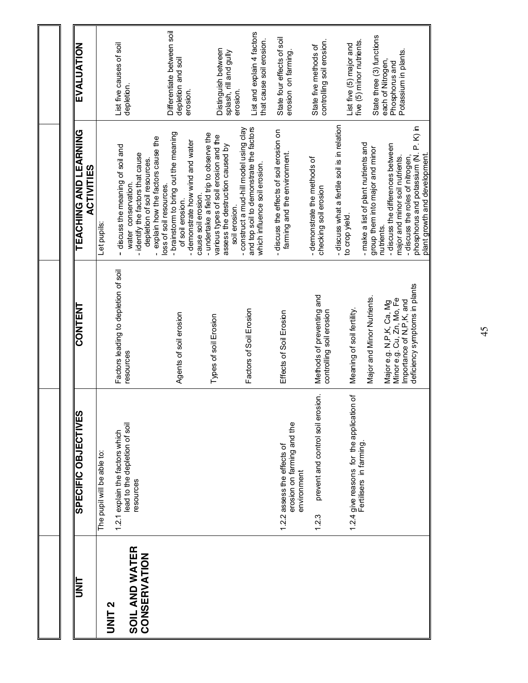| I<br>NT                        | SPECIFIC OBJECTIVES                                                      | <b>CONTENT</b>                                                                                                      | TEACHING AND LEARNING<br><b>ACTIVITIES</b>                                                                                                                     | EVALUATION                                                         |
|--------------------------------|--------------------------------------------------------------------------|---------------------------------------------------------------------------------------------------------------------|----------------------------------------------------------------------------------------------------------------------------------------------------------------|--------------------------------------------------------------------|
| <b>DNIL2</b>                   | 1.2.1 explain the factors which<br>The pupil will be able to:            | Factors leading to depletion of soil                                                                                | - discuss the meaning of soil and<br>Let pupils.                                                                                                               | List five causes of soil                                           |
| SOIL AND WATER<br>CONSERVATION | lead to the depletion of soil<br>resources                               | resources                                                                                                           | - identify the factors that cause<br>depletion of soil resources.<br>water conservation.                                                                       | depletion.                                                         |
|                                |                                                                          | Agents of soil erosion                                                                                              | - brainstorm to bring out the meaning<br>- explain how the factors cause the<br>-demonstrate how wind and water<br>loss of soil resources.<br>of soil erosion. | Differentiate between soil<br>depletion and soil<br>erosion.       |
|                                |                                                                          | Types of soil Erosion                                                                                               | - undertake a field trip to observe the<br>various types of soil erosion and the<br>assess the destruction caused by<br>cause soil erosion                     | Distinguish between<br>splash, rill and gully                      |
|                                |                                                                          | Factors of Soil Erosion                                                                                             | -construct a mud-hill model using clay<br>and top soil to demonstrate the factors<br>which influence soil erosion.<br>soil erosion.                            | List and explain 4 factors<br>that cause soil erosion.<br>erosion. |
|                                | erosion on farming and the<br>1.2.2 assess the effects of<br>environment | Effects of Soil Erosion                                                                                             | - discuss the effects of soil erosion on<br>farming and the environment.                                                                                       | State four effects of soil<br>erosion on farming.                  |
|                                | prevent and control soil erosion.<br>1.2.3                               | Methods of preventing and<br>controlling soil erosion                                                               | -demonstrate the methods of<br>checking soil erosion                                                                                                           | controlling soil erosion.<br>State five methods of                 |
|                                | 1.2.4 give reasons for the application of                                | Meaning of soil fertility.                                                                                          | discuss what a fertile soil is in relation<br>to crop yield.                                                                                                   | five (5) minor nutrients.<br>List five (5) major and               |
|                                |                                                                          | Major and Minor Nutrients.                                                                                          | - make a list of plant nutrients and<br>group them into major and minor                                                                                        | State three (3) functions                                          |
|                                |                                                                          | deficiency symptoms in plants<br>Minore.g. Cu, Zn, Mo, Fe<br>Importance of N, P, K, and<br>Major e.g. N,P,K, Ca, Mg | phosphorus and potassium (N. P. K) in<br>- discuss the differences between<br>major and minor soil nutrients.<br>-discuss the roles of nitrogen<br>nutrients.  | Potassium in plants.<br>each of Nitrogen,<br>Phosphorus and        |
|                                |                                                                          |                                                                                                                     | plant growth and development.                                                                                                                                  |                                                                    |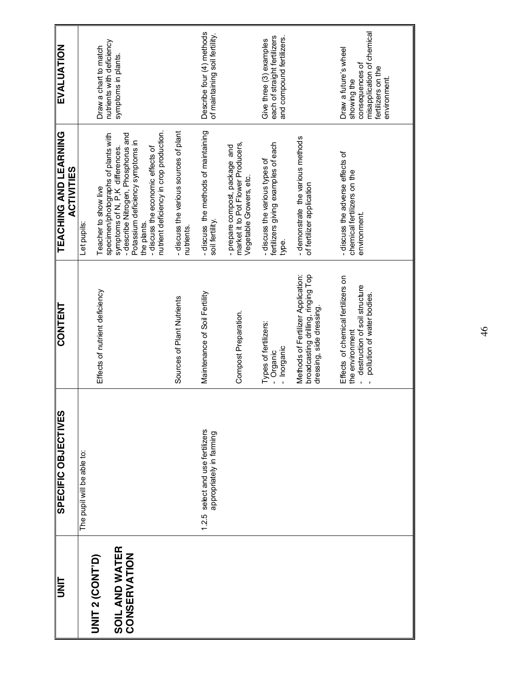| Effects of nutrient deficiency                                                                                       |
|----------------------------------------------------------------------------------------------------------------------|
| Sources of Plant Nutrients                                                                                           |
| Maintenance of Soil Fertility                                                                                        |
| Compost Preparation.                                                                                                 |
| Types of fertilizers:<br>- Inorganic<br>Organic                                                                      |
| Methods of Fertilizer Application:<br>broadcasting drilling, ringing Top<br>dressing, side dressing.                 |
| Effects of chemical fertilizers on<br>destruction of soil structure<br>pollution of water bodies.<br>the environment |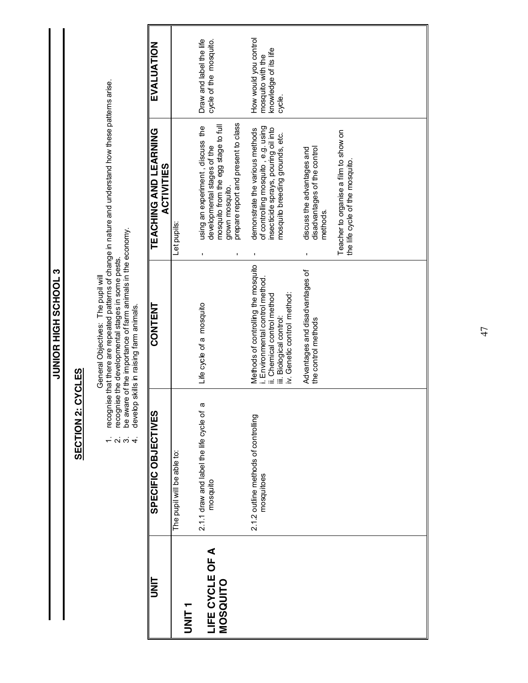JUNIOR HIGH SCHOOL 3 **JUNIOR HIGH SCHOOL 3**

### **SECTION 2: CYCLES SECTION 2: CYCLES**

- General Objectives: The pupil will<br>recognise that there are repeated patterns of change in nature and understand how these patterns arise.<br>recognise the developmental stages in some pests.<br>be aware of the importance of far 1. recognise that there are repeated patterns of change in nature and understand how these patterns arise.
	- 2. recognise the developmental stages in some pests. 3. be aware of the importance of farm animals in the economy.
	- 4. develop skills in raising farm animals.  $\alpha$   $\alpha$   $+$

| I<br>N<br>D                 | SPECIFIC OBJECTIVES                                | <b>CONTENT</b>                                                                                                                                                    | TEACHING AND LEARNING<br><b>ACTIVITIES</b>                                                                                                                            | EVALUATION                                                                    |
|-----------------------------|----------------------------------------------------|-------------------------------------------------------------------------------------------------------------------------------------------------------------------|-----------------------------------------------------------------------------------------------------------------------------------------------------------------------|-------------------------------------------------------------------------------|
| T<br>INIT<br>I              | The pupil will be able to:                         |                                                                                                                                                                   | Let pupils:                                                                                                                                                           |                                                                               |
| LIFE CYCLE OF A<br>MOSQUITO | Ø<br>2.1.1 draw and label the life cycle of        | Life cycle of a mosquito                                                                                                                                          | prepare report and present to class<br>mosquito from the egg stage to full<br>using an experiment, discuss the<br>developmental stages of the<br>grown mosquito.<br>ı | Draw and label the life<br>cycle of the mosquito.                             |
|                             | 2.1.2 outline methods of controlling<br>mosquitoes | Methods of controlling the mosquito<br>i. Environmental control method.<br>iv. Genetic control method:<br>ii. Chemical control method<br>iii. Biological control: | of controlling mosquito, e.g. using<br>demonstrate the various methods<br>insecticide sprays, pouring oil into<br>mosquito breeding grounds, etc.<br>ı                | How would you control<br>knowledge of its life<br>mosquito with the<br>cycle. |
|                             |                                                    | Advantages and disadvantages of<br>the control methods                                                                                                            | disadvantages of the control<br>discuss the advantages and<br>methods.                                                                                                |                                                                               |
|                             |                                                    |                                                                                                                                                                   | Teacher to organise a film to show on<br>the life cycle of the mosquito.                                                                                              |                                                                               |
|                             |                                                    |                                                                                                                                                                   |                                                                                                                                                                       |                                                                               |
|                             |                                                    |                                                                                                                                                                   |                                                                                                                                                                       |                                                                               |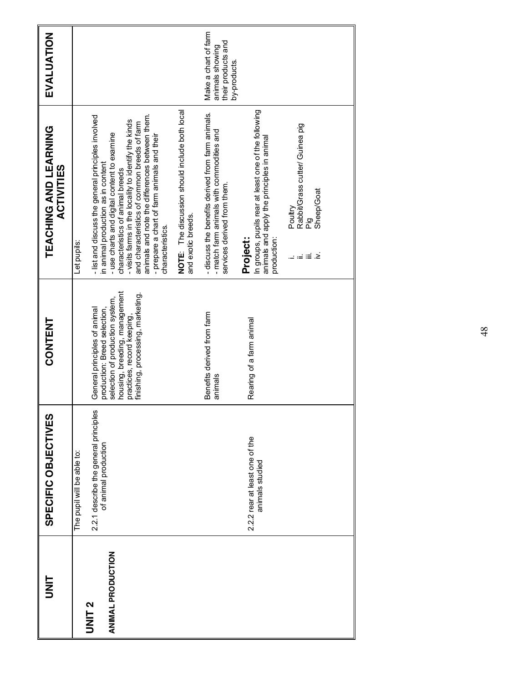| I<br>N<br>D              | SPECIFIC OBJECTIVES                                                                         | CONTENT                                                                                                                             | TEACHING AND LEARNING<br><b>ACTIVITIES</b>                                                                                                                                                                                                                                                                  | EVALUATION                                                                    |
|--------------------------|---------------------------------------------------------------------------------------------|-------------------------------------------------------------------------------------------------------------------------------------|-------------------------------------------------------------------------------------------------------------------------------------------------------------------------------------------------------------------------------------------------------------------------------------------------------------|-------------------------------------------------------------------------------|
|                          | 2.2.1 describe the general principles<br>of animal production<br>The pupil will be able to: | production: Breed selection,<br>General principles of animal                                                                        | - list and discuss the general principles involved<br>in animal production as in content<br>Let pupils:                                                                                                                                                                                                     |                                                                               |
| <b>ANIMAL PRODUCTION</b> |                                                                                             | housing, breeding, management<br>finishing, processing, marketing.<br>selection of production system,<br>practices, record keeping, | animals and note the differences between them.<br>- visits farms in the locality to identify the kinds<br>and characteristics of common breeds of farm<br>- use charts and digital content to examine<br>-prepare a chart of farm animals and their<br>characteristics of animal breeds<br>characteristics. |                                                                               |
|                          |                                                                                             |                                                                                                                                     | NOTE: The discussion should include both local<br>and exotic breeds.                                                                                                                                                                                                                                        |                                                                               |
|                          |                                                                                             | Benefits derived from farm<br>animals                                                                                               | - discuss the benefits derived from farm animals.<br>- match farm animals with commodities and<br>services derived from them.                                                                                                                                                                               | Make a chart of farm<br>their products and<br>animals showing<br>by-products. |
|                          | 2.2.2 rear at least one of the<br>animals studied                                           | Rearing of a farm animal                                                                                                            | In groups, pupils rear at least one of the following<br>animals and apply the principles in animal<br>Project:<br>production:                                                                                                                                                                               |                                                                               |
|                          |                                                                                             |                                                                                                                                     | Rabbit/Grass cutter/ Guinea pig<br>Sheep/Goat<br>Poultry<br>ig<br>A<br>≥ ≓ ≣ ≥                                                                                                                                                                                                                              |                                                                               |
|                          |                                                                                             |                                                                                                                                     |                                                                                                                                                                                                                                                                                                             |                                                                               |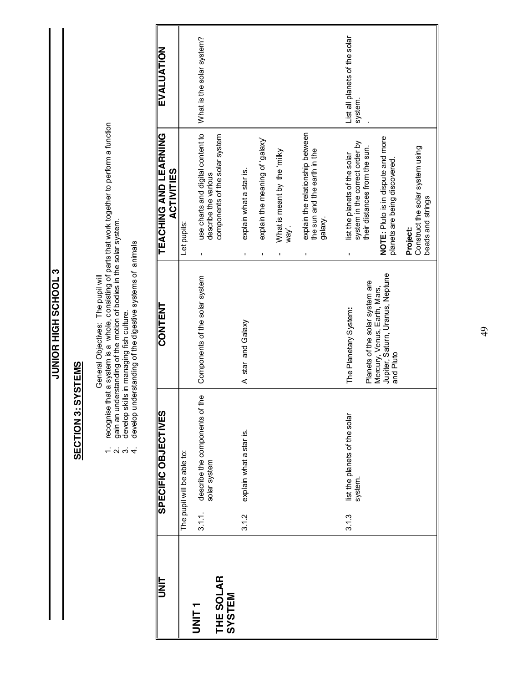JUNIOR HIGH SCHOOL 3 **JUNIOR HIGH SCHOOL 3**

### **SECTION 3: SYSTEMS SECTION 3: SYSTEMS**

- General Objectives: The pupil will<br>recognise that a system is a whole, consisting of parts that work together to perform a function<br>gain an understanding of the motion of bodies in the solar system.<br>develop skills in manag 1. recognise that a system is a whole, consisting of parts that work together to perform a function  $\frac{1}{2}$   $\alpha$   $\alpha$   $\alpha$ 
	- 2. gain an understanding of the motion of bodies in the solar system.
		- 3. develop skills in managing fish culture.

| J       |
|---------|
| ໍ່<br>l |
|         |
|         |
| í       |
| l       |
|         |
|         |
|         |
|         |
|         |
| ֕       |
| ١       |
| ミスマ     |
|         |
| Ì<br>֕  |
|         |
|         |
|         |
|         |
| )<br>ここ |
| í       |
|         |
|         |
|         |
| l       |
| i       |
|         |
|         |
|         |
|         |
| ļ<br>ı  |
|         |
|         |
| l<br>I  |
| ׇ֘֒     |
|         |
|         |
| ż       |
|         |

| I<br>I<br>D         |        | SPECIFIC OBJECTIVES                               | <b>CONTENT</b>                                                               | TEACHING AND LEARNING<br><b>ACTIVITIES</b>                                                       | EVALUATION                               |
|---------------------|--------|---------------------------------------------------|------------------------------------------------------------------------------|--------------------------------------------------------------------------------------------------|------------------------------------------|
|                     |        | The pupil will be able to:                        |                                                                              | Let pupils:                                                                                      |                                          |
| UNIT <sub>1</sub>   | 3.1.1. | eq:<br>describe the components of<br>solar system | Components of the solar system                                               | use charts and digital content to<br>describe the various<br>ı,                                  | What is the solar system?                |
| THE SOLAR<br>SYSTEM |        |                                                   |                                                                              | components of the solar system                                                                   |                                          |
|                     | 3.1.2  | explain what a star is.                           | A star and Galaxy                                                            | explain what a star is.<br>ı                                                                     |                                          |
|                     |        |                                                   |                                                                              | explain the meaning of 'galaxy'                                                                  |                                          |
|                     |        |                                                   |                                                                              | What is meant by the 'milky<br>way'.                                                             |                                          |
|                     |        |                                                   |                                                                              | explain the relationship between<br>the sun and the earth in the<br>galaxy.<br>ı                 |                                          |
|                     |        |                                                   |                                                                              |                                                                                                  |                                          |
|                     | 3.1.3  | list the planets of the solar<br>system.          | Planets of the solar system are<br>The Planetary System:                     | system in the correct order by<br>their distances from the sun.<br>list the planets of the solar | List all planets of the solar<br>system. |
|                     |        |                                                   | Jupiter, Satum, Uranus, Neptune<br>Mercury, Venus, Earth, Mars,<br>and Pluto | NOTE: Pluto is in dispute and more<br>planets are being discovered                               |                                          |
|                     |        |                                                   |                                                                              | Construct the solar system using<br>beads and strings<br><b>Project:</b>                         |                                          |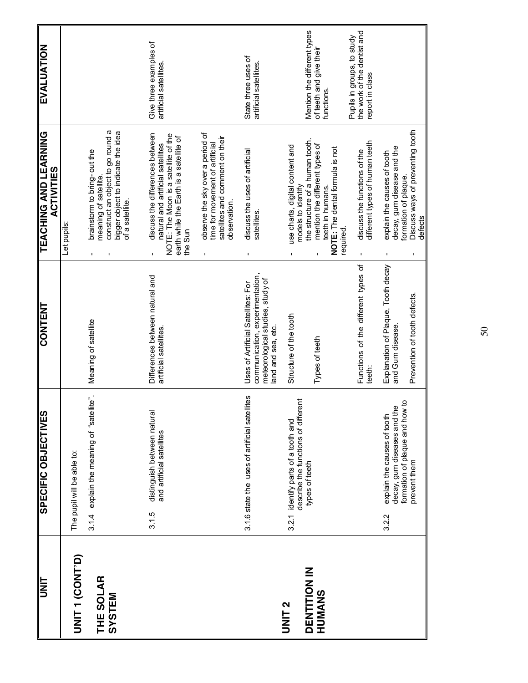| <b>WIF</b>                                         | SPECIFIC OBJECTIVES                                                                                                     | <b>CONTENT</b>                                                                                                                 | <b>TEACHING AND LEARNING</b><br><b>ACTIVITIES</b>                                                                                                                                              | <b>EVALUATION</b>                                                            |
|----------------------------------------------------|-------------------------------------------------------------------------------------------------------------------------|--------------------------------------------------------------------------------------------------------------------------------|------------------------------------------------------------------------------------------------------------------------------------------------------------------------------------------------|------------------------------------------------------------------------------|
| UNIT 1 (CONT'D)                                    | The pupil will be able to:                                                                                              |                                                                                                                                | Let pupils                                                                                                                                                                                     |                                                                              |
| THE SOLAR<br>SYSTEM                                | 3.1.4 explain the meaning of "satellite".                                                                               | Meaning of satellite                                                                                                           | construct an object to go round a<br>bigger object to indicate the idea<br>brainstorm to bring-out the<br>meaning of satellite.<br>of a satellite.                                             |                                                                              |
|                                                    | distinguish between natural<br>and artificial satellites<br>3.1.5                                                       | Differences between natural and<br>artificial satellites.                                                                      | discuss the differences between<br>NOTE: The Moon is a satellite of the<br>earth while the Earth is a satellite of<br>natural and artificial satellites<br>the Sun                             | Give three examples of<br>artificial satellites                              |
|                                                    |                                                                                                                         |                                                                                                                                | observe the sky over a period of<br>satellites and comment on their<br>time for movement of artificial<br>observation.<br>$\blacksquare$                                                       |                                                                              |
|                                                    | 3.1.6 state the uses of artificial satellites                                                                           | communication, experimentation<br>meteorological studies, study of<br>Uses of Artificial Satellites: For<br>land and sea, etc. | discuss the uses of artificial<br>satellites.                                                                                                                                                  | State three uses of<br>artificial satellites.                                |
| <b>DENTITION IN</b><br>HUMANS<br>UNIT <sub>2</sub> | describe the functions of different<br>identify parts of a tooth and<br>types of teeth<br>3.2.1                         | Structure of the tooth<br>Types of teeth                                                                                       | the structure of a human tooth.<br>mention the different types of<br>use charts, digital content and<br>NOTE: The dental formula is not<br>models to identify<br>teeth in humans.<br>required. | Mention the different types<br>of teeth and give their<br>functions.         |
|                                                    |                                                                                                                         | Functions of the different types of<br>teeth:                                                                                  | different types of human teeth<br>discuss the functions of the                                                                                                                                 | the work of the dentist and<br>Pupils in groups, to study<br>report in class |
|                                                    | ą<br>decay, gum diseases and the<br>formation of plaque and how<br>explain the causes of tooth<br>prevent them<br>3.2.2 | Explanation of Plaque, Tooth decay<br>Prevention of tooth defects.<br>and Gum disease.                                         | Discuss ways of preventing tooth<br>decay, gum disease and the<br>explain the causes of tooth<br>formation of plaque.<br>defects                                                               |                                                                              |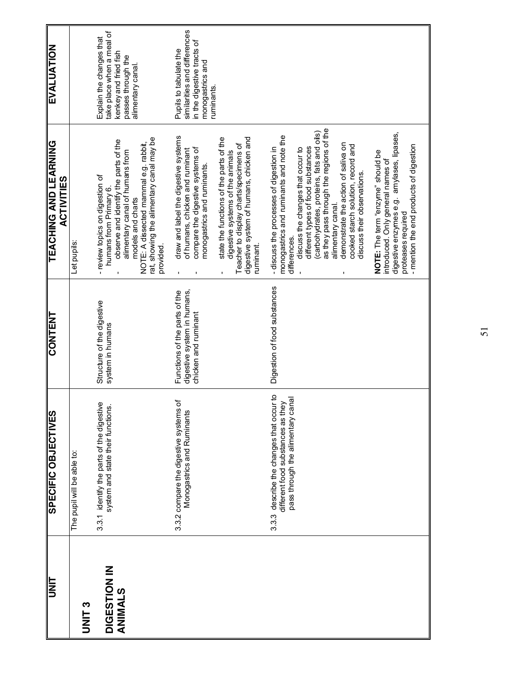| Structure of the digestive<br>system in humans                                       |
|--------------------------------------------------------------------------------------|
| Functions of the parts of the<br>digestive system in humans,<br>chicken and ruminant |
| Digestion of food substances                                                         |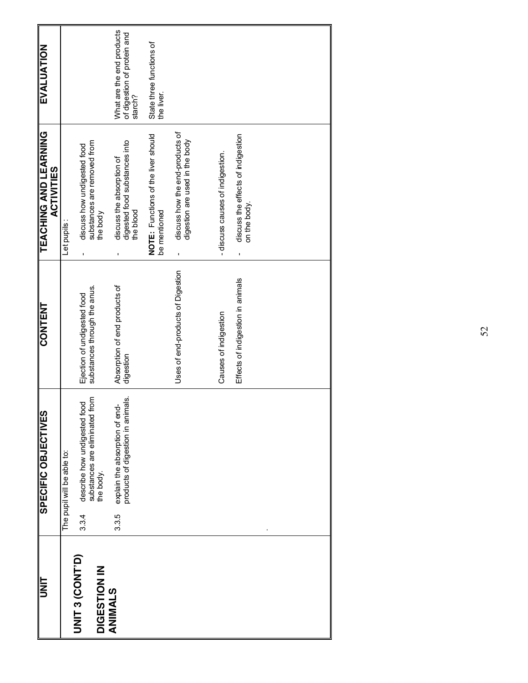| $\begin{array}{c c} \hline \text{C} & \text{C} \\ \hline \text{C} & \text{D} \end{array}$ | SPECIFIC OBJECTIVES                                                                  | <b>CONTENT</b>                                              | <b>TEACHING AND LEARNING</b><br><b>ACTIVITIES</b>                       | EVALUATION                                                          |
|-------------------------------------------------------------------------------------------|--------------------------------------------------------------------------------------|-------------------------------------------------------------|-------------------------------------------------------------------------|---------------------------------------------------------------------|
|                                                                                           | The pupil will be able to:                                                           |                                                             | Let pupils:                                                             |                                                                     |
| <b>UNIT 3 (CONT'D)</b><br><b>DIGESTION IN</b>                                             | substances are eliminated from<br>the body.<br>describe how undigested food<br>3.3.4 | substances through the anus.<br>Ejection of undigested food | substances are removed from<br>discuss how undigested food<br>the body  |                                                                     |
| <b>ANIMALS</b>                                                                            | products of digestion in animals.<br>explain the absorption of end<br>3.3.5          | Absorption of end products of<br>digestion                  | digested food substances into<br>discuss the absorption of<br>the blood | What are the end products<br>of digestion of protein and<br>starch? |
|                                                                                           |                                                                                      |                                                             | NOTE: Functions of the liver should<br>be mentioned                     | State three functions of<br>the liver.                              |
|                                                                                           |                                                                                      | Uses of end-products of Digestion                           | discuss how the end-products of<br>digestion are used in the body<br>ı  |                                                                     |
|                                                                                           |                                                                                      | Causes of indigestion                                       | - discuss causes of indigestion.                                        |                                                                     |
|                                                                                           |                                                                                      | Effects of indigestion in animals                           | discuss the effects of indigestion<br>on the body.<br>$\blacksquare$    |                                                                     |
|                                                                                           |                                                                                      |                                                             |                                                                         |                                                                     |
|                                                                                           |                                                                                      |                                                             |                                                                         |                                                                     |
|                                                                                           |                                                                                      |                                                             |                                                                         |                                                                     |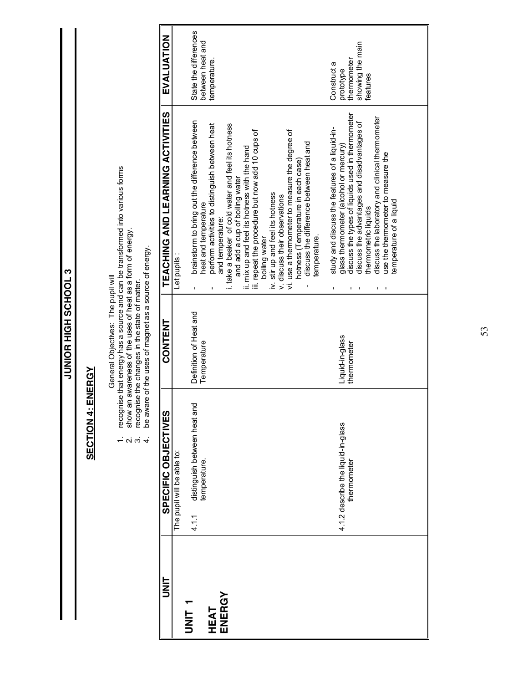**8 TOOHOS HIGH SCHOOLS JUNIOR HIGH SCHOOL 3**

### **SECTION 4: ENERGY SECTION 4: ENERGY**

- General Objectives: The pupil will
- General Objectives: The pupil will<br>recognise that energy has a source and can be transformed into various forms<br>show an awareness of the uses of heat as a form of energy.<br>recognise the changes in the state of matter.<br>be aw 1. recognise that energy has a source and can be transformed into various forms
	- 2. show an awareness of the uses of heat as a form of energy.  $\alpha$   $\alpha$   $+$ 
		- 3. recognise the changes in the state of matter.
- 4. be aware of the uses of magnet as a source of energy.

| t<br>3      | <b>SPECIFIC OBJECTIVES</b>                            | <b>CONTENT</b>                        | TEACHING AND LEARNING ACTIVITIES                                                                                                       | EVALUATION                                |
|-------------|-------------------------------------------------------|---------------------------------------|----------------------------------------------------------------------------------------------------------------------------------------|-------------------------------------------|
|             | The pupil will be able to:                            |                                       | Let pupils :                                                                                                                           |                                           |
| .<br>INS    | distinguish between heat and<br>temperature.<br>4.1.1 | Definition of Heat and<br>Temperature | brainstorm to bring out the difference between<br>heat and temperature                                                                 | State the differences<br>between heat and |
| <b>HEAT</b> |                                                       |                                       | perform activities to distinguish between heat<br>and temperature:                                                                     | temperature.                              |
| ENERGY      |                                                       |                                       | i. take a beaker of cold water and feel its hotness<br>ii. mix up and feel its hotness with the hand<br>and add a cup of boiling water |                                           |
|             |                                                       |                                       | iii. repeat the procedure but now add 10 cups of<br>boiling water                                                                      |                                           |
|             |                                                       |                                       | iv. stir up and feel its hotness<br>v. discuss their observations                                                                      |                                           |
|             |                                                       |                                       | vi. use a thermometer to measure the degree of<br>discuss the difference between heat and<br>hotness (Temperature in each case)        |                                           |
|             |                                                       |                                       | temperature.                                                                                                                           |                                           |
|             | 4.1.2 describe the liquid-in-glass                    | Liquid-in-glass                       | study and discuss the features of a liquid-in-<br>glass thermometer (alcohol or mercury)                                               | Construct a<br>prototype                  |
|             | thermometer                                           | thermometer                           | discuss the types of liquids used in thermometer<br>discuss the advantages and disadvantages of                                        | showing the main<br>thermometer           |
|             |                                                       |                                       | discuss the laboratory and clinical thermometer<br>thermometric liquids                                                                | features                                  |
|             |                                                       |                                       | use the thermometer to measure the                                                                                                     |                                           |
|             |                                                       |                                       | temperature of a liquid                                                                                                                |                                           |
|             |                                                       |                                       |                                                                                                                                        |                                           |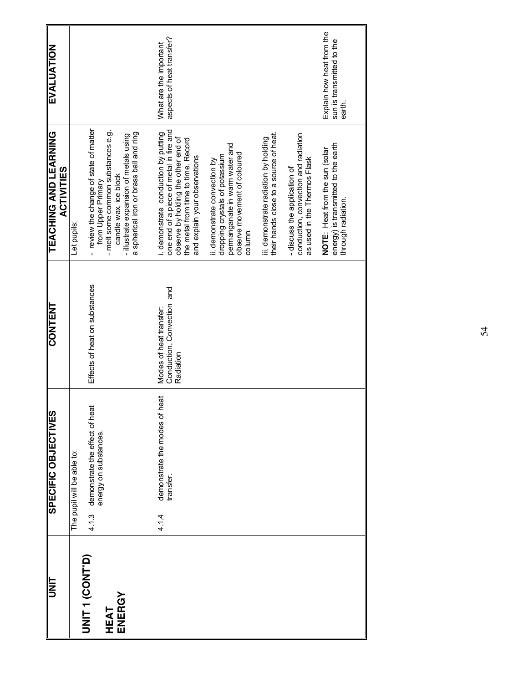| <b>TINL</b>           | SPECIFIC OBJECTIVES                                             | <b>CONTENT</b>                                                        | <b>TEACHING AND LEARNING</b><br><b>ACTIVITIES</b>                                                                      | EVALUATION                                                       |
|-----------------------|-----------------------------------------------------------------|-----------------------------------------------------------------------|------------------------------------------------------------------------------------------------------------------------|------------------------------------------------------------------|
|                       | The pupil will be able to:                                      |                                                                       | Let pupils:                                                                                                            |                                                                  |
| <b>JNL1 (CONL)</b>    | demonstrate the effect of heat<br>energy on substances.<br>4.13 | Effects of heat on substances                                         | - review the change of state of matter<br>from Upper Primary                                                           |                                                                  |
| ENERGY<br><b>HEAT</b> |                                                                 |                                                                       | - melt some common substances e.g.<br>candle wax, ice block                                                            |                                                                  |
|                       |                                                                 |                                                                       | a spherical iron or brass ball and ring<br>- illustrate expansion of metals using                                      |                                                                  |
|                       |                                                                 |                                                                       |                                                                                                                        |                                                                  |
|                       | ēã<br>demonstrate the modes of I<br>transfer.<br>4.1.4          | and<br>Conduction, Convection<br>Modes of heat transfer:<br>Radiation | one end of a piece of metal in fire and<br>i. demonstrate conduction by putting<br>observe by holding the other end of | aspects of heat transfer?<br>What are the important              |
|                       |                                                                 |                                                                       | the metal from time to time. Record<br>and explain your observations                                                   |                                                                  |
|                       |                                                                 |                                                                       | dropping crystals of potassium<br>ii. demonstrate convection by                                                        |                                                                  |
|                       |                                                                 |                                                                       | permanganate in warm water and<br>observe movement of coloured                                                         |                                                                  |
|                       |                                                                 |                                                                       | column                                                                                                                 |                                                                  |
|                       |                                                                 |                                                                       | their hands close to a source of heat.<br>iii. demonstrate radiation by holding                                        |                                                                  |
|                       |                                                                 |                                                                       | conduction, convection and radiation<br>as used in the Thermos Flask<br>- discuss the application of                   |                                                                  |
|                       |                                                                 |                                                                       |                                                                                                                        |                                                                  |
|                       |                                                                 |                                                                       | energy) is transmitted to the earth<br>NOTE: Heat from the sun (solar<br>through radiation.                            | Explain how heat from the<br>sun is transmitted to the<br>earth. |
|                       |                                                                 |                                                                       |                                                                                                                        |                                                                  |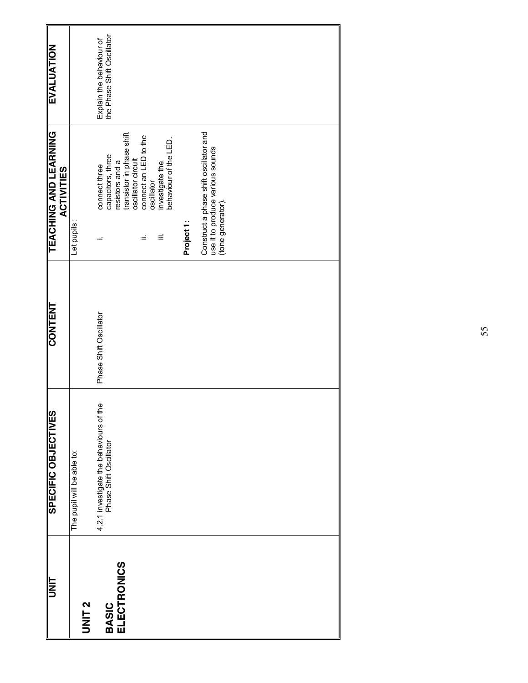| UNIT                               | <b>SPECIFIC OBJECTIVES</b>                                        | <b>CONTENT</b>         | <b>TEACHING AND LEARNING</b><br><b>ACTIVITIES</b>                                                        | EVALUATION                                             |
|------------------------------------|-------------------------------------------------------------------|------------------------|----------------------------------------------------------------------------------------------------------|--------------------------------------------------------|
| <b>UNIT2</b>                       | The pupil will be able to:                                        |                        | Let pupils:                                                                                              |                                                        |
| <b>ELECTRONICS</b><br><b>BASIC</b> | 4.2.1 investigate the behaviours of the<br>Phase Shift Oscillator | Phase Shift Oscillator | transistor in phase shift<br>capacitors, three<br>oscillator circuit<br>resistors and a<br>connect three | Explain the behaviour of<br>the Phase Shift Oscillator |
|                                    |                                                                   |                        | connect an LED to the<br>investigate the<br>behaviour of the LED.<br>oscillator<br>Ξ<br>ωĖ               |                                                        |
|                                    |                                                                   |                        | Project <sub>1</sub> :                                                                                   |                                                        |
|                                    |                                                                   |                        | Construct a phase shift oscillator and<br>use it to produce various sounds<br>(tone generator).          |                                                        |
|                                    |                                                                   |                        |                                                                                                          |                                                        |
|                                    |                                                                   |                        |                                                                                                          |                                                        |
|                                    |                                                                   |                        |                                                                                                          |                                                        |
|                                    |                                                                   |                        |                                                                                                          |                                                        |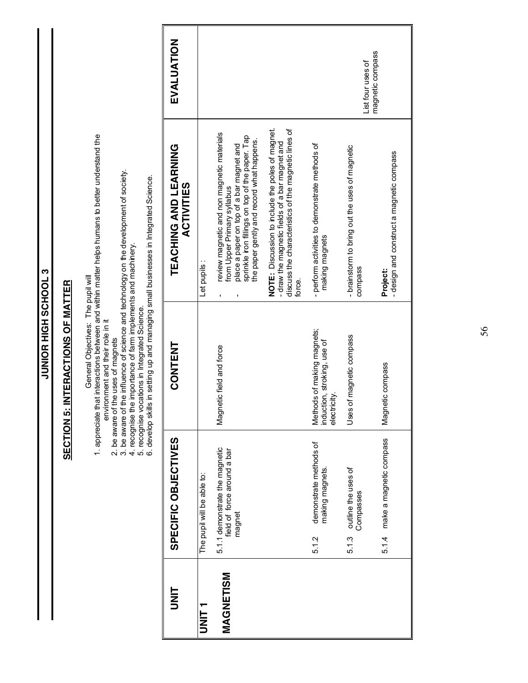| hat interactions between and within matter helps humans to better understand the            |                                                                                                                                                                                                                                                                                                                                                                                                                            | EVALUATION<br>TEACHING AND LEARNING<br><b>ACTIVITIES</b> |                            | review magnetic and non magnetic materials<br>sprinkle iron fillings on top of the paper. Tap<br>the paper gently and record what happens.<br>place a paper on top of a bar magnet and<br>from Upper Primary syllabus | NOTE: Discussion to include the poles of magnet.<br>discuss the characteristics of the magnetic lines of<br>- draw the magnetic fields of a bar magnet and | - perform activities to demonstrate methods of                           | magnetic compass<br>List four uses of<br>- brainstorm to bring out the uses of magnetic | - design and construct a magnetic compass |
|---------------------------------------------------------------------------------------------|----------------------------------------------------------------------------------------------------------------------------------------------------------------------------------------------------------------------------------------------------------------------------------------------------------------------------------------------------------------------------------------------------------------------------|----------------------------------------------------------|----------------------------|-----------------------------------------------------------------------------------------------------------------------------------------------------------------------------------------------------------------------|------------------------------------------------------------------------------------------------------------------------------------------------------------|--------------------------------------------------------------------------|-----------------------------------------------------------------------------------------|-------------------------------------------|
| INTERACTIONS OF MATTER                                                                      |                                                                                                                                                                                                                                                                                                                                                                                                                            |                                                          | Let pupils:                |                                                                                                                                                                                                                       | force.                                                                                                                                                     | making magnets                                                           | compass                                                                                 | Project:                                  |
| General Objectives: The pupil will<br>environment and their role in it<br><b>SECTION 5:</b> | the influence of science and technology on the development of society.<br>Is in setting up and managing small businesses in Integrated Science.<br>e importance of farm implements and machinery.<br>5. recognise vocations in Integrated Science.<br>6. develop skills in setting up and managing s<br>2. be aware of the uses of magnets<br>3. be aware of the influence of scien<br>4. recognise the importance of farm | <b>CONTENT</b>                                           |                            | Magnetic field and force                                                                                                                                                                                              |                                                                                                                                                            | Methods of making magnets;<br>induction, stroking, use of<br>electricity | of magnetic compass<br>Uses                                                             | Magnetic compass                          |
| 1. appreciate                                                                               |                                                                                                                                                                                                                                                                                                                                                                                                                            | SPECIFIC OBJECTIVES                                      | The pupil will be able to: | 5.1.1 demonstrate the magnetic<br>field of force around a bar<br>magnet                                                                                                                                               |                                                                                                                                                            | demonstrate methods of<br>making magnets.<br>5.1.2                       | outline the uses of<br>Compasses<br>5.1.3                                               | make a magnetic compass<br>5.1.4          |
|                                                                                             |                                                                                                                                                                                                                                                                                                                                                                                                                            | E<br>N                                                   | <b>UNIT1</b>               | MAGNETISM                                                                                                                                                                                                             |                                                                                                                                                            |                                                                          |                                                                                         |                                           |

**JUNIOR HIGH SCHOOL 3**

JUNIOR HIGH SCHOOL 3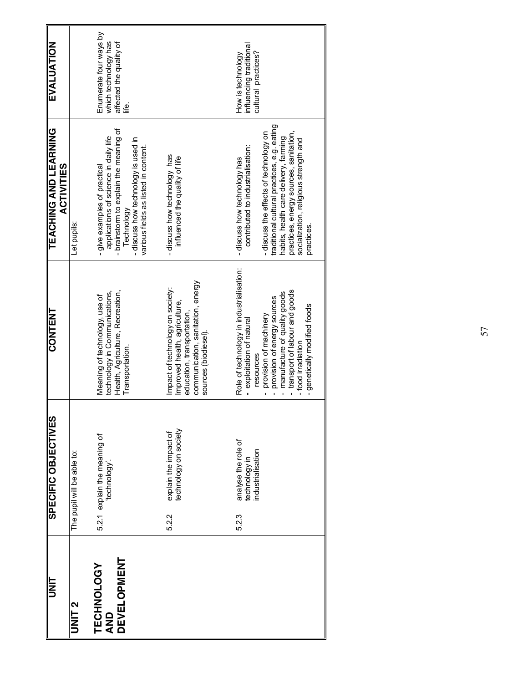| II<br>N                                 | SPECIFIC OBJECTIVES                                               | <b>CONTENT</b>                                                                                                                                                                                                                                                       | <b>TEACHING AND LEARNING</b><br><b>ACTIVITIES</b>                                                                                                                                                                                                                                                  | EVALUATION                                                                       |
|-----------------------------------------|-------------------------------------------------------------------|----------------------------------------------------------------------------------------------------------------------------------------------------------------------------------------------------------------------------------------------------------------------|----------------------------------------------------------------------------------------------------------------------------------------------------------------------------------------------------------------------------------------------------------------------------------------------------|----------------------------------------------------------------------------------|
| UNIT <sub>2</sub>                       | The pupil will be able to:                                        |                                                                                                                                                                                                                                                                      | Let pupils:                                                                                                                                                                                                                                                                                        |                                                                                  |
| <b>DEVELOPMENT</b><br>TECHNOLOGY<br>QND | 5.2.1 explain the meaning of<br>technology.                       | Health, Agriculture, Recreation,<br>technology in Communications,<br>Meaning of technology, use of<br>Transportation.                                                                                                                                                | brainstorm to explain the meaning of<br>applications of science in daily life<br>- discuss how technology is used in<br>various fields as listed in content.<br>- give examples of practical<br>Technology                                                                                         | Enumerate four ways by<br>which technology has<br>affected the quality of<br>نها |
|                                         | explain the impact of<br>technology on society<br>5.2.2           | communication, sanitation, energy<br>Impact of technology on society:<br>Improved health, agriculture,<br>education, transportation,<br>sources (biodiesel).                                                                                                         | -discuss how technology has<br>influenced the quality of life                                                                                                                                                                                                                                      |                                                                                  |
|                                         | analyse the role of<br>technology in<br>industrialisation<br>5.23 | Role of technology in industrialisation:<br>transport of labour and goods<br>manufacture of quality goods<br>provision of energy sources<br>- genetically modified foods<br>provision of machinery<br>exploitation of natural<br>-food irradiation<br>resources<br>ï | traditional cultural practices, e.g. eating<br>practices, energy sources, sanitation,<br>-discuss the effects of technology on<br>habits, health care delivery, farming<br>socialization, religious strength and<br>contributed to industrialisation:<br>-discuss how technology has<br>practices. | influencing traditional<br>cultural practices?<br>How is technology              |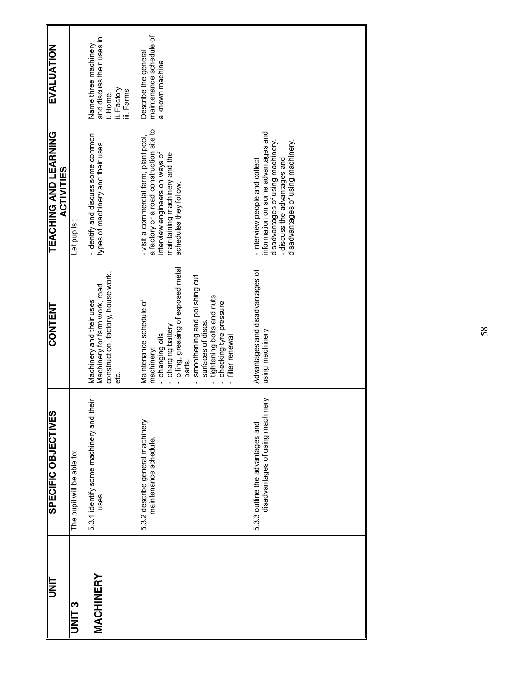|                                                                      | SPECIFIC OBJECTIVES | <b>CONTENT</b>                                                                                                                                                                                                                                                                 | <b>TEACHING AND LEARNING</b><br><b>ACTIVITIES</b>                                                                                                                               | EVALUATION                                                                                  |
|----------------------------------------------------------------------|---------------------|--------------------------------------------------------------------------------------------------------------------------------------------------------------------------------------------------------------------------------------------------------------------------------|---------------------------------------------------------------------------------------------------------------------------------------------------------------------------------|---------------------------------------------------------------------------------------------|
| The pupil will be able to:                                           |                     |                                                                                                                                                                                                                                                                                | Let pupils:                                                                                                                                                                     |                                                                                             |
| 5.3.1 identify some machinery and their<br>uses                      |                     | construction, factory, house work,<br>Machinery for farm work, road<br>Machinery and their uses<br>ප්                                                                                                                                                                          | - identify and discuss some common<br>types of machinery and their uses.                                                                                                        | and discuss their uses in:<br>Name three machinery<br>ii. Factory<br>iii. Farms<br>i. Home. |
| 5.3.2 describe general machinery<br>maintenance schedule.            |                     | - oiling, greasing of exposed metal<br>smoothening and polishing cut<br>tightening bolts and nuts<br>Maintenance schedule of<br>checking tyre pressure<br>surfaces of discs.<br>- charging battery<br>- changing oils<br>filter renewal<br>machiner.<br>parts.<br>$\mathbf{I}$ | a factory or a road construction site to<br>- visit a commercial farm, plant pool,<br>interview engineers on ways of<br>maintaining machinery and the<br>schedules they follow. | maintenance schedule of<br>Describe the general<br>a known machine                          |
| disadvantages of using machinery<br>5.3.3 outline the advantages and |                     | Advantages and disadvantages of<br>using machinery                                                                                                                                                                                                                             | information on some advantages and<br>disadvantages of using machinery.<br>disadvantages of using machinery.<br>-discuss the advantages and<br>- interview people and collect   |                                                                                             |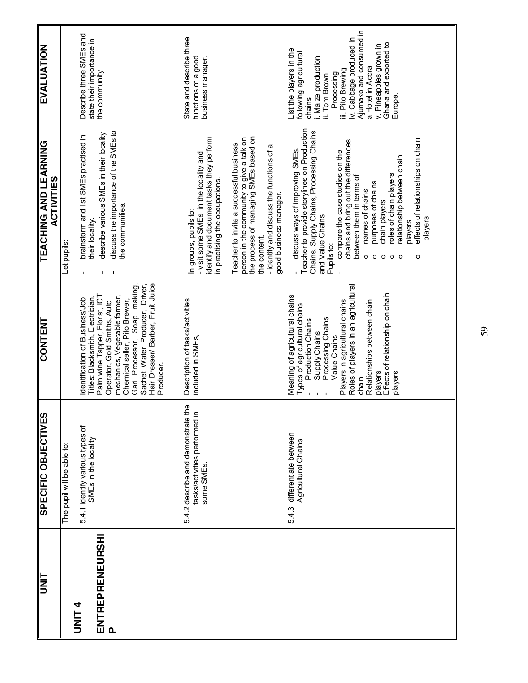| EVALUATION                                 |                            | Describe three SMEs and<br>state their importance in<br>the community.                                                                                                                                                               |                                                                                  | State and describe three<br>functions of a good<br>business manager.                                                                         |                                                                                                                                                                                                                      | List the players in the<br>following agricultural<br>i. Maize production<br>ii. Tom Brown<br>chains                              | Ajumako and consumed in<br>iv. Cabbage produced in<br>a Hotel in Accra<br>iii. Pito Brewing<br>Processing                                                                        | Ghana and exported to<br>v. Pineapples grown in<br>Europe.                                             |                                                              |
|--------------------------------------------|----------------------------|--------------------------------------------------------------------------------------------------------------------------------------------------------------------------------------------------------------------------------------|----------------------------------------------------------------------------------|----------------------------------------------------------------------------------------------------------------------------------------------|----------------------------------------------------------------------------------------------------------------------------------------------------------------------------------------------------------------------|----------------------------------------------------------------------------------------------------------------------------------|----------------------------------------------------------------------------------------------------------------------------------------------------------------------------------|--------------------------------------------------------------------------------------------------------|--------------------------------------------------------------|
| TEACHING AND LEARNING<br><b>ACTIVITIES</b> | Let pupils:                | discuss the importance of the SMEs to<br>describe various SMEs in their locality<br>brainstorm and list SMEs practised in<br>the communities.<br>their locality.                                                                     |                                                                                  | identify and document tasks they perform<br>- visit some SMEs in the locality and<br>in practising the occupations.<br>In groups, pupils to: | the process of managing SMEs based on<br>person in the community to give a talk on<br>Teacher to invite a successful business<br>- identify and discuss the functions of a<br>good business manager.<br>the content. | Chains, Supply Chains, Processing Chains<br>discuss ways of improving SMEs.<br>and Value Chains                                  | chains and bring out the differences<br>compare the case studies on the<br>between them in terms of<br>purposes of chains<br>names of chains<br>Pupils to:<br>$\circ$<br>$\circ$ | relationship between chain<br>roles of chain players<br>chain players<br>$\circ$<br>$\circ$<br>$\circ$ | effects of relationships on chain<br>players<br>players<br>O |
| <b>CONTENT</b>                             |                            | Gari Processor, Soap making,<br>Palm wine Tapper, Florist, ICT<br>Titles: Blacksmith, Electrician,<br>mechanics, Vegetable farmer,<br>Identification of Business/Job<br>Chemical seller, Pito Brewer,<br>Operator, Gold Smiths, Auto | Sachet Water Producer, Driver,<br>Hair Dresser/ Barber, Fruit Juice<br>Producer. | Description of tasks/activities<br>included in SMEs,                                                                                         |                                                                                                                                                                                                                      | Meaning of agricultural chains<br>Types of agricultural chains<br>Processing Chains<br><b>Production Chains</b><br>Supply Chains | Roles of players in an agricultural<br>Players in agricultural chains<br>Relationships between chain<br>Value Chains<br>players<br>chain                                         | Effects of relationship on chain<br>players                                                            |                                                              |
| SPECIFIC OBJECTIVES                        | The pupil will be able to: | 5.4.1 identify various types of<br>SMEs in the locality                                                                                                                                                                              |                                                                                  | 5.4.2 describe and demonstrate the<br>tasks/activities performed in<br>some SMEs.                                                            |                                                                                                                                                                                                                      | differentiate between<br>Agricultural Chains<br>5.4.3                                                                            |                                                                                                                                                                                  |                                                                                                        |                                                              |
| UNIT                                       |                            | ENTREPRENEURSHI<br><b>DNIL4</b><br>$\mathbf{a}$                                                                                                                                                                                      |                                                                                  |                                                                                                                                              |                                                                                                                                                                                                                      |                                                                                                                                  |                                                                                                                                                                                  |                                                                                                        |                                                              |